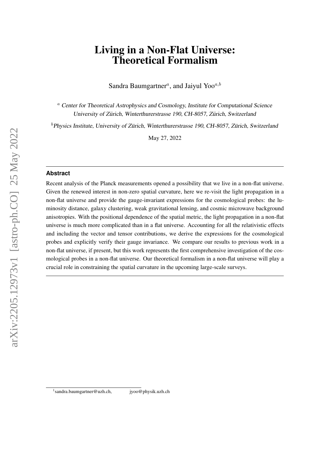# Living in a Non-Flat Universe: Theoretical Formalism

Sandra Baumgartner<sup>a</sup>, and Jaiyul Yoo<sup>a,b</sup>

<sup>a</sup> Center for Theoretical Astrophysics and Cosmology, Institute for Computational Science University of Zürich, Winterthurerstrasse 190, CH-8057, Zürich, Switzerland

 $<sup>b</sup>$  Physics Institute, University of Zürich, Winterthurerstrasse 190, CH-8057, Zürich, Switzerland</sup>

May 27, 2022

#### **Abstract**

Recent analysis of the Planck measurements opened a possibility that we live in a non-flat universe. Given the renewed interest in non-zero spatial curvature, here we re-visit the light propagation in a non-flat universe and provide the gauge-invariant expressions for the cosmological probes: the luminosity distance, galaxy clustering, weak gravitational lensing, and cosmic microwave background anisotropies. With the positional dependence of the spatial metric, the light propagation in a non-flat universe is much more complicated than in a flat universe. Accounting for all the relativistic effects and including the vector and tensor contributions, we derive the expressions for the cosmological probes and explicitly verify their gauge invariance. We compare our results to previous work in a non-flat universe, if present, but this work represents the first comprehensive investigation of the cosmological probes in a non-flat universe. Our theoretical formalism in a non-flat universe will play a crucial role in constraining the spatial curvature in the upcoming large-scale surveys.

<sup>&</sup>lt;sup>1</sup>sandra.baumgartner@uzh.ch, jyoo@physik.uzh.ch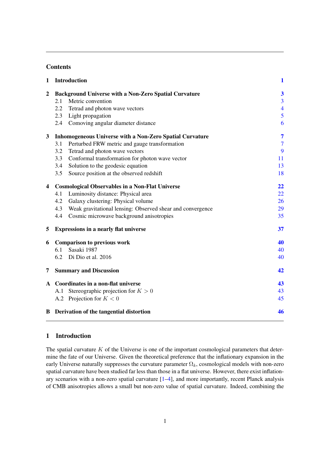## **Contents**

| 1                       | <b>Introduction</b>                                               | $\mathbf{1}$            |
|-------------------------|-------------------------------------------------------------------|-------------------------|
| $\boldsymbol{2}$        | <b>Background Universe with a Non-Zero Spatial Curvature</b>      | $\overline{\mathbf{3}}$ |
|                         | Metric convention<br>2.1                                          | 3                       |
|                         | 2.2<br>Tetrad and photon wave vectors                             | $\overline{4}$          |
|                         | 2.3 Light propagation                                             | 5                       |
|                         | 2.4 Comoving angular diameter distance                            | 6                       |
| 3                       | <b>Inhomogeneous Universe with a Non-Zero Spatial Curvature</b>   | 7                       |
|                         | Perturbed FRW metric and gauge transformation<br>3.1              | $\overline{7}$          |
|                         | 3.2<br>Tetrad and photon wave vectors                             | 9                       |
|                         | Conformal transformation for photon wave vector<br>3.3            | 11                      |
|                         | Solution to the geodesic equation<br>3.4                          | 13                      |
|                         | Source position at the observed redshift<br>3.5                   | 18                      |
| $\overline{\mathbf{4}}$ | <b>Cosmological Observables in a Non-Flat Universe</b>            | 22                      |
|                         | Luminosity distance: Physical area<br>4.1                         | 22                      |
|                         | Galaxy clustering: Physical volume<br>4.2                         | 26                      |
|                         | Weak gravitational lensing: Observed shear and convergence<br>4.3 | 29                      |
|                         | Cosmic microwave background anisotropies<br>4.4                   | 35                      |
| 5                       | <b>Expressions in a nearly flat universe</b>                      | 37                      |
| 6                       | <b>Comparison to previous work</b>                                | 40                      |
|                         | Sasaki 1987<br>6.1                                                | 40                      |
|                         | 6.2<br>Di Dio et al. 2016                                         | 40                      |
| 7                       | <b>Summary and Discussion</b>                                     | 42                      |
|                         | A Coordinates in a non-flat universe                              | 43                      |
|                         | Stereographic projection for $K > 0$<br>A.1                       | 43                      |
|                         | A.2 Projection for $K < 0$                                        | 45                      |
|                         | <b>B</b> Derivation of the tangential distortion                  | 46                      |
|                         |                                                                   |                         |

# <span id="page-1-0"></span>1 Introduction

The spatial curvature  $K$  of the Universe is one of the important cosmological parameters that determine the fate of our Universe. Given the theoretical preference that the inflationary expansion in the early Universe naturally suppresses the curvature parameter  $\Omega_k$ , cosmological models with non-zero spatial curvature have been studied far less than those in a flat universe. However, there exist inflationary scenarios with a non-zero spatial curvature [\[1–](#page-50-0)[4\]](#page-50-1), and more importantly, recent Planck analysis of CMB anisotropies allows a small but non-zero value of spatial curvature. Indeed, combining the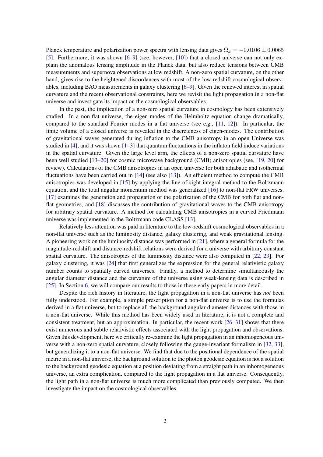Planck temperature and polarization power spectra with lensing data gives  $\Omega_k = -0.0106 \pm 0.0065$ [\[5\]](#page-50-2). Furthermore, it was shown [\[6](#page-50-3)[–9\]](#page-50-4) (see, however, [\[10\]](#page-50-5)) that a closed universe can not only explain the anomalous lensing amplitude in the Planck data, but also reduce tensions between CMB measurements and supernova observations at low redshift. A non-zero spatial curvature, on the other hand, gives rise to the heightened discordances with most of the low-redshift cosmological observables, including BAO measurements in galaxy clustering [\[6–](#page-50-3)[9\]](#page-50-4). Given the renewed interest in spatial curvature and the recent observational constraints, here we revisit the light propagation in a non-flat universe and investigate its impact on the cosmological observables.

In the past, the implication of a non-zero spatial curvature in cosmology has been extensively studied. In a non-flat universe, the eigen-modes of the Helmholtz equation change dramatically, compared to the standard Fourier modes in a flat universe (see e.g., [\[11,](#page-50-6) [12\]](#page-50-7)). In particular, the finite volume of a closed universe is revealed in the discreteness of eigen-modes. The contribution of gravitational waves generated during inflation to the CMB anisotropy in an open Universe was studied in [\[4\]](#page-50-1), and it was shown  $[1–3]$  $[1–3]$  that quantum fluctuations in the inflaton field induce variations in the spatial curvature. Given the large level arm, the effects of a non-zero spatial curvature have been well studied [\[13](#page-50-9)[–20\]](#page-51-0) for cosmic microwave background (CMB) anisotropies (see, [\[19,](#page-51-1) [20\]](#page-51-0) for review). Calculations of the CMB anisotropies in an open universe for both adiabatic and isothermal fluctuations have been carried out in  $[14]$  (see also  $[13]$ ). An efficient method to compute the CMB anisotropies was developed in [\[15\]](#page-51-2) by applying the line-of-sight integral method to the Boltzmann equation, and the total angular momentum method was generalized [\[16\]](#page-51-3) to non-flat FRW universes. [\[17\]](#page-51-4) examines the generation and propagation of the polarization of the CMB for both flat and nonflat geometries, and [\[18\]](#page-51-5) discusses the contribution of gravitational waves to the CMB anisotropy for arbitrary spatial curvature. A method for calculating CMB anisotropies in a curved Friedmann universe was implemented in the Boltzmann code CLASS [\[13\]](#page-50-9).

Relatively less attention was paid in literature to the low-redshift cosmological observables in a non-flat universe such as the luminosity distance, galaxy clustering, and weak gravitational lensing. A pioneering work on the luminosity distance was performed in [\[21\]](#page-51-6), where a general formula for the magnitude-redshift and distance-redshift relations were derived for a universe with arbitrary constant spatial curvature. The anisotropies of the luminosity distance were also computed in [\[22,](#page-51-7) [23\]](#page-51-8). For galaxy clustering, it was [\[24\]](#page-51-9) that first generalizes the expression for the general relativistic galaxy number counts to spatially curved universes. Finally, a method to determine simultaneously the angular diameter distance and the curvature of the universe using weak-lensing data is described in [\[25\]](#page-51-10). In Section [6,](#page-40-0) we will compare our results to those in these early papers in more detail.

Despite the rich history in literature, the light propagation in a non-flat universe has *not* been fully understood. For example, a simple prescription for a non-flat universe is to use the formulas derived in a flat universe, but to replace all the background angular diameter distances with those in a non-flat universe. While this method has been widely used in literature, it is not a complete and consistent treatment, but an approximation. In particular, the recent work [\[26–](#page-51-11)[31\]](#page-51-12) shows that there exist numerous and subtle relativistic effects associated with the light propagation and observations. Given this development, here we critically re-examine the light propagation in an inhomogeneous universe with a non-zero spatial curvature, closely following the gauge-invariant formalism in [\[32,](#page-51-13) [33\]](#page-51-14), but generalizing it to a non-flat universe. We find that due to the positional dependence of the spatial metric in a non-flat universe, the background solution to the photon geodesic equation is not a solution to the background geodesic equation at a position deviating from a straight path in an inhomogeneous universe, an extra complication, compared to the light propagation in a flat universe. Consequently, the light path in a non-flat universe is much more complicated than previously computed. We then investigate the impact on the cosmological observables.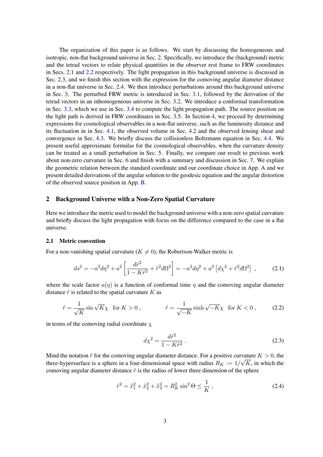The organization of this paper is as follows. We start by discussing the homogeneous and isotropic, non-flat background universe in Sec. [2.](#page-3-0) Specifically, we introduce the (background) metric and the tetrad vectors to relate physical quantities in the observer rest frame to FRW coordinates in Secs. [2.1](#page-3-1) and [2.2](#page-4-0) respectively. The light propagation in this background universe is discussed in Sec. [2.3,](#page-5-0) and we finish this section with the expression for the comoving angular diameter distance in a non-flat universe in Sec. [2.4.](#page-6-0) We then introduce perturbations around this background universe in Sec. [3.](#page-7-0) The perturbed FRW metric is introduced in Sec. [3.1,](#page-7-1) followed by the derivation of the tetrad vectors in an inhomogeneous universe in Sec. [3.2.](#page-9-0) We introduce a conformal transformation in Sec. [3.3,](#page-11-0) which we use in Sec. [3.4](#page-13-0) to compute the light propagation path. The source position on the light path is derived in FRW coordinates in Sec. [3.5.](#page-18-0) In Section [4,](#page-22-0) we proceed by determining expressions for cosmological observables in a non-flat universe, such as the luminosity distance and its fluctuation in in Sec. [4.1,](#page-22-1) the observed volume in Sec. [4.2](#page-26-0) and the observed lensing shear and convergence in Sec. [4.3.](#page-29-0) We briefly discuss the collisionless Boltzmann equation in Sec. [4.4.](#page-35-0) We present useful approximate formulas for the cosmological observables, when the curvature density can be treated as a small perturbation in Sec. [5.](#page-37-0) Finally, we compare our result to previous work about non-zero curvature in Sec. [6](#page-40-0) and finish with a summary and discussion in Sec. [7.](#page-42-0) We explain the geometric relation between the standard coordinate and our coordinate choice in App. [A](#page-43-0) and we present detailed derivations of the angular solution to the geodesic equation and the angular distortion of the observed source position in App. [B.](#page-46-0)

#### <span id="page-3-0"></span>2 Background Universe with a Non-Zero Spatial Curvature

Here we introduce the metric used to model the background universe with a non-zero spatial curvature and briefly discuss the light propagation with focus on the difference compared to the case in a flat universe.

## <span id="page-3-1"></span>2.1 Metric convention

For a non-vanishing spatial curvature ( $K \neq 0$ ), the Robertson-Walker metric is

<span id="page-3-2"></span>
$$
ds^{2} = -a^{2}d\eta^{2} + a^{2} \left[ \frac{d\tilde{r}^{2}}{1 - K\tilde{r}^{2}} + \tilde{r}^{2}d\Omega^{2} \right] = -a^{2}d\eta^{2} + a^{2} \left[ d\chi^{2} + \tilde{r}^{2}d\Omega^{2} \right] ,
$$
 (2.1)

where the scale factor  $a(\eta)$  is a function of conformal time  $\eta$  and the comoving angular diameter distance  $\tilde{r}$  is related to the spatial curvature K as

<span id="page-3-3"></span>
$$
\tilde{r} = \frac{1}{\sqrt{K}} \sin \sqrt{K} \chi \quad \text{for } K > 0 \,, \qquad \qquad \tilde{r} = \frac{1}{\sqrt{-K}} \sinh \sqrt{-K} \chi \quad \text{for } K < 0 \,, \tag{2.2}
$$

in terms of the comoving radial coordinate  $\chi$ 

$$
d\chi^2 = \frac{d\tilde{r}^2}{1 - K\tilde{r}^2} \,. \tag{2.3}
$$

Mind the notation  $\tilde{r}$  for the comoving angular diameter distance. For a positive curvature  $K > 0$ , the three-hypersurface is a sphere in a four-dimensional space with radius  $R_K := 1/\sqrt{K}$ , in which the comoving angular diameter distance  $\tilde{r}$  is the radius of lower three dimension of the sphere

$$
\tilde{r}^2 = \tilde{x}_1^2 + \tilde{x}_2^2 + \tilde{x}_3^2 = R_K^2 \sin^2 \Theta \le \frac{1}{K} \,,\tag{2.4}
$$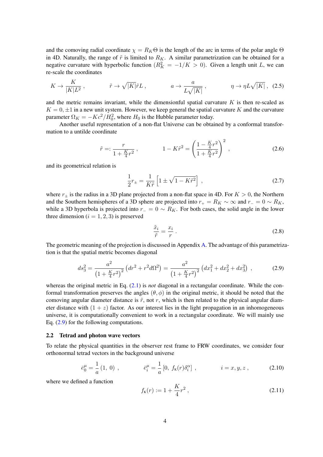and the comoving radial coordinate  $\chi = R_K \Theta$  is the length of the arc in terms of the polar angle  $\Theta$ in 4D. Naturally, the range of  $\tilde{r}$  is limited to  $R_K$ . A similar parametrization can be obtained for a negative curvature with hyperbolic function  $(R_K^2 = -1/K > 0)$ . Given a length unit L, we can re-scale the coordinates

$$
K \to \frac{K}{|K|L^2} \,, \qquad \tilde{r} \to \sqrt{|K|} \tilde{r}L \,, \qquad a \to \frac{a}{L\sqrt{|K|}} \,, \qquad \eta \to \eta L\sqrt{|K|} \,, \tag{2.5}
$$

and the metric remains invariant, while the dimensionful spatial curvature  $K$  is then re-scaled as  $K = 0, \pm 1$  in a new unit system. However, we keep general the spatial curvature K and the curvature parameter  $\Omega_K = -Kc^2/H_0^2$ , where  $H_0$  is the Hubble parameter today.

Another useful representation of a non-flat Universe can be obtained by a conformal transformation to a untilde coordinate

<span id="page-4-2"></span>
$$
\tilde{r} =: \frac{r}{1 + \frac{K}{4}r^2}, \qquad 1 - K\tilde{r}^2 = \left(\frac{1 - \frac{K}{4}r^2}{1 + \frac{K}{4}r^2}\right)^2, \qquad (2.6)
$$

and its geometrical relation is

<span id="page-4-5"></span>
$$
\frac{1}{2}r_{\pm} = \frac{1}{K\tilde{r}} \left[ 1 \pm \sqrt{1 - K\tilde{r}^2} \right] ,\qquad(2.7)
$$

where  $r_{\pm}$  is the radius in a 3D plane projected from a non-flat space in 4D. For  $K > 0$ , the Northern and the Southern hemispheres of a 3D sphere are projected into  $r_{+} = R_K \sim \infty$  and  $r_{-} = 0 \sim R_K$ , while a 3D hyperbola is projected into  $r_0 = 0 \sim R_K$ . For both cases, the solid angle in the lower three dimension  $(i = 1, 2, 3)$  is preserved

<span id="page-4-4"></span>
$$
\frac{\tilde{x}_i}{\tilde{r}} = \frac{x_i}{r} \,. \tag{2.8}
$$

The geometric meaning of the projection is discussed in Appendix [A.](#page-43-0) The advantage of this parametrization is that the spatial metric becomes diagonal

<span id="page-4-1"></span>
$$
ds_3^2 = \frac{a^2}{\left(1 + \frac{K}{4}r^2\right)^2} \left(dr^2 + r^2 d\Omega^2\right) = \frac{a^2}{\left(1 + \frac{K}{4}r^2\right)^2} \left(dx_1^2 + dx_2^2 + dx_3^2\right) ,\qquad (2.9)
$$

whereas the original metric in Eq. [\(2.1\)](#page-3-2) is *not* diagonal in a rectangular coordinate. While the conformal transformation preserves the angles  $(\theta, \phi)$  in the original metric, it should be noted that the comoving angular diameter distance is  $\tilde{r}$ , not r, which is then related to the physical angular diameter distance with  $(1 + z)$  factor. As our interest lies in the light propagation in an inhomogeneous universe, it is computationally convenient to work in a rectangular coordinate. We will mainly use Eq. [\(2.9\)](#page-4-1) for the following computations.

#### <span id="page-4-0"></span>2.2 Tetrad and photon wave vectors

To relate the physical quantities in the observer rest frame to FRW coordinates, we consider four orthonormal tetrad vectors in the background universe

$$
\bar{e}_0^{\mu} = \frac{1}{a}(1, 0) , \qquad \qquad \bar{e}_i^{\mu} = \frac{1}{a}[0, f_{\kappa}(r)\delta_i^{\alpha}], \qquad i = x, y, z , \qquad (2.10)
$$

where we defined a function

<span id="page-4-3"></span>
$$
f_{\kappa}(r) := 1 + \frac{K}{4}r^2 , \qquad (2.11)
$$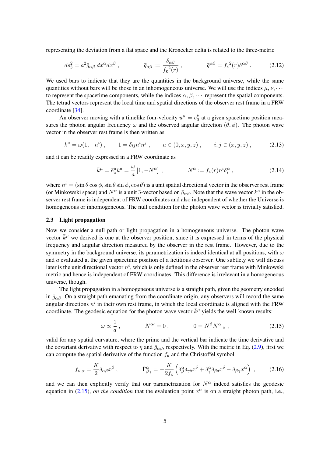representing the deviation from a flat space and the Kronecker delta is related to the three-metric

<span id="page-5-2"></span>
$$
ds_3^2 = a^2 \bar{g}_{\alpha\beta} dx^{\alpha} dx^{\beta} , \qquad \bar{g}_{\alpha\beta} := \frac{\delta_{\alpha\beta}}{f_{\kappa}^2(r)} , \qquad \bar{g}^{\alpha\beta} = f_{\kappa}^2(r) \delta^{\alpha\beta} . \qquad (2.12)
$$

We used bars to indicate that they are the quantities in the background universe, while the same quantities without bars will be those in an inhomogeneous universe. We will use the indices  $\mu, \nu, \cdots$ to represent the spacetime components, while the indices  $\alpha, \beta, \cdots$  represent the spatial components. The tetrad vectors represent the local time and spatial directions of the observer rest frame in a FRW coordinate [\[34\]](#page-51-15).

An observer moving with a timelike four-velocity  $\bar{u}^{\mu} = \bar{e}_{0}^{\mu}$  $\frac{\mu}{0}$  at a given spacetime position measures the photon angular frequency  $\omega$  and the observed angular direction  $(\theta, \phi)$ . The photon wave vector in the observer rest frame is then written as

<span id="page-5-3"></span>
$$
k^{a} = \omega(1, -n^{i}), \qquad 1 = \delta_{ij}n^{i}n^{j}, \qquad a \in (0, x, y, z), \qquad i, j \in (x, y, z), \tag{2.13}
$$

and it can be readily expressed in a FRW coordinate as

$$
\bar{k}^{\mu} = \bar{e}^{\mu}_{a} k^{a} = \frac{\omega}{a} \left[ 1, -N^{\alpha} \right] , \qquad N^{\alpha} := f_{\kappa}(r) n^{i} \delta_{i}^{\alpha} , \qquad (2.14)
$$

where  $n^i = (\sin \theta \cos \phi, \sin \theta \sin \phi, \cos \theta)$  is a unit spatial directional vector in the observer rest frame (or Minkowski space) and  $N^{\alpha}$  is a unit 3-vector based on  $\bar{g}_{\alpha\beta}$ . Note that the wave vector  $k^a$  in the observer rest frame is independent of FRW coordinates and also independent of whether the Universe is homogeneous or inhomogeneous. The null condition for the photon wave vector is trivially satisfied.

#### <span id="page-5-0"></span>2.3 Light propagation

Now we consider a null path or light propagation in a homogeneous universe. The photon wave vector  $\bar{k}^{\mu}$  we derived is one at the observer position, since it is expressed in terms of the physical frequency and angular direction measured by the observer in the rest frame. However, due to the symmetry in the background universe, its parametrization is indeed identical at all positions, with  $\omega$ and a evaluated at the given spacetime position of a fictitious observer. One subtlety we will discuss later is the unit directional vector  $n^i$ , which is only defined in the observer rest frame with Minkowski metric and hence is independent of FRW coordinates. This difference is irrelevant in a homogeneous universe, though.

The light propagation in a homogeneous universe is a straight path, given the geometry encoded in  $\bar{g}_{\alpha\beta}$ . On a straight path emanating from the coordinate origin, any observers will record the same angular directions  $n^i$  in their own rest frame, in which the local coordinate is aligned with the FRW coordinate. The geodesic equation for the photon wave vector  $\bar{k}^{\mu}$  yields the well-known results:

<span id="page-5-1"></span>
$$
\omega \propto \frac{1}{a}, \qquad N^{\alpha\prime} = 0, \qquad 0 = N^{\beta} N^{\alpha}{}_{|\beta}, \qquad (2.15)
$$

valid for any spatial curvature, where the prime and the vertical bar indicate the time derivative and the covariant derivative with respect to  $\eta$  and  $\bar{g}_{\alpha\beta}$ , respectively. With the metric in Eq. [\(2.9\)](#page-4-1), first we can compute the spatial derivative of the function  $f<sub>K</sub>$  and the Christoffel symbol

$$
f_{\kappa,\alpha} = \frac{K}{2} \delta_{\alpha\beta} x^{\beta} , \qquad \qquad \bar{\Gamma}^{\alpha}_{\beta\gamma} = -\frac{K}{2f_{\kappa}} \left( \delta^{\alpha}_{\beta} \delta_{\gamma\delta} x^{\delta} + \delta^{\alpha}_{\gamma} \delta_{\beta\delta} x^{\delta} - \delta_{\beta\gamma} x^{\alpha} \right) , \qquad (2.16)
$$

and we can then explicitly verify that our parametrization for  $N^{\alpha}$  indeed satisfies the geodesic equation in [\(2.15\)](#page-5-1), *on the condition* that the evaluation point  $x^{\alpha}$  is on a straight photon path, i.e.,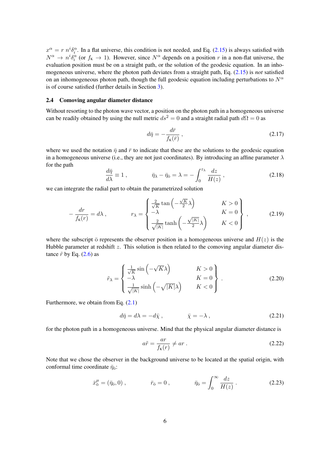$x^{\alpha} = r n^{i} \delta_{i}^{\alpha}$ . In a flat universe, this condition is not needed, and Eq. [\(2.15\)](#page-5-1) is always satisfied with  $N^{\alpha} \to n^{i} \delta_i^{\alpha}$  (or  $f_{\kappa} \to 1$ ). However, since  $N^{\alpha}$  depends on a position r in a non-flat universe, the evaluation position must be on a straight path, or the solution of the geodesic equation. In an inhomogeneous universe, where the photon path deviates from a straight path, Eq. [\(2.15\)](#page-5-1) is *not* satisfied on an inhomogeneous photon path, though the full geodesic equation including perturbations to  $N^{\alpha}$ is of course satisfied (further details in Section [3\)](#page-7-0).

#### <span id="page-6-0"></span>2.4 Comoving angular diameter distance

Without resorting to the photon wave vector, a position on the photon path in a homogeneous universe can be readily obtained by using the null metric  $ds^2 = 0$  and a straight radial path  $d\Omega = 0$  as

$$
d\bar{\eta} = -\frac{d\bar{r}}{f_{\rm K}(\bar{r})},\qquad(2.17)
$$

where we used the notation  $\bar{\eta}$  and  $\bar{r}$  to indicate that these are the solutions to the geodesic equation in a homogeneous universe (i.e., they are not just coordinates). By introducing an affine parameter  $\lambda$ for the path

<span id="page-6-3"></span>
$$
\frac{d\bar{\eta}}{d\lambda} \equiv 1 , \qquad \qquad \bar{\eta}_{\lambda} - \bar{\eta}_{\bar{0}} = \lambda = -\int_0^{z_{\lambda}} \frac{dz}{H(z)} , \qquad (2.18)
$$

we can integrate the radial part to obtain the parametrized solution

<span id="page-6-2"></span>
$$
-\frac{dr}{f_K(r)} = d\lambda , \qquad \qquad r_{\lambda} = \begin{cases} \frac{2}{\sqrt{K}} \tan\left(-\frac{\sqrt{K}}{2}\lambda\right) & K > 0\\ -\lambda & K = 0\\ \frac{2}{\sqrt{|K|}} \tanh\left(-\frac{\sqrt{|K|}}{2}\lambda\right) & K < 0 \end{cases} , \tag{2.19}
$$

where the subscript  $\bar{o}$  represents the observer position in a homogeneous universe and  $H(z)$  is the Hubble parameter at redshift  $z$ . This solution is then related to the comoving angular diameter distance  $\tilde{r}$  by Eq. [\(2.6\)](#page-4-2) as

<span id="page-6-4"></span>
$$
\tilde{r}_{\lambda} = \begin{cases}\n\frac{1}{\sqrt{K}} \sin\left(-\sqrt{K}\lambda\right) & K > 0 \\
-\lambda & K = 0 \\
\frac{1}{\sqrt{|K|}} \sinh\left(-\sqrt{|K|}\lambda\right) & K < 0\n\end{cases}
$$
\n(2.20)

Furthermore, we obtain from Eq. [\(2.1\)](#page-3-2)

$$
d\bar{\eta} = d\lambda = -d\bar{\chi} , \qquad \bar{\chi} = -\lambda , \qquad (2.21)
$$

for the photon path in a homogeneous universe. Mind that the physical angular diameter distance is

$$
a\tilde{r} = \frac{ar}{f_{\kappa}(r)} \neq ar.
$$
 (2.22)

Note that we chose the observer in the background universe to be located at the spatial origin, with conformal time coordinate  $\bar{\eta}_{\bar{o}}$ :

<span id="page-6-1"></span>
$$
\bar{x}_{\bar{0}}^{\mu} = (\bar{\eta}_{\bar{0}}, 0) , \qquad \bar{r}_{\bar{0}} = 0 , \qquad \bar{\eta}_{\bar{0}} = \int_{0}^{\infty} \frac{dz}{H(z)} .
$$
 (2.23)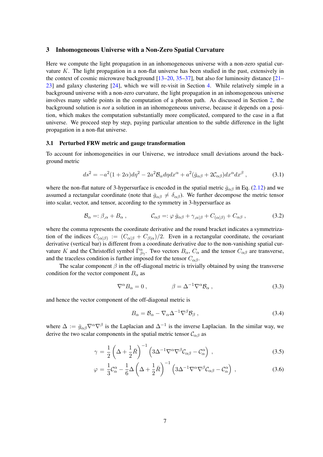#### <span id="page-7-0"></span>3 Inhomogeneous Universe with a Non-Zero Spatial Curvature

Here we compute the light propagation in an inhomogeneous universe with a non-zero spatial curvature K. The light propagation in a non-flat universe has been studied in the past, extensively in the context of cosmic microwave background  $[13–20, 35–37]$  $[13–20, 35–37]$  $[13–20, 35–37]$  $[13–20, 35–37]$  $[13–20, 35–37]$ , but also for luminosity distance  $[21–$ [23\]](#page-51-8) and galaxy clustering [\[24\]](#page-51-9), which we will re-visit in Section [4.](#page-22-0) While relatively simple in a background universe with a non-zero curvature, the light propagation in an inhomogeneous universe involves many subtle points in the computation of a photon path. As discussed in Section [2,](#page-3-0) the background solution is *not* a solution in an inhomogeneous universe, because it depends on a position, which makes the computation substantially more complicated, compared to the case in a flat universe. We proceed step by step, paying particular attention to the subtle difference in the light propagation in a non-flat universe.

#### <span id="page-7-1"></span>3.1 Perturbed FRW metric and gauge transformation

To account for inhomogeneities in our Universe, we introduce small deviations around the background metric

$$
ds^2 = -a^2(1+2\alpha)d\eta^2 - 2a^2\mathcal{B}_{\alpha}d\eta dx^{\alpha} + a^2(\bar{g}_{\alpha\beta} + 2\mathcal{C}_{\alpha\beta})dx^{\alpha}dx^{\beta} , \qquad (3.1)
$$

where the non-flat nature of 3-hypersurface is encoded in the spatial metric  $\bar{g}_{\alpha\beta}$  in Eq. [\(2.12\)](#page-5-2) and we assumed a rectangular coordinate (note that  $\bar{g}_{\alpha\beta} \neq \delta_{\alpha\beta}$ ). We further decompose the metric tensor into scalar, vector, and tensor, according to the symmetry in 3-hypersurface as

<span id="page-7-2"></span>
$$
\mathcal{B}_{\alpha} =: \beta_{,\alpha} + B_{\alpha} , \qquad \mathcal{C}_{\alpha\beta} =: \varphi \bar{g}_{\alpha\beta} + \gamma_{,\alpha|\beta} + C_{(\alpha|\beta)} + C_{\alpha\beta} , \qquad (3.2)
$$

where the comma represents the coordinate derivative and the round bracket indicates a symmetrization of the indices  $C_{(\alpha|\beta)} := (C_{\alpha|\beta} + C_{\beta|\alpha})/2$ . Even in a rectangular coordinate, the covariant derivative (vertical bar) is different from a coordinate derivative due to the non-vanishing spatial curvature K and the Christoffel symbol  $\overline{\Gamma}^{\alpha}_{\beta\gamma}$ . Two vectors  $B_{\alpha}$ ,  $C_{\alpha}$  and the tensor  $C_{\alpha\beta}$  are transverse, and the traceless condition is further imposed for the tensor  $C_{\alpha\beta}$ .

The scalar component  $\beta$  in the off-diagonal metric is trivially obtained by using the transverse condition for the vector component  $B_{\alpha}$  as

$$
\nabla^{\alpha} B_{\alpha} = 0 , \qquad \beta = \Delta^{-1} \nabla^{\alpha} B_{\alpha} , \qquad (3.3)
$$

and hence the vector component of the off-diagonal metric is

$$
B_{\alpha} = \mathcal{B}_{\alpha} - \nabla_{\alpha} \Delta^{-1} \nabla^{\beta} \mathcal{B}_{\beta} , \qquad (3.4)
$$

where  $\Delta := \bar{g}_{\alpha\beta} \nabla^{\alpha} \nabla^{\beta}$  is the Laplacian and  $\Delta^{-1}$  is the inverse Laplacian. In the similar way, we derive the two scalar components in the spatial metric tensor  $C_{\alpha\beta}$  as

$$
\gamma = \frac{1}{2} \left( \Delta + \frac{1}{2} \bar{R} \right)^{-1} \left( 3 \Delta^{-1} \nabla^{\alpha} \nabla^{\beta} \mathcal{C}_{\alpha \beta} - \mathcal{C}_{\alpha}^{\alpha} \right) , \qquad (3.5)
$$

$$
\varphi = \frac{1}{3}\mathcal{C}_{\alpha}^{\alpha} - \frac{1}{6}\Delta\left(\Delta + \frac{1}{2}\bar{R}\right)^{-1} \left(3\Delta^{-1}\nabla^{\alpha}\nabla^{\beta}\mathcal{C}_{\alpha\beta} - \mathcal{C}_{\alpha}^{\alpha}\right) ,\qquad (3.6)
$$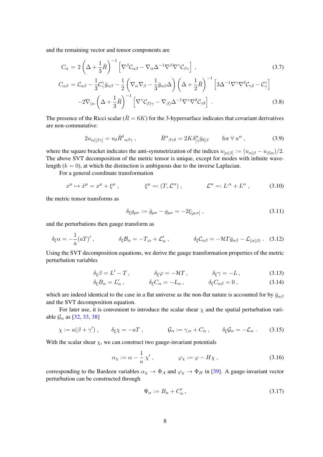and the remaining vector and tensor components are

$$
C_{\alpha} = 2\left(\Delta + \frac{1}{3}\bar{R}\right)^{-1} \left[\nabla^{\beta} \mathcal{C}_{\alpha\beta} - \nabla_{\alpha} \Delta^{-1} \nabla^{\beta} \nabla^{\gamma} \mathcal{C}_{\beta\gamma}\right],
$$
\n(3.7)

$$
C_{\alpha\beta} = C_{\alpha\beta} - \frac{1}{3}C_{\gamma}^{\gamma}\bar{g}_{\alpha\beta} - \frac{1}{2}\left(\nabla_{\alpha}\nabla_{\beta} - \frac{1}{3}\bar{g}_{\alpha\beta}\Delta\right)\left(\Delta + \frac{1}{2}\bar{R}\right)^{-1}\left[3\Delta^{-1}\nabla^{\gamma}\nabla^{\delta}C_{\gamma\delta} - C_{\gamma}^{\gamma}\right] -2\nabla_{(\alpha}\left(\Delta + \frac{1}{3}\bar{R}\right)^{-1}\left[\nabla^{\gamma}C_{\beta\gamma} - \nabla_{\beta}\Delta^{-1}\nabla^{\gamma}\nabla^{\delta}C_{\gamma\delta}\right].
$$
\n(3.8)

The presence of the Ricci scalar ( $\overline{R} = 6K$ ) for the 3-hypersurface indicates that covariant derivatives are non-commutative:

$$
2u_{\alpha\beta\gamma} = u_{\delta}\bar{R}^{\delta}{}_{\alpha\beta\gamma} , \qquad \qquad \bar{R}^{\alpha}{}_{\beta\gamma\delta} = 2K\delta^{\alpha}_{[\gamma}\bar{g}_{\delta]\beta} \qquad \text{for } \forall u^{\alpha} , \qquad (3.9)
$$

where the square bracket indicates the anti-symmetrization of the indices  $u_{[\alpha|\beta]} := (u_{\alpha|\beta} - u_{\beta|\alpha})/2$ . The above SVT decomposition of the metric tensor is unique, except for modes with infinite wavelength  $(k = 0)$ , at which the distinction is ambiguous due to the inverse Laplacian.

For a general coordinate transformation

<span id="page-8-1"></span>
$$
x^{\mu} \mapsto \hat{x}^{\mu} = x^{\mu} + \xi^{\mu} , \qquad \xi^{\mu} =: (T, \mathcal{L}^{\alpha}) , \qquad \mathcal{L}^{\alpha} =: L^{\alpha} + L^{\alpha} , \qquad (3.10)
$$

the metric tensor transforms as

$$
\delta_{\xi} g_{\mu\nu} := \hat{g}_{\mu\nu} - g_{\mu\nu} = -2\xi_{[\mu;\nu]}, \qquad (3.11)
$$

and the perturbations then gauge transform as

<span id="page-8-0"></span>
$$
\delta_{\xi}\alpha = -\frac{1}{a}(aT)' , \qquad \delta_{\xi}\mathcal{B}_{\alpha} = -T_{,\alpha} + \mathcal{L}'_{\alpha} , \qquad \delta_{\xi}\mathcal{C}_{\alpha\beta} = -\mathcal{H}T\bar{g}_{\alpha\beta} - \mathcal{L}_{(\alpha|\beta)} . \quad (3.12)
$$

Using the SVT decomposition equations, we derive the gauge transformation properties of the metric perturbation variables

$$
\delta_{\xi}\beta = L' - T, \qquad \delta_{\xi}\varphi = -\mathcal{H}T, \qquad \delta_{\xi}\gamma = -L, \qquad (3.13)
$$

$$
\delta_{\xi} B_{\alpha} = L'_{\alpha} , \qquad \qquad \delta_{\xi} C_{\alpha} = -L_{\alpha} , \qquad \qquad \delta_{\xi} C_{\alpha\beta} = 0 , \qquad (3.14)
$$

which are indeed identical to the case in a flat universe as the non-flat nature is accounted for by  $\bar{g}_{\alpha\beta}$ and the SVT decomposition equation.

For later use, it is convenient to introduce the scalar shear  $\chi$  and the spatial perturbation variable  $\mathcal{G}_{\alpha}$  as [\[32,](#page-51-13) [33,](#page-51-14) [38\]](#page-52-1)

<span id="page-8-2"></span>
$$
\chi := a(\beta + \gamma'), \qquad \delta_{\xi}\chi = -aT, \qquad \qquad \mathcal{G}_{\alpha} := \gamma_{,\alpha} + C_{\alpha}, \qquad \delta_{\xi}\mathcal{G}_{\alpha} = -\mathcal{L}_{\alpha}. \qquad (3.15)
$$

With the scalar shear  $\chi$ , we can construct two gauge-invariant potentials

$$
\alpha_{\chi} := \alpha - \frac{1}{a} \chi', \qquad \varphi_{\chi} := \varphi - H\chi, \qquad (3.16)
$$

corresponding to the Bardeen variables  $\alpha_{\chi} \to \Phi_A$  and  $\varphi_{\chi} \to \Phi_H$  in [\[39\]](#page-52-2). A gauge-invariant vector perturbation can be constructed through

$$
\Psi_{\alpha} := B_{\alpha} + C'_{\alpha},\tag{3.17}
$$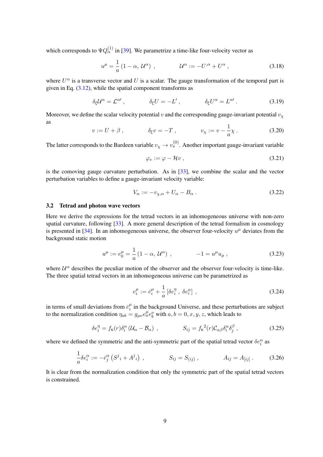which corresponds to  $\Psi Q_{\alpha}^{(1)}$  in [\[39\]](#page-52-2). We parametrize a time-like four-velocity vector as

<span id="page-9-1"></span>
$$
u^{\mu} = \frac{1}{a} \left( 1 - \alpha, \, \mathcal{U}^{\alpha} \right) , \qquad \qquad \mathcal{U}^{\alpha} := -U^{\alpha} + U^{\alpha} , \tag{3.18}
$$

where  $U^{\alpha}$  is a transverse vector and U is a scalar. The gauge transformation of the temporal part is given in Eq.  $(3.12)$ , while the spatial component transforms as

$$
\delta_{\xi} \mathcal{U}^{\alpha} = \mathcal{L}^{\alpha \prime} , \qquad \qquad \delta_{\xi} U = -L' , \qquad \qquad \delta_{\xi} U^{\alpha} = L^{\alpha \prime} . \qquad (3.19)
$$

Moreover, we define the scalar velocity potential v and the corresponding gauge-invariant potential  $v<sub>x</sub>$ as 1

$$
v := U + \beta
$$
,  $\delta_{\xi} v = -T$ ,  $v_{\chi} := v - \frac{1}{a} \chi$ . (3.20)

The latter corresponds to the Bardeen variable  $v_\chi \to v_s^{(0)}$ . Another important gauge-invariant variable

$$
\varphi_v := \varphi - \mathcal{H}v \,, \tag{3.21}
$$

is the comoving gauge curvature perturbation. As in [\[33\]](#page-51-14), we combine the scalar and the vector perturbation variables to define a gauge-invariant velocity variable:

<span id="page-9-2"></span>
$$
V_{\alpha} := -v_{\chi,\alpha} + U_{\alpha} - B_{\alpha} \,. \tag{3.22}
$$

#### <span id="page-9-0"></span>3.2 Tetrad and photon wave vectors

Here we derive the expressions for the tetrad vectors in an inhomogeneous universe with non-zero spatial curvature, following [\[33\]](#page-51-14). A more general description of the tetrad formalism in cosmology is presented in [\[34\]](#page-51-15). In an inhomogeneous universe, the observer four-velocity  $u^{\mu}$  deviates from the background static motion

<span id="page-9-3"></span>
$$
u^{\mu} := e_0^{\mu} = \frac{1}{a} \left( 1 - \alpha, \, \mathcal{U}^{\alpha} \right) , \qquad -1 = u^{\mu} u_{\mu} \,, \tag{3.23}
$$

where  $\mathcal{U}^{\alpha}$  describes the peculiar motion of the observer and the observer four-velocity is time-like. The three spatial tetrad vectors in an inhomogeneous universe can be parametrized as

$$
e_i^{\mu} := \bar{e}_i^{\mu} + \frac{1}{a} \left[ \delta e_i^{\eta} , \ \delta e_i^{\alpha} \right] \,, \tag{3.24}
$$

in terms of small deviations from  $\bar{e}^{\mu}_{i}$  $i$  in the background Universe, and these perturbations are subject to the normalization condition  $\eta_{ab} = g_{\mu\nu} e_a^{\mu} e_b^{\nu}$  with  $a, b = 0, x, y, z$ , which leads to

$$
\delta e_i^{\eta} = f_{\kappa}(r) \delta_i^{\alpha} \left( \mathcal{U}_{\alpha} - \mathcal{B}_{\alpha} \right) , \qquad S_{ij} = f_{\kappa}^{\ 2}(r) \mathcal{C}_{\alpha\beta} \delta_i^{\alpha} \delta_j^{\beta} , \qquad (3.25)
$$

where we defined the symmetric and the anti-symmetric part of the spatial tetrad vector  $\delta e_i^{\alpha}$  as

$$
\frac{1}{a}\delta e_i^{\alpha} := -\bar{e}_j^{\alpha} \left( S^j{}_i + A^j{}_i \right) , \qquad S_{ij} = S_{(ij)} , \qquad A_{ij} = A_{[ij]} . \qquad (3.26)
$$

It is clear from the normalization condition that only the symmetric part of the spatial tetrad vectors is constrained.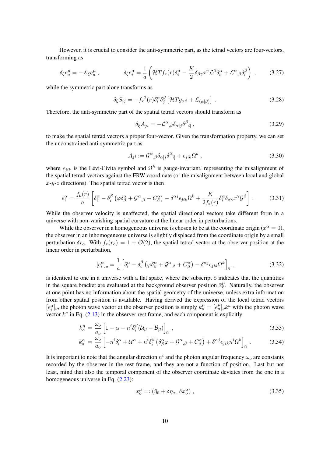However, it is crucial to consider the anti-symmetric part, as the tetrad vectors are four-vectors, transforming as

$$
\delta_{\xi} e^{\mu}_{a} = -\pounds_{\xi} \bar{e}^{\mu}_{a} , \qquad \qquad \delta_{\xi} e^{\alpha}_{i} = \frac{1}{a} \left( \mathcal{H} T f_{\kappa}(r) \delta^{\alpha}_{i} - \frac{K}{2} \delta_{\beta \gamma} x^{\gamma} \mathcal{L}^{\beta} \delta^{\alpha}_{i} + \mathcal{L}^{\alpha}{}_{,\beta} \delta^{\beta}_{i} \right) , \qquad (3.27)
$$

while the symmetric part alone transforms as

$$
\delta_{\xi} S_{ij} = -f_{\kappa}^{2}(r) \delta_{i}^{\alpha} \delta_{j}^{\beta} \left[ \mathcal{H} T \bar{g}_{\alpha\beta} + \mathcal{L}_{(\alpha|\beta)} \right] . \tag{3.28}
$$

Therefore, the anti-symmetric part of the spatial tetrad vectors should transform as

$$
\delta_{\xi} A_{ji} = -\mathcal{L}^{\alpha}{}_{,\beta} \delta_{\alpha[j} \delta^{\beta}{}_{i]}, \qquad (3.29)
$$

to make the spatial tetrad vectors a proper four-vector. Given the transformation property, we can set the unconstrained anti-symmetric part as

$$
A_{ji} := \mathcal{G}^{\alpha}{}_{,\beta} \delta_{\alpha[j} \delta^{\beta}{}_{i]} + \epsilon_{jik} \Omega^k , \qquad (3.30)
$$

where  $\epsilon_{jik}$  is the Levi-Civita symbol and  $\Omega^k$  is gauge-invariant, representing the misalignment of the spatial tetrad vectors against the FRW coordinate (or the misalignment between local and global  $x-y-z$  directions). The spatial tetrad vector is then

<span id="page-10-1"></span>
$$
e_i^{\alpha} = \frac{f_{\kappa}(r)}{a} \left[ \delta_i^{\alpha} - \delta_i^{\beta} \left( \varphi \delta_{\beta}^{\alpha} + \mathcal{G}^{\alpha},_{\beta} + C^{\alpha}_{\beta} \right) - \delta^{\alpha j} \epsilon_{jik} \Omega^k + \frac{K}{2f_{\kappa}(r)} \delta_i^{\alpha} \delta_{\beta \gamma} x^{\gamma} \mathcal{G}^{\beta} \right] \,. \tag{3.31}
$$

While the observer velocity is unaffected, the spatial directional vectors take different form in a universe with non-vanishing spatial curvature at the linear order in perturbations.

While the observer in a homogeneous universe is chosen to be at the coordinate origin ( $x^{\alpha} = 0$ ), the observer in an inhomogeneous universe is slightly displaced from the coordinate origin by a small perturbation  $\delta r_o$ . With  $f_K(r_o) = 1 + \mathcal{O}(2)$ , the spatial tetrad vector at the observer position at the linear order in perturbation,

$$
[e_i^{\alpha}]_o = \frac{1}{a} \left[ \delta_i^{\alpha} - \delta_i^{\beta} \left( \varphi \delta_{\beta}^{\alpha} + \mathcal{G}^{\alpha}{}_{,\beta} + C^{\alpha}_{\beta} \right) - \delta^{\alpha j} \epsilon_{jik} \Omega^k \right]_{\bar{o}} , \qquad (3.32)
$$

is identical to one in a universe with a flat space, where the subscript  $\bar{o}$  indicates that the quantities in the square bracket are evaluated at the background observer position  $\bar{x}^\mu_{\bar{o}}$ . Naturally, the observer at one point has no information about the spatial geometry of the universe, unless extra information from other spatial position is available. Having derived the expression of the local tetrad vectors  $[e_i^{\alpha}]_o$ , the photon wave vector at the observer position is simply  $k_0^{\mu} = [e_a^{\mu}]_o k^a$  with the photon wave vector  $k^a$  in Eq. [\(2.13\)](#page-5-3) in the observer rest frame, and each component is explicitly

<span id="page-10-0"></span>
$$
k_o^{\eta} = \frac{\omega_o}{a_o} \left[ 1 - \alpha - n^i \delta_i^{\beta} (\mathcal{U}_{\beta} - \mathcal{B}_{\beta}) \right]_{\bar{o}}, \qquad (3.33)
$$

$$
k_o^{\alpha} = \frac{\omega_o}{a_o} \left[ -n^i \delta_i^{\alpha} + \mathcal{U}^{\alpha} + n^i \delta_i^{\beta} \left( \delta_{\beta}^{\alpha} \varphi + \mathcal{G}^{\alpha}{}_{,\beta} + C_{\beta}^{\alpha} \right) + \delta^{\alpha j} \epsilon_{jik} n^i \Omega^k \right]_{\bar{\sigma}} . \tag{3.34}
$$

It is important to note that the angular direction  $n^i$  and the photon angular frequency  $\omega_o$  are constants recorded by the observer in the rest frame, and they are not a function of position. Last but not least, mind that also the temporal component of the observer coordinate deviates from the one in a homogeneous universe in Eq.  $(2.23)$ :

$$
x_o^{\mu} =: (\bar{\eta}_\text{o} + \delta \eta_o, \ \delta x_o^{\alpha}), \tag{3.35}
$$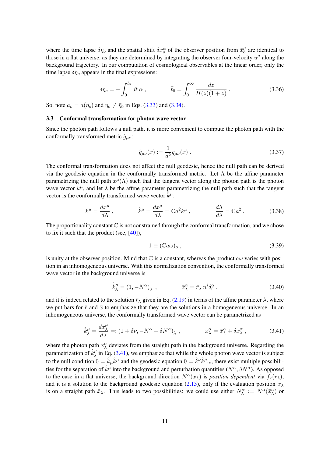where the time lapse  $\delta\eta_o$  and the spatial shift  $\delta x_o^{\alpha}$  of the observer position from  $\bar{x}_{\bar{o}}^{\mu}$  are identical to those in a flat universe, as they are determined by integrating the observer four-velocity  $u^{\mu}$  along the background trajectory. In our computation of cosmological observables at the linear order, only the time lapse  $\delta\eta_o$  appears in the final expressions:

$$
\delta \eta_o = -\int_0^{\bar{t}_{\bar{o}}} dt \, \alpha \,, \qquad \qquad \bar{t}_{\bar{o}} = \int_0^\infty \frac{dz}{H(z)(1+z)} \,. \tag{3.36}
$$

So, note  $a_o = a(\eta_o)$  and  $\eta_o \neq \bar{\eta}_o$  in Eqs. [\(3.33\)](#page-10-0) and [\(3.34\)](#page-10-0).

#### <span id="page-11-0"></span>3.3 Conformal transformation for photon wave vector

Since the photon path follows a null path, it is more convenient to compute the photon path with the conformally transformed metric  $\hat{g}_{\mu\nu}$ :

$$
\hat{g}_{\mu\nu}(x) := \frac{1}{a^2} g_{\mu\nu}(x) \,. \tag{3.37}
$$

The conformal transformation does not affect the null geodesic, hence the null path can be derived via the geodesic equation in the conformally transformed metric. Let Λ be the affine parameter parametrizing the null path  $x^{\mu}(\Lambda)$  such that the tangent vector along the photon path is the photon wave vector  $k^{\mu}$ , and let  $\lambda$  be the affine parameter parametrizing the null path such that the tangent vector is the conformally transformed wave vector  $\hat{k}^{\mu}$ :

<span id="page-11-2"></span>
$$
k^{\mu} = \frac{dx^{\mu}}{d\Lambda}, \qquad \hat{k}^{\mu} = \frac{dx^{\mu}}{d\lambda} = \mathbb{C}a^{2}k^{\mu}, \qquad \frac{d\Lambda}{d\lambda} = \mathbb{C}a^{2}. \qquad (3.38)
$$

The proportionality constant  $\mathbb C$  is not constrained through the conformal transformation, and we chose to fix it such that the product (see,  $[40]$ ),

<span id="page-11-3"></span>
$$
1 \equiv (\mathbb{C}a\omega)_o \,, \tag{3.39}
$$

is unity at the observer position. Mind that  $\mathbb C$  is a constant, whereas the product  $a\omega$  varies with position in an inhomogeneous universe. With this normalization convention, the conformally transformed wave vector in the background universe is

$$
\hat{\bar{k}}^{\mu}_{\lambda} = (1, -N^{\alpha})_{\lambda} , \qquad \qquad \bar{x}^{\alpha}_{\lambda} = \bar{r}_{\lambda} n^{i} \delta^{\alpha}_{i} , \qquad (3.40)
$$

and it is indeed related to the solution  $\bar{r}_{\lambda}$  given in Eq. [\(2.19\)](#page-6-2) in terms of the affine parameter  $\lambda$ , where we put bars for  $\bar{r}$  and  $\bar{x}$  to emphasize that they are the solutions in a homogeneous universe. In an inhomogeneous universe, the conformally transformed wave vector can be parametrized as

<span id="page-11-1"></span>
$$
\hat{k}_{\lambda}^{\mu} = \frac{dx_{\lambda}^{\mu}}{d\lambda} =: (1 + \delta\nu, -N^{\alpha} - \delta N^{\alpha})_{\lambda} , \qquad x_{\lambda}^{\alpha} = \bar{x}_{\lambda}^{\alpha} + \delta x_{\lambda}^{\alpha} , \qquad (3.41)
$$

where the photon path  $x^{\alpha}_{\lambda}$  deviates from the straight path in the background universe. Regarding the parametrization of  $\hat{k}_{\lambda}^{\mu}$  $\mu_{\lambda}^{\mu}$  in Eq. [\(3.41\)](#page-11-1), we emphasize that while the whole photon wave vector is subject to the null condition  $0 = \hat{k}_{\mu} \hat{k}^{\mu}$  and the geodesic equation  $0 = \hat{k}^{\nu} \hat{k}^{\mu}{}_{;\nu}$ , there exist multiple possibilities for the separation of  $\hat{k}^{\mu}$  into the background and perturbation quantities ( $N^{\alpha}$ ,  $\delta N^{\alpha}$ ). As opposed to the case in a flat universe, the background direction  $N^{\alpha}(x_{\lambda})$  is *position dependent* via  $f_{K}(r_{\lambda})$ , and it is a solution to the background geodesic equation [\(2.15\)](#page-5-1), only if the evaluation position  $x_{\lambda}$ is on a straight path  $\bar{x}_{\lambda}$ . This leads to two possibilities: we could use either  $N_{\lambda}^{\alpha} := N^{\alpha}(\bar{x}_{\lambda}^{\alpha})$  or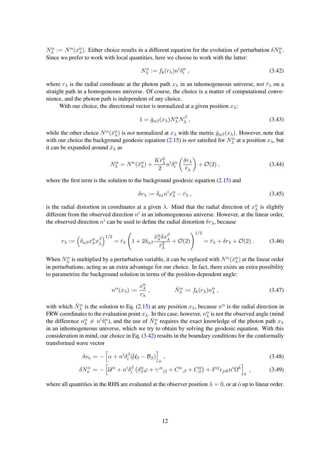$N_{\lambda}^{\alpha} := N^{\alpha}(x_{\lambda}^{\alpha})$ . Either choice results in a different equation for the evolution of perturbation  $\delta N_{\lambda}^{\alpha}$ . Since we prefer to work with local quantities, here we choose to work with the latter:

<span id="page-12-0"></span>
$$
N_{\lambda}^{\alpha} := f_{\kappa}(r_{\lambda}) n^{i} \delta_{i}^{\alpha} , \qquad (3.42)
$$

where  $r_{\lambda}$  is the radial coordinate at the photon path  $x_{\lambda}$  in an inhomogeneous universe, *not*  $\bar{r}_{\lambda}$  on a straight path in a homogeneous universe. Of course, the choice is a matter of computational convenience, and the photon path is independent of any choice.

With our choice, the directional vector is normalized at a given position  $x_{\lambda}$ :

$$
1 = \bar{g}_{\alpha\beta}(x_{\lambda}) N_{\lambda}^{\alpha} N_{\lambda}^{\beta} , \qquad (3.43)
$$

while the other choice  $N^{\alpha}(\bar{x}_{\lambda}^{\alpha})$  is *not* normalized at  $x_{\lambda}$  with the metric  $\bar{g}_{\alpha\beta}(x_{\lambda})$ . However, note that with our choice the background geodesic equation [\(2.15\)](#page-5-1) is *not* satisfied for  $N_\lambda^\alpha$  at a position  $x_\lambda$ , but it can be expanded around  $\bar{x}_{\lambda}$  as

<span id="page-12-3"></span>
$$
N_{\lambda}^{\alpha} = N^{\alpha}(\bar{x}_{\lambda}^{\alpha}) + \frac{K\bar{r}_{\lambda}^{2}}{2}n^{i}\delta_{i}^{\alpha}\left(\frac{\delta r_{\lambda}}{\bar{r}_{\lambda}}\right) + \mathcal{O}(2) , \qquad (3.44)
$$

where the first term is the solution to the background geodesic equation  $(2.15)$  and

<span id="page-12-4"></span>
$$
\delta r_{\lambda} := \delta_{i\alpha} n^i x_{\lambda}^{\alpha} - \bar{r}_{\lambda} , \qquad (3.45)
$$

is the radial distortion in coordinates at a given  $\lambda$ . Mind that the radial direction of  $x^{\alpha}_{\lambda}$  is slightly different from the observed direction  $n^i$  in an inhomogeneous universe. However, at the linear order, the observed direction  $n^i$  can be used to define the radial distortion  $\delta r_{\lambda}$ , because

<span id="page-12-2"></span>
$$
r_{\lambda} := \left(\delta_{\alpha\beta} x_{\lambda}^{\alpha} x_{\lambda}^{\beta}\right)^{1/2} = \bar{r}_{\lambda} \left(1 + 2\delta_{\alpha\beta} \frac{\bar{x}_{\lambda}^{\alpha} \delta x_{\lambda}^{\beta}}{\bar{r}_{\lambda}^{2}} + \mathcal{O}(2)\right)^{1/2} = \bar{r}_{\lambda} + \delta r_{\lambda} + \mathcal{O}(2) \ . \tag{3.46}
$$

When  $N_\lambda^\alpha$  is multiplied by a perturbation variable, it can be replaced with  $N^\alpha(\bar{x}_\lambda^\alpha)$  at the linear order in perturbations, acting as an extra advantage for our choice. In fact, there exists an extra possibility to parametrize the background solution in terms of the position-dependent angle:

$$
n^{\alpha}(x_{\lambda}) := \frac{x_{\lambda}^{\alpha}}{r_{\lambda}}, \qquad \bar{N}_{\lambda}^{\alpha} := f_{\kappa}(r_{\lambda}) n_{\lambda}^{\alpha}, \qquad (3.47)
$$

with which  $\bar{N}_{\lambda}^{\alpha}$  is the solution to Eq. [\(2.15\)](#page-5-1) at any position  $x_{\lambda}$ , because  $n^{\alpha}$  is the radial direction in FRW coordinates to the evaluation point  $x_\lambda$ . In this case, however,  $n_\lambda^\alpha$  is not the observed angle (mind the difference  $n_{\lambda}^{\alpha} \neq n^{i} \delta_{i}^{\alpha}$ , and the use of  $\bar{N}_{\lambda}^{\alpha}$  requires the exact knowledge of the photon path  $x_{\lambda}$ in an inhomogeneous universe, which we try to obtain by solving the geodesic equation. With this consideration in mind, our choice in Eq.  $(3.42)$  results in the boundary conditions for the conformally transformed wave vector

<span id="page-12-1"></span>
$$
\delta \nu_o = -\left[\alpha + n^i \delta_i^\beta (\mathcal{U}_\beta - \mathcal{B}_\beta)\right]_{\bar{o}}, \qquad (3.48)
$$

$$
\delta N_o^{\alpha} = -\left[ \mathcal{U}^{\alpha} + n^i \delta_i^{\beta} \left( \delta_{\beta}^{\alpha} \varphi + \gamma^{\alpha}{}_{|\beta} + C^{\alpha}{}_{,\beta} + C^{\alpha}{}_{,\beta} \right) + \delta^{\alpha j} \epsilon_{jik} n^i \Omega^k \right]_{\bar{\sigma}}, \tag{3.49}
$$

where all quantities in the RHS are evaluated at the observer position  $\lambda = 0$ , or at  $\bar{o}$  up to linear order.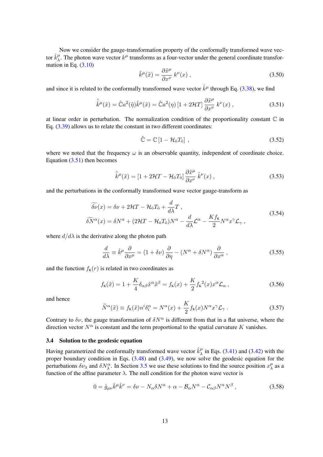Now we consider the gauge-transformation property of the conformally transformed wave vector  $\hat k_\lambda^\mu$  $\mu$ . The photon wave vector  $k^{\mu}$  transforms as a four-vector under the general coordinate transformation in Eq.  $(3.10)$ 

$$
\tilde{k}^{\mu}(\tilde{x}) = \frac{\partial \tilde{x}^{\mu}}{\partial x^{\nu}} k^{\nu}(x) , \qquad (3.50)
$$

and since it is related to the conformally transformed wave vector  $\hat{k}^{\mu}$  through Eq. [\(3.38\)](#page-11-2), we find

<span id="page-13-1"></span>
$$
\tilde{\hat{k}}^{\mu}(\tilde{x}) = \tilde{C}a^2(\tilde{\eta})\tilde{k}^{\mu}(\tilde{x}) = \tilde{C}a^2(\eta) \left[1 + 2\mathcal{H}T\right] \frac{\partial \tilde{x}^{\mu}}{\partial x^{\nu}} k^{\nu}(x) ,
$$
\n(3.51)

at linear order in perturbation. The normalization condition of the proportionality constant  $\mathbb C$  in Eq. [\(3.39\)](#page-11-3) allows us to relate the constant in two different coordinates:

$$
\tilde{\mathbb{C}} = \mathbb{C} \left[ 1 - \mathcal{H}_0 T_0 \right] \,, \tag{3.52}
$$

where we noted that the frequency  $\omega$  is an observable quantity, independent of coordinate choice. Equation [\(3.51\)](#page-13-1) then becomes

$$
\tilde{\hat{k}}^{\mu}(\tilde{x}) = [1 + 2\mathcal{H}T - \mathcal{H}_{\bar{0}}T_{\bar{0}}] \frac{\partial \tilde{x}^{\mu}}{\partial x^{\nu}} \hat{k}^{\nu}(x) , \qquad (3.53)
$$

<span id="page-13-3"></span>and the perturbations in the conformally transformed wave vector gauge-transform as

$$
\widetilde{\delta \nu}(x) = \delta \nu + 2\mathcal{H}T - \mathcal{H}_{\bar{o}}T_{\bar{o}} + \frac{d}{d\lambda}T ,
$$
\n
$$
\widetilde{\delta N}^{\alpha}(x) = \delta N^{\alpha} + (2\mathcal{H}T - \mathcal{H}_{\bar{o}}T_{\bar{o}})N^{\alpha} - \frac{d}{d\lambda}\mathcal{L}^{\alpha} - \frac{Kf_{\kappa}}{2}N^{\alpha}x^{\gamma}\mathcal{L}_{\gamma} ,
$$
\n(3.54)

where  $d/d\lambda$  is the derivative along the photon path

<span id="page-13-2"></span>
$$
\frac{d}{d\lambda} \equiv \hat{k}^{\mu} \frac{\partial}{\partial x^{\mu}} = (1 + \delta \nu) \frac{\partial}{\partial \eta} - (N^{\alpha} + \delta N^{\alpha}) \frac{\partial}{\partial x^{\alpha}}, \qquad (3.55)
$$

and the function  $f_K(r)$  is related in two coordinates as

$$
f_{\mathbf{K}}(\tilde{x}) = 1 + \frac{K}{4} \delta_{\alpha\beta} \tilde{x}^{\alpha} \tilde{x}^{\beta} = f_{\mathbf{K}}(x) + \frac{K}{2} f_{\mathbf{K}}^2(x) x^{\alpha} \mathcal{L}_{\alpha} , \qquad (3.56)
$$

and hence

$$
\widetilde{N}^{\alpha}(\tilde{x}) \equiv f_{\kappa}(\tilde{x}) n^{i} \delta_{i}^{\alpha} = N^{\alpha}(x) + \frac{K}{2} f_{\kappa}(x) N^{\alpha} x^{\gamma} \mathcal{L}_{\gamma} . \tag{3.57}
$$

Contrary to  $\delta \nu$ , the gauge transformation of  $\delta N^{\alpha}$  is different from that in a flat universe, where the direction vector  $N^{\alpha}$  is constant and the term proportional to the spatial curvature K vanishes.

#### <span id="page-13-0"></span>3.4 Solution to the geodesic equation

Having parametrized the conformally transformed wave vector  $\hat{k}_{\lambda}^{\mu}$  $\frac{\mu}{\lambda}$  in Eqs. [\(3.41\)](#page-11-1) and [\(3.42\)](#page-12-0) with the proper boundary condition in Eqs. [\(3.48\)](#page-12-1) and [\(3.49\)](#page-12-1), we now solve the geodesic equation for the perturbations  $\delta \nu_\lambda$  and  $\delta N^\alpha_\lambda$ . In Section [3.5](#page-18-0) we use these solutions to find the source position  $x_\lambda^\mu$  $\frac{\mu}{\lambda}$  as a function of the affine parameter  $\lambda$ . The null condition for the photon wave vector is

<span id="page-13-4"></span>
$$
0 = \hat{g}_{\mu\nu}\hat{k}^{\mu}\hat{k}^{\nu} = \delta\nu - N_{\alpha}\delta N^{\alpha} + \alpha - \mathcal{B}_{\alpha}N^{\alpha} - \mathcal{C}_{\alpha\beta}N^{\alpha}N^{\beta} , \qquad (3.58)
$$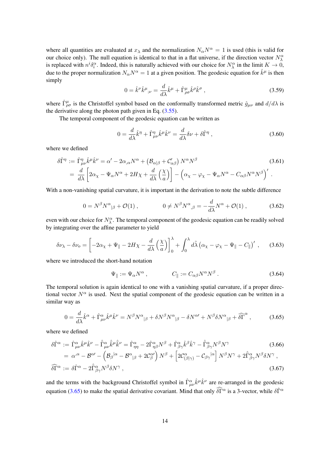where all quantities are evaluated at  $x_{\lambda}$  and the normalization  $N_{\alpha}N^{\alpha} = 1$  is used (this is valid for our choice only). The null equation is identical to that in a flat universe, if the direction vector  $N_\lambda^{\alpha}$ is replaced with  $n^i \delta_i^{\alpha}$ . Indeed, this is naturally achieved with our choice for  $N^{\alpha}_{\lambda}$  in the limit  $K \to 0$ , due to the proper normalization  $N_{\alpha}N^{\alpha} = 1$  at a given position. The geodesic equation for  $\hat{k}^{\mu}$  is then simply

$$
0 = \hat{k}^{\nu}\hat{k}^{\mu}{}_{;\nu} = \frac{d}{d\lambda}\hat{k}^{\mu} + \hat{\Gamma}^{\mu}_{\rho\sigma}\hat{k}^{\rho}\hat{k}^{\sigma} \,, \tag{3.59}
$$

where  $\hat{\Gamma}^{\mu}_{\rho\sigma}$  is the Christoffel symbol based on the conformally transformed metric  $\hat{g}_{\mu\nu}$  and  $d/d\lambda$  is the derivative along the photon path given in Eq.  $(3.55)$ .

The temporal component of the geodesic equation can be written as

$$
0 = \frac{d}{d\lambda}\hat{k}^{\eta} + \hat{\Gamma}^{\eta}_{\mu\nu}\hat{k}^{\mu}\hat{k}^{\nu} = \frac{d}{d\lambda}\delta\nu + \delta\hat{\Gamma}^{\eta} , \qquad (3.60)
$$

where we defined

$$
\delta\hat{\Gamma}^{\eta} := \hat{\Gamma}^{\eta}_{\mu\nu}\hat{k}^{\mu}\hat{k}^{\nu} = \alpha' - 2\alpha_{,\alpha}N^{\alpha} + \left(\mathcal{B}_{\alpha|\beta} + \mathcal{C}'_{\alpha\beta}\right)N^{\alpha}N^{\beta}
$$
\n
$$
= \frac{d}{d\lambda}\left[2\alpha_{\chi} - \Psi_{\alpha}N^{\alpha} + 2H\chi + \frac{d}{d\lambda}\left(\frac{\chi}{a}\right)\right] - \left(\alpha_{\chi} - \varphi_{\chi} - \Psi_{\alpha}N^{\alpha} - C_{\alpha\beta}N^{\alpha}N^{\beta}\right)'
$$
\n(3.61)

With a non-vanishing spatial curvature, it is important in the derivation to note the subtle difference

$$
0 = N^{\beta} N^{\alpha}{}_{|\beta} + \mathcal{O}(1) , \qquad 0 \neq N^{\beta} N^{\alpha}{}_{,\beta} = -\frac{d}{d\lambda} N^{\alpha} + \mathcal{O}(1) , \qquad (3.62)
$$

even with our choice for  $N_{\lambda}^{\alpha}$ . The temporal component of the geodesic equation can be readily solved by integrating over the affine parameter to yield

<span id="page-14-1"></span>
$$
\delta \nu_{\lambda} - \delta \nu_{o} = \left[ -2\alpha_{\chi} + \Psi_{\parallel} - 2H\chi - \frac{d}{d\lambda} \left( \frac{\chi}{a} \right) \right]_{0}^{\lambda} + \int_{0}^{\lambda} d\tilde{\lambda} \left( \alpha_{\chi} - \varphi_{\chi} - \Psi_{\parallel} - C_{\parallel} \right)' , \quad (3.63)
$$

where we introduced the short-hand notation

$$
\Psi_{\parallel} := \Psi_{\alpha} N^{\alpha} , \qquad C_{\parallel} := C_{\alpha\beta} N^{\alpha} N^{\beta} . \qquad (3.64)
$$

The temporal solution is again identical to one with a vanishing spatial curvature, if a proper directional vector  $N^{\alpha}$  is used. Next the spatial component of the geodesic equation can be written in a similar way as

<span id="page-14-0"></span>
$$
0 = \frac{d}{d\lambda}\hat{k}^{\alpha} + \hat{\Gamma}^{\alpha}_{\mu\nu}\hat{k}^{\mu}\hat{k}^{\nu} = N^{\beta}N^{\alpha}{}_{|\beta} + \delta N^{\beta}N^{\alpha}{}_{|\beta} - \delta N^{\alpha\prime} + N^{\beta}\delta N^{\alpha}{}_{|\beta} + \widehat{\delta\Gamma}^{\alpha} \,,\tag{3.65}
$$

where we defined

$$
\delta\hat{\Gamma}^{\alpha} := \hat{\Gamma}^{\alpha}_{\mu\nu}\hat{k}^{\mu}\hat{k}^{\nu} - \hat{\Gamma}^{\alpha}_{\mu\nu}\hat{k}^{\mu}\hat{k}^{\nu} = \hat{\Gamma}^{\alpha}_{\eta\eta} - 2\hat{\Gamma}^{\alpha}_{\eta\beta}N^{\beta} + \hat{\Gamma}^{\alpha}_{\beta\gamma}\hat{k}^{\beta}\hat{k}^{\gamma} - \hat{\Gamma}^{\alpha}_{\beta\gamma}N^{\beta}N^{\gamma} \n= \alpha^{\alpha} - \mathcal{B}^{\alpha\prime} - \left(\mathcal{B}_{\beta}|\alpha - \mathcal{B}^{\alpha}|_{\beta} + 2\mathcal{C}^{\alpha\prime}_{\beta}\right)N^{\beta} + \left[2\mathcal{C}^{\alpha}_{(\beta|\gamma)} - \mathcal{C}_{\beta\gamma}|\alpha\right]N^{\beta}N^{\gamma} + 2\hat{\Gamma}^{\alpha}_{\beta\gamma}N^{\beta}\delta N^{\gamma},
$$
\n(3.66)

$$
\widehat{\delta \Gamma}^{\alpha} := \delta \widehat{\Gamma}^{\alpha} - 2 \widehat{\Gamma}^{\alpha}_{\beta \gamma} N^{\beta} \delta N^{\gamma} , \qquad (3.67)
$$

and the terms with the background Christoffel symbol in  $\hat{\Gamma}^{\alpha}_{\mu\nu}\hat{k}^{\mu}\hat{k}^{\nu}$  are re-arranged in the geodesic equation [\(3.65\)](#page-14-0) to make the spatial derivative covariant. Mind that only  $\widehat{\delta\Gamma}^\alpha$  is a 3-vector, while  $\delta\widehat{\Gamma}^\alpha$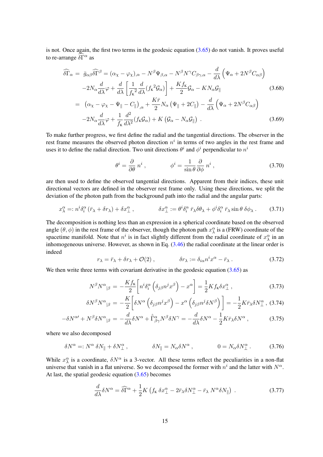is not. Once again, the first two terms in the geodesic equation [\(3.65\)](#page-14-0) do not vanish. It proves useful to re-arrange  $\delta\vec{\Gamma}^{\alpha}$  as

<span id="page-15-0"></span>
$$
\widehat{\delta\Gamma}_{\alpha} = \bar{g}_{\alpha\beta}\widehat{\delta\Gamma}^{\beta} = (\alpha_{\chi} - \varphi_{\chi})_{,\alpha} - N^{\beta}\Psi_{\beta,\alpha} - N^{\beta}N^{\gamma}C_{\beta\gamma,\alpha} - \frac{d}{d\lambda}\left(\Psi_{\alpha} + 2N^{\beta}C_{\alpha\beta}\right) \n-2N_{\alpha}\frac{d}{d\lambda}\varphi + \frac{d}{d\lambda}\left[\frac{1}{f_{\kappa}^{2}}\frac{d}{d\lambda}(f_{\kappa}^{2}\mathcal{G}_{\alpha})\right] + \frac{Kf_{\kappa}}{2}\mathcal{G}_{\alpha} - KN_{\alpha}\mathcal{G}_{\parallel} \n= (\alpha_{\chi} - \varphi_{\chi} - \Psi_{\parallel} - C_{\parallel})_{,\alpha} + \frac{K\bar{r}}{2}N_{\alpha}\left(\Psi_{\parallel} + 2C_{\parallel}\right) - \frac{d}{d\lambda}\left(\Psi_{\alpha} + 2N^{\beta}C_{\alpha\beta}\right) \n-2N_{\alpha}\frac{d}{d\lambda}\varphi + \frac{1}{f_{\kappa}}\frac{d^{2}}{d\lambda^{2}}(f_{\kappa}\mathcal{G}_{\alpha}) + K\left(\mathcal{G}_{\alpha} - N_{\alpha}\mathcal{G}_{\parallel}\right).
$$
\n(3.69)

To make further progress, we first define the radial and the tangential directions. The observer in the rest frame measures the observed photon direction  $n<sup>i</sup>$  in terms of two angles in the rest frame and uses it to define the radial direction. Two unit directions  $\theta^i$  and  $\phi^i$  perpendicular to  $n^i$ 

<span id="page-15-2"></span>
$$
\theta^{i} = \frac{\partial}{\partial \theta} n^{i} , \qquad \phi^{i} = \frac{1}{\sin \theta} \frac{\partial}{\partial \phi} n^{i} , \qquad (3.70)
$$

are then used to define the observed tangential directions. Apparent from their indices, these unit directional vectors are defined in the observer rest frame only. Using these directions, we split the deviation of the photon path from the background path into the radial and the angular parts:

$$
x^{\alpha}_{\lambda} =: n^{i} \delta_{i}^{\alpha} (\bar{r}_{\lambda} + \delta r_{\lambda}) + \delta x^{\alpha}_{\perp}, \qquad \delta x^{\alpha}_{\perp} := \theta^{i} \delta_{i}^{\alpha} \bar{r}_{\lambda} \delta \theta_{\lambda} + \phi^{i} \delta_{i}^{\alpha} \bar{r}_{\lambda} \sin \theta \delta \phi_{\lambda}. \qquad (3.71)
$$

The decomposition is nothing less than an expression in a spherical coordinate based on the observed angle  $(\theta, \phi)$  in the rest frame of the observer, though the photon path  $x_\lambda^\alpha$  is a (FRW) coordinate of the spacetime manifold. Note that  $n^i$  is in fact slightly different from the radial coordinate of  $x^{\alpha}_{\lambda}$  in an inhomogeneous universe. However, as shown in Eq.  $(3.46)$  the radial coordinate at the linear order is indeed

$$
r_{\lambda} = \bar{r}_{\lambda} + \delta r_{\lambda} + \mathcal{O}(2) , \qquad \qquad \delta r_{\lambda} := \delta_{i\alpha} n^{i} x^{\alpha} - \bar{r}_{\lambda} . \qquad (3.72)
$$

We then write three terms with covariant derivative in the geodesic equation  $(3.65)$  as

$$
N^{\beta}N^{\alpha}{}_{|\beta} = -\frac{Kf_{\kappa}}{2}\left[n^{i}\delta_{i}^{\alpha}\left(\delta_{j\beta}n^{j}x^{\beta}\right) - x^{\alpha}\right] = \frac{1}{2}Kf_{\kappa}\delta x^{\alpha}_{\perp},\tag{3.73}
$$

$$
\delta N^{\beta} N^{\alpha}{}_{|\beta} = -\frac{K}{2} \bigg[ \delta N^{\alpha} \left( \delta_{j\beta} n^{j} x^{\beta} \right) - x^{\alpha} \left( \delta_{j\beta} n^{j} \delta N^{\beta} \right) \bigg] = -\frac{1}{2} K \bar{r}_{\lambda} \delta N^{\alpha}_{\perp} , \tag{3.74}
$$

$$
-\delta N^{\alpha\prime} + N^{\beta} \delta N^{\alpha}{}_{|\beta} = -\frac{d}{d\lambda} \delta N^{\alpha} + \hat{\Gamma}^{\alpha}_{\beta\gamma} N^{\beta} \delta N^{\gamma} = -\frac{d}{d\lambda} \delta N^{\alpha} - \frac{1}{2} K \bar{r}_{\lambda} \delta N^{\alpha} ,\qquad (3.75)
$$

where we also decomposed

$$
\delta N^{\alpha} =: N^{\alpha} \delta N_{\parallel} + \delta N^{\alpha}_{\perp} , \qquad \qquad \delta N_{\parallel} = N_{\alpha} \delta N^{\alpha} , \qquad \qquad 0 = N_{\alpha} \delta N^{\alpha}_{\perp} . \qquad (3.76)
$$

While  $x_{\lambda}^{\alpha}$  is a coordinate,  $\delta N^{\alpha}$  is a 3-vector. All these terms reflect the peculiarities in a non-flat universe that vanish in a flat universe. So we decomposed the former with  $n^i$  and the latter with  $N^{\alpha}$ . At last, the spatial geodesic equation [\(3.65\)](#page-14-0) becomes

<span id="page-15-1"></span>
$$
\frac{d}{d\lambda}\delta N^{\alpha} = \widehat{\delta\Gamma}^{\alpha} + \frac{1}{2}K\left(f_{\kappa}\,\delta x^{\alpha}_{\perp} - 2\bar{r}_{\lambda}\delta N^{\alpha}_{\perp} - \bar{r}_{\lambda}\,N^{\alpha}\delta N_{\parallel}\right) \,. \tag{3.77}
$$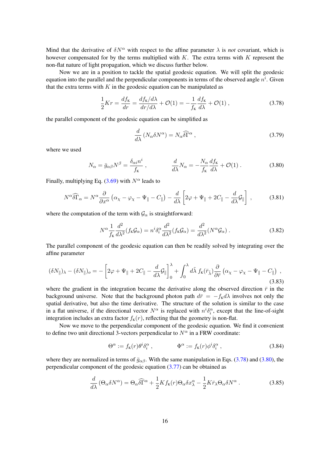Mind that the derivative of  $\delta N^{\alpha}$  with respect to the affine parameter  $\lambda$  is *not* covariant, which is however compensated for by the terms multiplied with  $K$ . The extra terms with  $K$  represent the non-flat nature of light propagation, which we discuss further below.

Now we are in a position to tackle the spatial geodesic equation. We will split the geodesic equation into the parallel and the perpendicular components in terms of the observed angle  $n^i$ . Given that the extra terms with  $K$  in the geodesic equation can be manipulated as

<span id="page-16-0"></span>
$$
\frac{1}{2}Kr = \frac{df_{\kappa}}{dr} = \frac{df_{\kappa}/d\lambda}{dr/d\lambda} + \mathcal{O}(1) = -\frac{1}{f_{\kappa}}\frac{df_{\kappa}}{d\lambda} + \mathcal{O}(1) ,\qquad (3.78)
$$

the parallel component of the geodesic equation can be simplified as

$$
\frac{d}{d\lambda} \left( N_{\alpha} \delta N^{\alpha} \right) = N_{\alpha} \widehat{\delta \Gamma}^{\alpha} , \qquad (3.79)
$$

where we used

<span id="page-16-1"></span>
$$
N_{\alpha} = \bar{g}_{\alpha\beta} N^{\beta} = \frac{\delta_{\alpha i} n^{i}}{f_{\kappa}}, \qquad \frac{d}{d\lambda} N_{\alpha} = -\frac{N_{\alpha}}{f_{\kappa}} \frac{df_{\kappa}}{d\lambda} + \mathcal{O}(1) . \qquad (3.80)
$$

Finally, multiplying Eq. [\(3.69\)](#page-15-0) with  $N^{\alpha}$  leads to

$$
N^{\alpha}\widehat{\delta\Gamma}_{\alpha} = N^{\alpha}\frac{\partial}{\partial x^{\alpha}}\left(\alpha_{\chi} - \varphi_{\chi} - \Psi_{\parallel} - C_{\parallel}\right) - \frac{d}{d\lambda}\left[2\varphi + \Psi_{\parallel} + 2C_{\parallel} - \frac{d}{d\lambda}\mathcal{G}_{\parallel}\right],\tag{3.81}
$$

where the computation of the term with  $\mathcal{G}_{\alpha}$  is straightforward:

$$
N^{\alpha} \frac{1}{f_{\kappa}} \frac{d^2}{d\lambda^2} (f_{\kappa} \mathcal{G}_{\alpha}) = n^i \delta_i^{\alpha} \frac{d^2}{d\lambda^2} (f_{\kappa} \mathcal{G}_{\alpha}) = \frac{d^2}{d\lambda^2} (N^{\alpha} \mathcal{G}_{\alpha}) .
$$
 (3.82)

The parallel component of the geodesic equation can then be readily solved by integrating over the affine parameter

$$
(\delta N_{\parallel})_{\lambda} - (\delta N_{\parallel})_{o} = -\left[2\varphi + \Psi_{\parallel} + 2C_{\parallel} - \frac{d}{d\lambda}\mathcal{G}_{\parallel}\right]_{0}^{\lambda} + \int_{0}^{\lambda} d\tilde{\lambda} f_{\kappa}(\bar{r}_{\tilde{\lambda}}) \frac{\partial}{\partial \bar{r}} \left(\alpha_{\chi} - \varphi_{\chi} - \Psi_{\parallel} - C_{\parallel}\right) , \tag{3.83}
$$

where the gradient in the integration became the derivative along the observed direction  $\bar{r}$  in the background universe. Note that the background photon path  $d\bar{r} = -f_{K}d\lambda$  involves not only the spatial derivative, but also the time derivative. The structure of the solution is similar to the case in a flat universe, if the directional vector  $N^{\alpha}$  is replaced with  $n^{i}\delta_{i}^{\alpha}$ , except that the line-of-sight integration includes an extra factor  $f_K(r)$ , reflecting that the geometry is non-flat.

Now we move to the perpendicular component of the geodesic equation. We find it convenient to define two unit directional 3-vectors perpendicular to  $N^{\alpha}$  in a FRW coordinate:

$$
\Theta^{\alpha} := f_{\mathbf{K}}(r)\theta^{i}\delta^{\alpha}_{i}, \qquad \qquad \Phi^{\alpha} := f_{\mathbf{K}}(r)\phi^{i}\delta^{\alpha}_{i}, \qquad (3.84)
$$

where they are normalized in terms of  $\bar{g}_{\alpha\beta}$ . With the same manipulation in Eqs. [\(3.78\)](#page-16-0) and [\(3.80\)](#page-16-1), the perpendicular component of the geodesic equation  $(3.77)$  can be obtained as

<span id="page-16-2"></span>
$$
\frac{d}{d\lambda} \left( \Theta_{\alpha} \delta N^{\alpha} \right) = \Theta_{\alpha} \widehat{\delta \Gamma}^{\alpha} + \frac{1}{2} K f_{\kappa}(r) \Theta_{\alpha} \delta x_{\lambda}^{\alpha} - \frac{1}{2} K \bar{r}_{\lambda} \Theta_{\alpha} \delta N^{\alpha} \,. \tag{3.85}
$$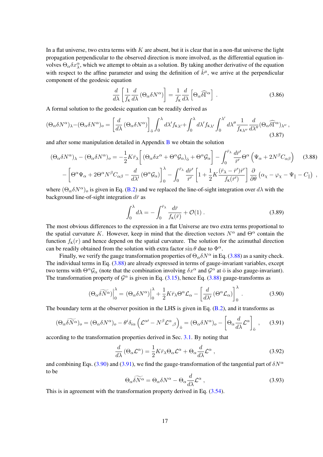In a flat universe, two extra terms with  $K$  are absent, but it is clear that in a non-flat universe the light propagation perpendicular to the observed direction is more involved, as the differential equation involves  $\Theta_{\alpha} \delta x^{\alpha}_{\lambda}$ , which we attempt to obtain as a solution. By taking another derivative of the equation with respect to the affine parameter and using the definition of  $\hat{k}^{\mu}$ , we arrive at the perpendicular component of the geodesic equation

$$
\frac{d}{d\lambda} \left[ \frac{1}{f_{\kappa}} \frac{d}{d\lambda} \left( \Theta_{\alpha} \delta N^{\alpha} \right) \right] = \frac{1}{f_{\kappa}} \frac{d}{d\lambda} \left[ \Theta_{\alpha} \widehat{\delta \Gamma}^{\alpha} \right] . \tag{3.86}
$$

A formal solution to the geodesic equation can be readily derived as

<span id="page-17-3"></span>
$$
(\Theta_{\alpha}\delta N^{\alpha})_{\lambda} - (\Theta_{\alpha}\delta N^{\alpha})_{o} = \left[\frac{d}{d\lambda} \left(\Theta_{\alpha}\delta N^{\alpha}\right)\right]_{\bar{o}} \int_{0}^{\lambda} d\lambda' f_{K\lambda'} + \int_{0}^{\lambda} d\lambda' f_{K\lambda'} \int_{0}^{\lambda'} d\lambda'' \frac{1}{f_{K\lambda''}} \frac{d}{d\lambda''} (\Theta_{\alpha}\widehat{\delta\Gamma}^{\alpha})_{\lambda''},
$$
\n(3.87)

and after some manipulation detailed in Appendix  $\bf{B}$  $\bf{B}$  $\bf{B}$  we obtain the solution

<span id="page-17-0"></span>
$$
(\Theta_{\alpha}\delta N^{\alpha})_{\lambda} - (\Theta_{\alpha}\delta N^{\alpha})_{o} = -\frac{1}{2}K\bar{r}_{\lambda}\left[ (\Theta_{\alpha}\delta x^{\alpha} + \Theta^{\alpha}\mathcal{G}_{\alpha})_{\bar{o}} + \Theta^{\alpha}\mathcal{G}_{\alpha}\right] - \int_{0}^{\bar{r}_{\lambda}}\frac{d\bar{r}'}{\bar{r}'}\Theta^{\alpha}\left(\Psi_{\alpha} + 2N^{\beta}C_{\alpha\beta}\right) \tag{3.88}
$$

$$
-\left[\Theta^{\alpha}\Psi_{\alpha} + 2\Theta^{\alpha}N^{\beta}C_{\alpha\beta} - \frac{d}{d\lambda'}(\Theta^{\alpha}\mathcal{G}_{\alpha})\right]_{0}^{\lambda} - \int_{0}^{\bar{r}_{\lambda}}\frac{d\bar{r}'}{\bar{r}'}\left[1 + \frac{1}{2}K\frac{(\bar{r}_{\lambda} - \bar{r}')\bar{r}'}{f_{\kappa}(\bar{r}')}\right]\frac{\partial}{\partial\theta}\left(\alpha_{\chi} - \varphi_{\chi} - \Psi_{\parallel} - C_{\parallel}\right) ,
$$

where  $(\Theta_{\alpha} \delta N^{\alpha})_o$  is given in Eq. [\(B.2\)](#page-46-1) and we replaced the line-of-sight integration over  $d\lambda$  with the background line-of-sight integration  $d\bar{r}$  as

$$
\int_0^\lambda d\lambda = -\int_0^{\bar{r}_\lambda} \frac{d\bar{r}}{f_{\mathbf{k}}(\bar{r})} + \mathcal{O}(1) \,. \tag{3.89}
$$

The most obvious differences to the expression in a flat Universe are two extra terms proportional to the spatial curvature K. However, keep in mind that the direction vectors  $N^{\alpha}$  and  $\Theta^{\alpha}$  contain the function  $f_K(r)$  and hence depend on the spatial curvature. The solution for the azimuthal direction can be readily obtained from the solution with extra factor  $\sin \theta$  due to  $\Phi^{\alpha}$ .

Finally, we verify the gauge transformation properties of  $\Theta_{\alpha} \delta N^{\alpha}$  in Eq. [\(3.88\)](#page-17-0) as a sanity check. The individual terms in Eq. [\(3.88\)](#page-17-0) are already expressed in terms of gauge-invariant variables, except two terms with  $\Theta^{\alpha} \mathcal{G}_{\alpha}$  (note that the combination involving  $\delta x^{\alpha}$  and  $\mathcal{G}^{\alpha}$  at  $\bar{\sigma}$  is also gauge-invariant). The transformation property of  $\mathcal{G}^{\alpha}$  is given in Eq. [\(3.15\)](#page-8-2), hence Eq. [\(3.88\)](#page-17-0) gauge-transforms as

<span id="page-17-1"></span>
$$
\left(\Theta_{\alpha}\widetilde{\delta N^{\alpha}}\right)\Big|_{0}^{\lambda} = \left(\Theta_{\alpha}\delta N^{\alpha}\right)\Big|_{0}^{\lambda} + \frac{1}{2}K\bar{r}_{\lambda}\Theta^{\alpha}\mathcal{L}_{\alpha} - \left[\frac{d}{d\lambda'}\left(\Theta^{\alpha}\mathcal{L}_{\alpha}\right)\right]_{0}^{\lambda}.
$$
 (3.90)

The boundary term at the observer position in the LHS is given in Eq.  $(B.2)$ , and it transforms as

<span id="page-17-2"></span>
$$
(\Theta_{\alpha}\widetilde{\delta N^{\alpha}})_{o} = (\Theta_{\alpha}\delta N^{\alpha})_{o} - \theta^{i}\delta_{i\alpha}\left(\mathcal{L}^{\alpha\prime} - N^{\beta}\mathcal{L}^{\alpha}{}_{,\beta}\right)_{\bar{o}} = (\Theta_{\alpha}\delta N^{\alpha})_{o} - \left[\Theta_{\alpha}\frac{d}{d\lambda}\mathcal{L}^{\alpha}\right]_{\bar{o}},\tag{3.91}
$$

according to the transformation properties derived in Sec. [3.1.](#page-7-1) By noting that

$$
\frac{d}{d\lambda} \left( \Theta_{\alpha} \mathcal{L}^{\alpha} \right) = \frac{1}{2} K \bar{r}_{\lambda} \Theta_{\alpha} \mathcal{L}^{\alpha} + \Theta_{\alpha} \frac{d}{d\lambda} \mathcal{L}^{\alpha} ,\qquad (3.92)
$$

and combining Eqs. [\(3.90\)](#page-17-1) and [\(3.91\)](#page-17-2), we find the gauge-transformation of the tangential part of  $\delta N^{\alpha}$ to be

$$
\Theta_{\alpha}\widetilde{\delta N^{\alpha}} = \Theta_{\alpha}\delta N^{\alpha} - \Theta_{\alpha}\frac{d}{d\lambda}\mathcal{L}^{\alpha} , \qquad (3.93)
$$

This is in agreement with the transformation property derived in Eq. [\(3.54\)](#page-13-3).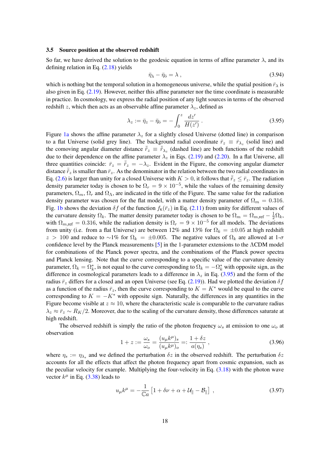#### <span id="page-18-0"></span>3.5 Source position at the observed redshift

So far, we have derived the solution to the geodesic equation in terms of affine parameter  $\lambda$ , and its defining relation in Eq. [\(2.18\)](#page-6-3) yields

$$
\bar{\eta}_{\lambda} - \bar{\eta}_{\bar{0}} = \lambda \,, \tag{3.94}
$$

which is nothing but the temporal solution in a homogeneous universe, while the spatial position  $\bar{r}_{\lambda}$  is also given in Eq. [\(2.19\)](#page-6-2). However, neither this affine parameter nor the time coordinate is measurable in practice. In cosmology, we express the radial position of any light sources in terms of the observed redshift z, which then acts as an observable affine parameter  $\lambda_z$ , defined as

<span id="page-18-1"></span>
$$
\lambda_z := \bar{\eta}_z - \bar{\eta}_{\bar{\sigma}} = -\int_0^z \frac{dz'}{H(z')} \,. \tag{3.95}
$$

Figure [1a](#page-19-0) shows the affine parameter  $\lambda_z$  for a slightly closed Universe (dotted line) in comparison to a flat Universe (solid grey line). The background radial coordinate  $\bar{r}_z \equiv \bar{r}_{\lambda_z}$  (solid line) and the comoving angular diameter distance  $\bar{r}_z \equiv \bar{r}_{\lambda_z}$  (dashed line) are both functions of the redshift due to their dependence on the affine parameter  $\lambda_z$  in Eqs. [\(2.19\)](#page-6-2) and [\(2.20\)](#page-6-4). In a flat Universe, all three quantities coincide:  $\bar{r}_z = \bar{r}_z = -\lambda_z$ . Evident in the Figure, the comoving angular diameter distance  $\bar{r}_z$  is smaller than  $\bar{r}_z$ . As the denominator in the relation between the two radial coordinates in Eq. [\(2.6\)](#page-4-2) is larger than unity for a closed Universe with  $K > 0$ , it follows that  $\bar{r}_z \leq \bar{r}_z$ . The radiation density parameter today is chosen to be  $\Omega_r = 9 \times 10^{-5}$ , while the values of the remaining density parameters,  $\Omega_m$ ,  $\Omega_r$  and  $\Omega_\Lambda$ , are indicated in the title of the Figure. The same value for the radiation density parameter was chosen for the flat model, with a matter density parameter of  $\Omega_m = 0.316$ . Fig. [1b](#page-19-0) shows the deviation  $\delta f$  of the function  $f_K(\bar{r}_z)$  in Eq. [\(2.11\)](#page-4-3) from unity for different values of the curvature density  $\Omega_k$ . The matter density parameter today is chosen to be  $\Omega_m = \Omega_{m,\text{ref}} - \frac{1}{2}\Omega_k$ , with  $\Omega_{m,\text{ref}} = 0.316$ , while the radiation density is  $\Omega_r = 9 \times 10^{-5}$  for all models. The deviations from unity (i.e. from a flat Universe) are between 12% and 13% for  $\Omega_k = \pm 0.05$  at high redshift  $z > 100$  and reduce to ~1% for  $\Omega_k = \pm 0.005$ . The negative values of  $\Omega_k$  are allowed at 1- $\sigma$ confidence level by the Planck measurements [\[5\]](#page-50-2) in the 1-parameter extensions to the ΛCDM model for combinations of the Planck power spectra, and the combinations of the Planck power spectra and Planck lensing. Note that the curve corresponding to a specific value of the curvature density parameter,  $\Omega_k = \Omega_k^*$ , is not equal to the curve corresponding to  $\Omega_k = -\Omega_k^*$  with opposite sign, as the difference in cosmological parameters leads to a difference in  $\lambda_z$  in Eq. [\(3.95\)](#page-18-1) and the form of the radius  $\bar{r}_z$  differs for a closed and an open Universe (see Eq. [\(2.19\)](#page-6-2)). Had we plotted the deviation  $\delta f$ as a function of the radius  $\bar{r}_z$ , then the curve corresponding to  $K = K^*$  would be equal to the curve corresponding to  $K = -K^*$  with opposite sign. Naturally, the differences in any quantities in the Figure become visible at  $z \approx 10$ , where the characteristic scale is comparable to the curvature radius  $\lambda_z \approx \bar{r}_z \sim R_K/2$ . Moreover, due to the scaling of the curvature density, those differences saturate at high redshift.

The observed redshift is simply the ratio of the photon frequency  $\omega_s$  at emission to one  $\omega_o$  at observation

<span id="page-18-2"></span>
$$
1 + z := \frac{\omega_s}{\omega_o} = \frac{(u_\mu k^\mu)_s}{(u_\mu k^\mu)_o} =: \frac{1 + \delta z}{a(\eta_s)} ,
$$
\n(3.96)

where  $\eta_s := \eta_{\lambda_s}$  and we defined the perturbation  $\delta z$  in the observed redshift. The perturbation  $\delta z$ accounts for all the effects that affect the photon frequency apart from cosmic expansion, such as the peculiar velocity for example. Multiplying the four-velocity in Eq. [\(3.18\)](#page-9-1) with the photon wave vector  $k^{\mu}$  in Eq. [\(3.38\)](#page-11-2) leads to

$$
u_{\mu}k^{\mu} = -\frac{1}{\mathbb{C}a} \left[ 1 + \delta \nu + \alpha + \mathcal{U}_{\parallel} - \mathcal{B}_{\parallel} \right] , \qquad (3.97)
$$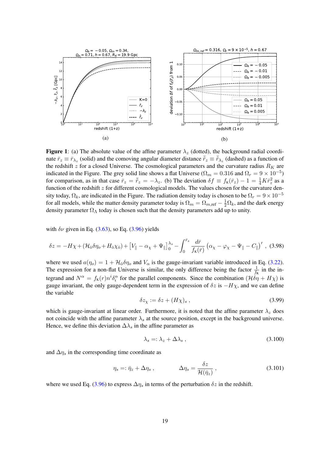<span id="page-19-0"></span>

**Figure 1**: (a) The absolute value of the affine parameter  $\lambda_z$  (dotted), the background radial coordinate  $\bar{r}_z \equiv \bar{r}_{\lambda_z}$  (solid) and the comoving angular diameter distance  $\bar{r}_z \equiv \bar{r}_{\lambda_z}$  (dashed) as a function of the redshift z for a closed Universe. The cosmological parameters and the curvature radius  $R_K$  are indicated in the Figure. The grey solid line shows a flat Universe ( $\Omega_m = 0.316$  and  $\Omega_r = 9 \times 10^{-5}$ ) for comparison, as in that case  $\bar{r}_z = \bar{r}_z = -\lambda_z$ . (b) The deviation  $\delta f \equiv f_{\kappa}(\bar{r}_z) - 1 = \frac{1}{4}K\bar{r}_z^2$  as a function of the redshift z for different cosmological models. The values chosen for the curvature density today,  $\Omega_k$ , are indicated in the Figure. The radiation density today is chosen to be  $\Omega_r = 9 \times 10^{-5}$ for all models, while the matter density parameter today is  $\Omega_m = \Omega_{m,\text{ref}} - \frac{1}{2}\Omega_k$ , and the dark energy density parameter  $\Omega_{\Lambda}$  today is chosen such that the density parameters add up to unity.

with  $\delta \nu$  given in Eq. [\(3.63\)](#page-14-1), so Eq. [\(3.96\)](#page-18-2) yields

<span id="page-19-2"></span>
$$
\delta z = -H\chi + (\mathcal{H}_0 \delta \eta_o + H_0 \chi_0) + \left[V_{\parallel} - \alpha_\chi + \Psi_{\parallel}\right]_0^{\lambda_s} - \int_0^{\bar{r}_s} \frac{d\bar{r}}{f_{\kappa}(\bar{r})} \left(\alpha_\chi - \varphi_\chi - \Psi_{\parallel} - C_{\parallel}\right)', \tag{3.98}
$$

where we used  $a(\eta_o) = 1 + \mathcal{H}_{\bar{o}} \delta \eta_o$  and  $V_{\alpha}$  is the gauge-invariant variable introduced in Eq. [\(3.22\)](#page-9-2). The expression for a non-flat Universe is similar, the only difference being the factor  $\frac{1}{f_K}$  in the integrand and  $N^{\alpha} = f_{\kappa}(r) n^{i} \delta_{i}^{\alpha}$  for the parallel components. Since the combination  $(H \delta \eta + H \chi)$  is gauge invariant, the only gauge-dependent term in the expression of  $\delta z$  is  $-H\chi$ , and we can define the variable

<span id="page-19-3"></span>
$$
\delta z_{\chi} := \delta z + (H\chi)_{s} , \qquad (3.99)
$$

which is gauge-invariant at linear order. Furthermore, it is noted that the affine parameter  $\lambda_z$  does not coincide with the affine parameter  $\lambda_s$  at the source position, except in the background universe. Hence, we define this deviation  $\Delta\lambda_s$  in the affine parameter as

$$
\lambda_s = \lambda_z + \Delta \lambda_s \,, \tag{3.100}
$$

and  $\Delta \eta_s$  in the corresponding time coordinate as

<span id="page-19-1"></span>
$$
\eta_s =: \bar{\eta}_z + \Delta \eta_s , \qquad \Delta \eta_s = \frac{\delta z}{\mathcal{H}(\bar{\eta}_z)} , \qquad (3.101)
$$

where we used Eq. [\(3.96\)](#page-18-2) to express  $\Delta \eta_s$  in terms of the perturbation  $\delta z$  in the redshift.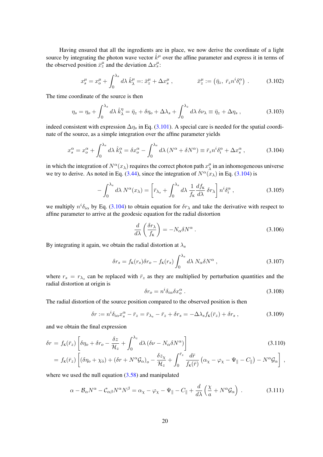Having ensured that all the ingredients are in place, we now derive the coordinate of a light source by integrating the photon wave vector  $\hat{k}^{\mu}$  over the affine parameter and express it in terms of the observed position  $\bar{x}^\mu_z$  and the deviation  $\Delta x^\mu_s$ :

$$
x_s^{\mu} = x_o^{\mu} + \int_0^{\lambda_s} d\lambda \,\hat{k}_{\lambda}^{\mu} =: \bar{x}_z^{\mu} + \Delta x_s^{\mu} , \qquad \qquad \bar{x}_z^{\mu} := (\bar{\eta}_z, \,\bar{r}_z n^i \delta_i^{\alpha}) . \qquad (3.102)
$$

The time coordinate of the source is then

$$
\eta_s = \eta_o + \int_0^{\lambda_s} d\lambda \,\hat{k}_{\lambda}^{\eta} = \bar{\eta}_z + \delta \eta_o + \Delta \lambda_s + \int_0^{\lambda_z} d\lambda \,\delta \nu_{\lambda} \equiv \bar{\eta}_z + \Delta \eta_s \,, \tag{3.103}
$$

indeed consistent with expression  $\Delta \eta_s$  in Eq. [\(3.101\)](#page-19-1). A special care is needed for the spatial coordinate of the source, as a simple integration over the affine parameter yields

<span id="page-20-0"></span>
$$
x_s^{\alpha} = x_o^{\alpha} + \int_0^{\lambda_s} d\lambda \,\hat{k}_{\lambda}^{\alpha} = \delta x_o^{\alpha} - \int_0^{\lambda_s} d\lambda \,(N^{\alpha} + \delta N^{\alpha}) \equiv \bar{r}_z n^i \delta_i^{\alpha} + \Delta x_s^{\alpha} \,,\tag{3.104}
$$

in which the integration of  $N^{\alpha}(x_{\lambda})$  requires the correct photon path  $x_{\lambda}^{\mu}$  $\frac{\mu}{\lambda}$  in an inhomogeneous universe we try to derive. As noted in Eq. [\(3.44\)](#page-12-3), since the integration of  $N^{\alpha}(x_{\lambda})$  in Eq. [\(3.104\)](#page-20-0) is

$$
-\int_0^{\lambda_s} d\lambda \, N^{\alpha}(x_{\lambda}) = \left[ \bar{r}_{\lambda_s} + \int_0^{\lambda_s} d\lambda \, \frac{1}{f_{\kappa}} \frac{df_{\kappa}}{d\lambda} \, \delta r_{\lambda} \right] n^i \delta_i^{\alpha} \,, \tag{3.105}
$$

we multiply  $n^i \delta_{i\alpha}$  by Eq. [\(3.104\)](#page-20-0) to obtain equation for  $\delta r_\lambda$  and take the derivative with respect to affine parameter to arrive at the geodesic equation for the radial distortion

$$
\frac{d}{d\lambda} \left( \frac{\delta r_{\lambda}}{f_{\kappa}} \right) = -N_{\alpha} \delta N^{\alpha} . \tag{3.106}
$$

By integrating it again, we obtain the radial distortion at  $\lambda_s$ 

$$
\delta r_s = f_{\mathbf{K}}(r_s)\delta r_o - f_{\mathbf{K}}(r_s) \int_0^{\lambda_s} d\lambda \, N_\alpha \delta N^\alpha \,, \tag{3.107}
$$

where  $r_s = r_{\lambda_s}$  can be replaced with  $\bar{r}_z$  as they are multiplied by perturbation quantities and the radial distortion at origin is

$$
\delta r_o = n^i \delta_{i\alpha} \delta x_o^\alpha \,. \tag{3.108}
$$

The radial distortion of the source position compared to the observed position is then

<span id="page-20-1"></span>
$$
\delta r := n^i \delta_{i\alpha} x_s^\alpha - \bar{r}_z = \bar{r}_{\lambda_s} - \bar{r}_z + \delta r_s = -\Delta \lambda_s f_{\kappa}(\bar{r}_z) + \delta r_s , \qquad (3.109)
$$

and we obtain the final expression

<span id="page-20-2"></span>
$$
\delta r = f_{\kappa}(\bar{r}_z) \left[ \delta \eta_o + \delta r_o - \frac{\delta z}{\mathcal{H}_z} + \int_0^{\lambda_z} d\lambda \left( \delta \nu - N_\alpha \delta N^\alpha \right) \right]
$$
\n
$$
= f_{\kappa}(\bar{r}_z) \left[ \left( \delta \eta_o + \chi_{\bar{o}} \right) + \left( \delta r + N^\alpha \mathcal{G}_\alpha \right)_o - \frac{\delta z_\chi}{\mathcal{H}_z} + \int_0^{\bar{r}_z} \frac{d\bar{r}}{f_{\kappa}(\bar{r})} \left( \alpha_\chi - \varphi_\chi - \Psi_{\parallel} - C_{\parallel} \right) - N^\alpha \mathcal{G}_\alpha \right],
$$
\n(3.110)

where we used the null equation [\(3.58\)](#page-13-4) and manipulated

$$
\alpha - \mathcal{B}_{\alpha} N^{\alpha} - \mathcal{C}_{\alpha\beta} N^{\alpha} N^{\beta} = \alpha_{\chi} - \varphi_{\chi} - \Psi_{\parallel} - C_{\parallel} + \frac{d}{d\lambda} \left( \frac{\chi}{a} + N^{\alpha} \mathcal{G}_{\alpha} \right) . \tag{3.111}
$$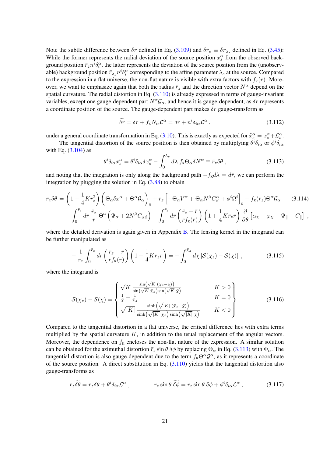Note the subtle difference between  $\delta r$  defined in Eq. [\(3.109\)](#page-20-1) and  $\delta r_s \equiv \delta r_{\lambda_s}$  defined in Eq. [\(3.45\)](#page-12-4): While the former represents the radial deviation of the source position  $x_s^{\alpha}$  from the observed background position  $\bar{r}_z n^i \delta_i^{\alpha}$ , the latter represents the deviation of the source position from the (unobservable) background position  $\bar{r}_{\lambda_s}n^i\delta_i^{\alpha}$  corresponding to the affine parameter  $\lambda_s$  at the source. Compared to the expression in a flat universe, the non-flat nature is visible with extra factors with  $f_K(\bar{r})$ . Moreover, we want to emphasize again that both the radius  $\bar{r}_z$  and the direction vector  $N^{\alpha}$  depend on the spatial curvature. The radial distortion in Eq.  $(3.110)$  is already expressed in terms of gauge-invariant variables, except one gauge-dependent part  $N^{\alpha} \mathcal{G}_{\alpha}$ , and hence it is gauge-dependent, as  $\delta r$  represents a coordinate position of the source. The gauge-dependent part makes  $\delta r$  gauge-transform as

<span id="page-21-3"></span>
$$
\tilde{\delta r} = \delta r + f_{\kappa} N_{\alpha} \mathcal{L}^{\alpha} = \delta r + n^{i} \delta_{i\alpha} \mathcal{L}^{\alpha} , \qquad (3.112)
$$

under a general coordinate transformation in Eq. [\(3.10\)](#page-8-1). This is exactly as expected for  $\tilde{x}_s^{\alpha} = x_s^{\alpha} + \mathcal{L}_s^{\alpha}$ .

The tangential distortion of the source position is then obtained by multiplying  $\theta^i \delta_{i\alpha}$  or  $\phi^i \delta_{i\alpha}$ with Eq.  $(3.104)$  as

<span id="page-21-0"></span>
$$
\theta^i \delta_{i\alpha} x^\alpha_s = \theta^i \delta_{i\alpha} \delta x^\alpha_o - \int_0^{\lambda_s} d\lambda \ f_\kappa \Theta_\alpha \delta N^\alpha \equiv \bar{r}_z \delta \theta \ , \tag{3.113}
$$

and noting that the integration is only along the background path  $-f<sub>K</sub>d\lambda = d\bar{r}$ , we can perform the integration by plugging the solution in Eq.  $(3.88)$  to obtain

<span id="page-21-1"></span>
$$
\bar{r}_{z}\delta\theta = \left(1 - \frac{1}{4}K\bar{r}_{z}^{2}\right)\left(\Theta_{\alpha}\delta x^{\alpha} + \Theta^{\alpha}\mathcal{G}_{\alpha}\right)_{\bar{0}} + \bar{r}_{z}\left[-\Theta_{\alpha}V^{\alpha} + \Theta_{\alpha}N^{\beta}C_{\beta}^{\alpha} + \phi^{i}\Omega^{i}\right]_{\bar{0}} - f_{\kappa}(\bar{r}_{z})\Theta^{\alpha}\mathcal{G}_{\alpha} \qquad (3.114)
$$

$$
-\int_{0}^{\bar{r}_{z}} d\bar{r}\,\frac{\bar{r}_{z}}{\bar{r}}\,\Theta^{\alpha}\left(\Psi_{\alpha} + 2N^{\beta}C_{\alpha\beta}\right) - \int_{0}^{\bar{r}_{z}} d\bar{r}\left(\frac{\bar{r}_{z} - \bar{r}}{\bar{r}f_{\kappa}(\bar{r})}\right)\left(1 + \frac{1}{4}K\bar{r}_{z}\bar{r}\right)\frac{\partial}{\partial\theta}\left[\alpha_{\chi} - \varphi_{\chi} - \Psi_{\parallel} - C_{\parallel}\right] \,,
$$

where the detailed derivation is again given in Appendix [B.](#page-46-0) The lensing kernel in the integrand can be further manipulated as

$$
-\frac{1}{\bar{r}_z} \int_0^{\bar{r}_z} d\bar{r} \left(\frac{\bar{r}_z - \bar{r}}{\bar{r}f_{\kappa}(\bar{r})}\right) \left(1 + \frac{1}{4} K \bar{r}_z \bar{r}\right) = -\int_0^{\bar{\chi}_z} d\bar{\chi} \left[\mathcal{S}(\bar{\chi}_z) - \mathcal{S}(\bar{\chi})\right] ,\qquad (3.115)
$$

where the integrand is

$$
\mathcal{S}(\bar{\chi}_z) - \mathcal{S}(\bar{\chi}) = \begin{cases} \sqrt{K} \frac{\sin(\sqrt{K} (\bar{\chi}_z - \bar{\chi}))}{\sin(\sqrt{K} \bar{\chi}_z) \sin(\sqrt{K} \bar{\chi})} & K > 0 \\ \frac{1}{\bar{\chi}} - \frac{1}{\bar{\chi}_z} & K = 0 \\ \sqrt{|K|} \frac{\sinh(\sqrt{|K|} (\bar{\chi}_z - \bar{\chi}))}{\sinh(\sqrt{|K|} \bar{\chi}_z) \sinh(\sqrt{|K|} \bar{\chi})} & K < 0 \end{cases}
$$
(3.116)

Compared to the tangential distortion in a flat universe, the critical difference lies with extra terms multiplied by the spatial curvature  $K$ , in addition to the usual replacement of the angular vectors. Moreover, the dependence on  $f<sub>K</sub>$  encloses the non-flat nature of the expression. A similar solution can be obtained for the azimuthal distortion  $\bar{r}_z \sin \theta \ \delta \phi$  by replacing  $\Theta_\alpha$  in Eq. [\(3.113\)](#page-21-0) with  $\Phi_\alpha$ . The tangential distortion is also gauge-dependent due to the term  $f_{K} \Theta^{\alpha} \mathcal{G}^{\alpha}$ , as it represents a coordinate of the source position. A direct substitution in Eq.  $(3.110)$  yields that the tangential distortion also gauge-transforms as

<span id="page-21-2"></span>
$$
\bar{r}_z \widetilde{\delta\theta} = \bar{r}_z \delta\theta + \theta^i \delta_{i\alpha} \mathcal{L}^\alpha , \qquad \qquad \bar{r}_z \sin\theta \ \widetilde{\delta\phi} = \bar{r}_z \sin\theta \ \delta\phi + \phi^i \delta_{i\alpha} \mathcal{L}^\alpha , \qquad (3.117)
$$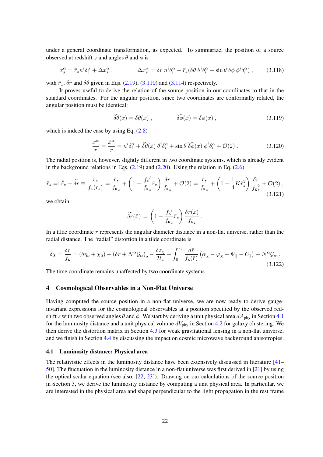under a general coordinate transformation, as expected. To summarize, the position of a source observed at redshift z and angles  $\theta$  and  $\phi$  is

<span id="page-22-2"></span>
$$
x_s^\alpha = \bar{r}_z n^i \delta_i^\alpha + \Delta x_s^\alpha \,, \qquad \qquad \Delta x_s^\alpha = \delta r \, n^i \delta_i^\alpha + \bar{r}_z (\delta \theta \, \theta^i \delta_i^\alpha + \sin \theta \, \delta \phi \, \phi^i \delta_i^\alpha) \,, \qquad (3.118)
$$

with  $\bar{r}_z$ ,  $\delta r$  and  $\delta \theta$  given in Eqs. [\(2.19\)](#page-6-2), [\(3.110\)](#page-20-2) and [\(3.114\)](#page-21-1) respectively.

It proves useful to derive the relation of the source position in our coordinates to that in the standard coordinates. For the angular position, since two coordinates are conformally related, the angular position must be identical:

$$
\delta\theta(\tilde{x}) = \delta\theta(x) , \qquad \delta\phi(\tilde{x}) = \delta\phi(x) , \qquad (3.119)
$$

which is indeed the case by using Eq.  $(2.8)$ 

$$
\frac{x^{\alpha}}{r} = \frac{\tilde{x}^{\alpha}}{\tilde{r}} = n^{i} \delta_{i}^{\alpha} + \tilde{\delta \theta}(\tilde{x}) \theta^{i} \delta_{i}^{\alpha} + \sin \theta \, \widetilde{\delta \phi}(\tilde{x}) \phi^{i} \delta_{i}^{\alpha} + \mathcal{O}(2) \,. \tag{3.120}
$$

The radial position is, however, slightly different in two coordinate systems, which is already evident in the background relations in Eqs.  $(2.19)$  and  $(2.20)$ . Using the relation in Eq.  $(2.6)$ 

$$
\tilde{r}_s =: \bar{\tilde{r}}_z + \tilde{\delta r} \equiv \frac{r_s}{f_{\kappa}(r_s)} = \frac{\bar{r}_z}{f_{\kappa z}} + \left(1 - \frac{f_{\kappa}'}{f_{\kappa z}} \bar{r}_z\right) \frac{\delta r}{f_{\kappa z}} + \mathcal{O}(2) = \frac{\bar{r}_z}{f_{\kappa z}} + \left(1 - \frac{1}{4} K \bar{r}_z^2\right) \frac{\delta r}{f_{\kappa z}} + \mathcal{O}(2) ,\tag{3.121}
$$

we obtain

<span id="page-22-3"></span>
$$
\tilde{\delta r}(\tilde{x}) = \left(1 - \frac{f_{\kappa}'}{f_{\kappa z}} \bar{r}_z\right) \frac{\delta r(x)}{f_{\kappa z}}.
$$

In a tilde coordinate  $\tilde{r}$  represents the angular diameter distance in a non-flat universe, rather than the radial distance. The "radial" distortion in a tilde coordinate is

$$
\delta \chi = \frac{\delta r}{f_{\kappa}} = (\delta \eta_o + \chi_{\bar{o}}) + (\delta r + N^{\alpha} \mathcal{G}_{\alpha})_o - \frac{\delta z_{\chi}}{\mathcal{H}_z} + \int_0^{\bar{r}_z} \frac{d\bar{r}}{f_{\kappa}(\bar{r})} \left( \alpha_{\chi} - \varphi_{\chi} - \Psi_{\parallel} - C_{\parallel} \right) - N^{\alpha} \mathcal{G}_{\alpha} \,. \tag{3.122}
$$

The time coordinate remains unaffected by two coordinate systems.

## <span id="page-22-0"></span>4 Cosmological Observables in a Non-Flat Universe

Having computed the source position in a non-flat universe, we are now ready to derive gaugeinvariant expressions for the cosmological observables at a position specified by the observed redshift z with two observed angles  $\theta$  and  $\phi$ . We start by deriving a unit physical area  $dA_{\text{phy}}$  in Section [4.1](#page-22-1) for the luminosity distance and a unit physical volume  $dV_{\text{phy}}$  in Section [4.2](#page-26-0) for galaxy clustering. We then derive the distortion matrix in Section [4.3](#page-29-0) for weak gravitational lensing in a non-flat universe, and we finish in Section [4.4](#page-35-0) by discussing the impact on cosmic microwave background anisotropies.

#### <span id="page-22-1"></span>4.1 Luminosity distance: Physical area

The relativistic effects in the luminosity distance have been extensively discussed in literature [\[41–](#page-52-4) [50\]](#page-52-5). The fluctuation in the luminosity distance in a non-flat universe was first derived in [\[21\]](#page-51-6) by using the optical scalar equation (see also, [\[22,](#page-51-7) [23\]](#page-51-8)). Drawing on our calculations of the source position in Section [3,](#page-7-0) we derive the luminosity distance by computing a unit physical area. In particular, we are interested in the physical area and shape perpendicular to the light propagation in the rest frame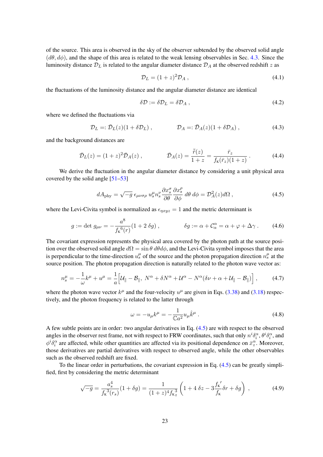of the source. This area is observed in the sky of the observer subtended by the observed solid angle  $(d\theta, d\phi)$ , and the shape of this area is related to the weak lensing observables in Sec. [4.3.](#page-29-0) Since the luminosity distance  $\mathcal{D}_L$  is related to the angular diameter distance  $\mathcal{D}_A$  at the observed redshift z as

$$
\mathcal{D}_L = (1+z)^2 \mathcal{D}_A \,,\tag{4.1}
$$

the fluctuations of the luminosity distance and the angular diameter distance are identical

$$
\delta \mathcal{D} := \delta \mathcal{D}_L = \delta \mathcal{D}_A \,, \tag{4.2}
$$

where we defined the fluctuations via

$$
\mathcal{D}_L =: \bar{\mathcal{D}}_L(z)(1 + \delta \mathcal{D}_L), \qquad \mathcal{D}_A =: \bar{\mathcal{D}}_A(z)(1 + \delta \mathcal{D}_A), \qquad (4.3)
$$

and the background distances are

<span id="page-23-3"></span>
$$
\bar{\mathcal{D}}_L(z) = (1+z)^2 \bar{\mathcal{D}}_A(z) , \qquad \qquad \bar{\mathcal{D}}_A(z) = \frac{\bar{\tilde{r}}(z)}{1+z} = \frac{\bar{r}_z}{f_{\kappa}(\bar{r}_z)(1+z)} . \tag{4.4}
$$

We derive the fluctuation in the angular diameter distance by considering a unit physical area covered by the solid angle  $[51-53]$  $[51-53]$ 

<span id="page-23-0"></span>
$$
dA_{\rm phy} = \sqrt{-g} \,\epsilon_{\mu\nu\sigma\rho} \, u_s^{\mu} n_s^{\nu} \frac{\partial x_s^{\sigma}}{\partial \theta} \frac{\partial x_s^{\rho}}{\partial \phi} \, d\theta \, d\phi = \mathcal{D}_A^2(z) d\Omega \,, \tag{4.5}
$$

where the Levi-Civita symbol is normalized as  $\epsilon_{nxyz} = 1$  and the metric determinant is

$$
g := \det g_{\mu\nu} = -\frac{a^8}{f_8^6(r)} (1 + 2 \delta g) , \qquad \delta g := \alpha + C_{\alpha}^{\alpha} = \alpha + \varphi + \Delta \gamma . \tag{4.6}
$$

The covariant expression represents the physical area covered by the photon path at the source position over the observed solid angle  $d\Omega = \sin \theta d\theta d\phi$ , and the Levi-Civita symbol imposes that the area is perpendicular to the time-direction  $u_s^{\mu}$  of the source and the photon propagation direction  $n_s^{\mu}$  at the source position. The photon propagation direction is naturally related to the photon wave vector as:

<span id="page-23-2"></span>
$$
n_s^{\mu} = -\frac{1}{\omega}k^{\mu} + u^{\mu} = \frac{1}{a}\Big[\mathcal{U}_{\parallel} - \mathcal{B}_{\parallel}, \ N^{\alpha} + \delta N^{\alpha} + \mathcal{U}^{\alpha} - N^{\alpha}(\delta \nu + \alpha + \mathcal{U}_{\parallel} - \mathcal{B}_{\parallel})\Big], \tag{4.7}
$$

where the photon wave vector  $k^{\mu}$  and the four-velocity  $u^{\mu}$  are given in Eqs. [\(3.38\)](#page-11-2) and [\(3.18\)](#page-9-1) respectively, and the photon frequency is related to the latter through

$$
\omega = -u_{\mu}k^{\mu} = -\frac{1}{\mathbb{C}a^2}u_{\mu}\hat{k}^{\mu}.
$$
\n(4.8)

A few subtle points are in order: two angular derivatives in Eq. [\(4.5\)](#page-23-0) are with respect to the observed angles in the observer rest frame, not with respect to FRW coordinates, such that only  $n^i\delta_i^\alpha$ ,  $\theta^i\delta_i^\alpha$ , and  $\phi^i \delta_i^\alpha$  are affected, while other quantities are affected via its positional dependence on  $\bar{x}_z^\alpha$ . Moreover, those derivatives are partial derivatives with respect to observed angle, while the other observables such as the observed redshift are fixed.

To the linear order in perturbations, the covariant expression in Eq. [\(4.5\)](#page-23-0) can be greatly simplified, first by considering the metric determinant

<span id="page-23-1"></span>
$$
\sqrt{-g} = \frac{a_s^4}{f_{\kappa}^3(r_s)} (1 + \delta g) = \frac{1}{(1+z)^4 f_{\kappa}^3} \left( 1 + 4 \delta z - 3 \frac{f_{\kappa}'}{f_{\kappa}} \delta r + \delta g \right) ,\tag{4.9}
$$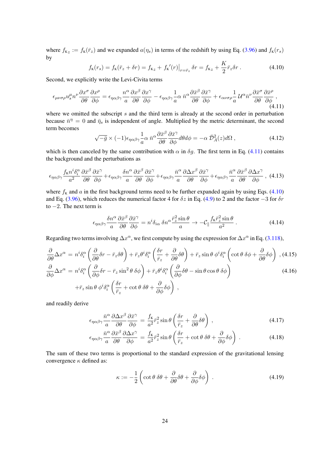where  $f_{K_z} := f_K(\bar{r}_z)$  and we expanded  $a(\eta_s)$  in terms of the redshift by using Eq. [\(3.96\)](#page-18-2) and  $f_K(r_s)$ by  $\mathbf{r}$ 

<span id="page-24-1"></span>
$$
f_{\kappa}(r_s) = f_{\kappa}(\bar{r}_z + \delta r) = f_{\kappa_z} + f_{\kappa}'(r)|_{r = \bar{r}_z} \delta r = f_{\kappa_z} + \frac{K}{2} \bar{r}_z \delta r \,. \tag{4.10}
$$

Second, we explicitly write the Levi-Civita terms

<span id="page-24-0"></span>
$$
\epsilon_{\mu\nu\sigma\rho}u_s^{\mu}n^{\nu}\frac{\partial x^{\sigma}}{\partial \theta}\frac{\partial x^{\rho}}{\partial \phi} = \epsilon_{\eta\alpha\beta\gamma}\frac{n^{\alpha}}{a}\frac{\partial x^{\beta}}{\partial \theta}\frac{\partial x^{\gamma}}{\partial \phi} - \epsilon_{\eta\alpha\beta\gamma}\frac{1}{a}\alpha\bar{n}^{\alpha}\frac{\partial \bar{x}^{\beta}}{\partial \theta}\frac{\partial \bar{x}^{\gamma}}{\partial \phi} + \epsilon_{\alpha\nu\sigma\rho}\frac{1}{a}U^{\alpha}\bar{n}^{\nu}\frac{\partial \bar{x}^{\sigma}}{\partial \theta}\frac{\partial \bar{x}^{\rho}}{\partial \phi},
$$
\n(4.11)

where we omitted the subscript s and the third term is already at the second order in perturbation because  $\bar{n}^{\eta} = 0$  and  $\bar{\eta}_s$  is independent of angle. Multiplied by the metric determinant, the second term becomes

$$
\sqrt{-\bar{g}} \times (-1)\epsilon_{\eta\alpha\beta\gamma} \frac{1}{a} \alpha \bar{n}^{\alpha} \frac{\partial \bar{x}^{\beta}}{\partial \theta} \frac{\partial \bar{x}^{\gamma}}{\partial \phi} d\theta d\phi = -\alpha \bar{\mathcal{D}}_{A}^{2}(z) d\Omega , \qquad (4.12)
$$

which is then canceled by the same contribution with  $\alpha$  in  $\delta g$ . The first term in Eq. [\(4.11\)](#page-24-0) contains the background and the perturbations as

$$
\epsilon_{\eta\alpha\beta\gamma} \frac{f_{\kappa}n^{i}\delta_{i}^{\alpha}}{a^{2}} \frac{\partial\bar{x}^{\beta}}{\partial\theta} \frac{\partial\bar{x}^{\gamma}}{\partial\phi} + \epsilon_{\eta\alpha\beta\gamma} \frac{\delta n^{\alpha}}{a} \frac{\partial\bar{x}^{\beta}}{\partial\theta} \frac{\partial\bar{x}^{\gamma}}{\partial\phi} + \epsilon_{\eta\alpha\beta\gamma} \frac{\bar{n}^{\alpha}}{a} \frac{\partial\Delta x^{\beta}}{\partial\theta} \frac{\partial\bar{x}^{\gamma}}{\partial\phi} + \epsilon_{\eta\alpha\beta\gamma} \frac{\bar{n}^{\alpha}}{a} \frac{\partial\bar{x}^{\beta}}{\partial\theta} \frac{\partial\Delta x^{\gamma}}{\partial\phi}, \quad (4.13)
$$

where  $f<sub>K</sub>$  and a in the first background terms need to be further expanded again by using Eqs. [\(4.10\)](#page-24-1) and Eq. [\(3.96\)](#page-18-2), which reduces the numerical factor 4 for  $\delta z$  in Eq. [\(4.9\)](#page-23-1) to 2 and the factor  $-3$  for  $\delta r$ to  $-2$ . The next term is

$$
\epsilon_{\eta\alpha\beta\gamma} \frac{\delta n^{\alpha}}{a} \frac{\partial \bar{x}^{\beta}}{\partial \theta} \frac{\partial \bar{x}^{\gamma}}{\partial \phi} = n^{i} \delta_{i\alpha} \delta n^{\alpha} \frac{\bar{r}_{z}^{2} \sin \theta}{a} \to -\mathcal{C}_{\parallel} \frac{f_{K} \bar{r}_{z}^{2} \sin \theta}{a^{2}}.
$$
 (4.14)

Regarding two terms involving  $\Delta x^{\alpha}$ , we first compute by using the expression for  $\Delta x^{\alpha}$  in Eq. [\(3.118\)](#page-22-2),

<span id="page-24-3"></span>
$$
\frac{\partial}{\partial \theta} \Delta x^{\alpha} = n^{i} \delta_{i}^{\alpha} \left( \frac{\partial}{\partial \theta} \delta r - \bar{r}_{z} \delta \theta \right) + \bar{r}_{z} \theta^{i} \delta_{i}^{\alpha} \left( \frac{\delta r}{\bar{r}_{z}} + \frac{\partial}{\partial \theta} \delta \theta \right) + \bar{r}_{z} \sin \theta \phi^{i} \delta_{i}^{\alpha} \left( \cot \theta \delta \phi + \frac{\partial}{\partial \theta} \delta \phi \right) , (4.15)
$$
\n
$$
\frac{\partial}{\partial \phi} \Delta x^{\alpha} = n^{i} \delta_{i}^{\alpha} \left( \frac{\partial}{\partial \phi} \delta r - \bar{r}_{z} \sin^{2} \theta \delta \phi \right) + \bar{r}_{z} \theta^{i} \delta_{i}^{\alpha} \left( \frac{\partial}{\partial \phi} \delta \theta - \sin \theta \cos \theta \delta \phi \right)
$$
\n
$$
+ \bar{r}_{z} \sin \theta \phi^{i} \delta_{i}^{\alpha} \left( \frac{\delta r}{\bar{r}_{z}} + \cot \theta \delta \theta + \frac{\partial}{\partial \phi} \delta \phi \right) ,
$$
\n(4.16)

and readily derive

$$
\epsilon_{\eta\alpha\beta\gamma}\frac{\bar{n}^{\alpha}}{a}\frac{\partial \Delta x^{\beta}}{\partial \theta}\frac{\partial \bar{x}^{\gamma}}{\partial \phi} = \frac{f_{\kappa}}{a^{2}}\bar{r}_{z}^{2}\sin\theta\left(\frac{\delta r}{\bar{r}_{z}} + \frac{\partial}{\partial \theta}\delta\theta\right) , \qquad (4.17)
$$

$$
\epsilon_{\eta\alpha\beta\gamma}\frac{\bar{n}^{\alpha}}{a}\frac{\partial\bar{x}^{\beta}}{\partial\theta}\frac{\partial\Delta x^{\gamma}}{\partial\phi} = \frac{f_{\kappa}}{a^{2}}\bar{r}_{z}^{2}\sin\theta\left(\frac{\delta r}{\bar{r}_{z}} + \cot\theta\,\delta\theta + \frac{\partial}{\partial\phi}\delta\phi\right) . \tag{4.18}
$$

The sum of these two terms is proportional to the standard expression of the gravitational lensing convergence  $\kappa$  defined as:

<span id="page-24-2"></span>
$$
\kappa := -\frac{1}{2} \left( \cot \theta \, \delta \theta + \frac{\partial}{\partial \theta} \delta \theta + \frac{\partial}{\partial \phi} \delta \phi \right) . \tag{4.19}
$$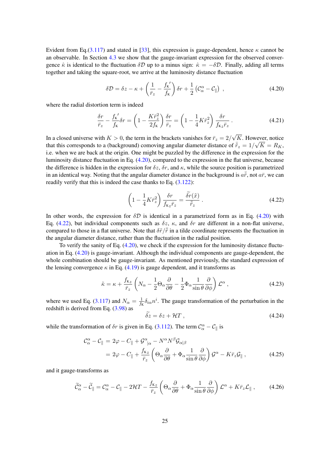Evident from Eq.[\(3.117\)](#page-21-2) and stated in [\[33\]](#page-51-14), this expression is gauge-dependent, hence  $\kappa$  cannot be an observable. In Section [4.3](#page-29-0) we show that the gauge-invariant expression for the observed convergence  $\hat{\kappa}$  is identical to the fluctuation  $\delta \mathcal{D}$  up to a minus sign:  $\hat{\kappa} = -\delta \mathcal{D}$ . Finally, adding all terms together and taking the square-root, we arrive at the luminosity distance fluctuation

<span id="page-25-0"></span>
$$
\delta \mathcal{D} = \delta z - \kappa + \left(\frac{1}{\bar{r}_z} - \frac{f_{\kappa}'}{f_{\kappa}}\right) \delta r + \frac{1}{2} \left(\mathcal{C}_{\alpha}^{\alpha} - \mathcal{C}_{\parallel}\right) ,\qquad (4.20)
$$

where the radial distortion term is indeed

$$
\frac{\delta r}{\bar{r}_z} - \frac{f_{\kappa}'}{f_{\kappa}} \delta r = \left(1 - \frac{K\bar{r}_z^2}{2f_{\kappa}}\right) \frac{\delta r}{\bar{r}_z} = \left(1 - \frac{1}{4}K\bar{r}_z^2\right) \frac{\delta r}{f_{\kappa z}\bar{r}_z} \,. \tag{4.21}
$$

In a closed universe with  $K > 0$ , the term in the brackets vanishes for  $\bar{r}_z = 2/3$ √  $K$ . However, notice that this corresponds to a (background) comoving angular diameter distance of  $\bar{\tilde{r}}_z = 1/\sqrt{K} = R_K$ , i.e. when we are back at the origin. One might be puzzled by the difference in the expression for the luminosity distance fluctuation in Eq. [\(4.20\)](#page-25-0), compared to the expression in the flat universe, because the difference is hidden in the expression for  $\delta z$ ,  $\delta r$ , and  $\kappa$ , while the source position is parametrized in an identical way. Noting that the angular diameter distance in the background is  $a\bar{r}$ , not  $a\bar{r}$ , we can readily verify that this is indeed the case thanks to Eq. [\(3.122\)](#page-22-3):

<span id="page-25-1"></span>
$$
\left(1 - \frac{1}{4}K\bar{r}_z^2\right)\frac{\delta r}{f_{\kappa z}\bar{r}_z} = \frac{\delta r(\tilde{x})}{\bar{\tilde{r}}_z} \,. \tag{4.22}
$$

In other words, the expression for  $\delta \mathcal{D}$  is identical in a parametrized form as in Eq. [\(4.20\)](#page-25-0) with Eq. [\(4.22\)](#page-25-1), but individual components such as  $\delta z$ ,  $\kappa$ , and  $\delta r$  are different in a non-flat universe, compared to those in a flat universe. Note that  $\delta \tilde{r}/\tilde{r}$  in a tilde coordinate represents the fluctuation in the angular diameter distance, rather than the fluctuation in the radial position.

To verify the sanity of Eq. [\(4.20\)](#page-25-0), we check if the expression for the luminosity distance fluctuation in Eq. [\(4.20\)](#page-25-0) is gauge-invariant. Although the individual components are gauge-dependent, the whole combination should be gauge-invariant. As mentioned previously, the standard expression of the lensing convergence  $\kappa$  in Eq. [\(4.19\)](#page-24-2) is gauge dependent, and it transforms as

<span id="page-25-3"></span>
$$
\tilde{\kappa} = \kappa + \frac{f_{\kappa_z}}{\bar{r}_z} \left( N_\alpha - \frac{1}{2} \Theta_\alpha \frac{\partial}{\partial \theta} - \frac{1}{2} \Phi_\alpha \frac{1}{\sin \theta} \frac{\partial}{\partial \phi} \right) \mathcal{L}^\alpha , \qquad (4.23)
$$

where we used Eq. [\(3.117\)](#page-21-2) and  $N_{\alpha} = \frac{1}{f_{\alpha}}$  $\frac{1}{f_K} \delta_{i\alpha} n^i$ . The gauge transformation of the perturbation in the redshift is derived from Eq.  $(3.98)$  as

<span id="page-25-2"></span>
$$
\delta z = \delta z + \mathcal{H}T , \qquad (4.24)
$$

while the transformation of  $\delta r$  is given in Eq. [\(3.112\)](#page-21-3). The term  $\mathcal{C}_{\alpha}^{\alpha} - \mathcal{C}_{\parallel}$  is

$$
\mathcal{C}_{\alpha}^{\alpha} - \mathcal{C}_{\parallel} = 2\varphi - C_{\parallel} + \mathcal{G}_{\parallel \alpha}^{\alpha} - N^{\alpha} N^{\beta} \mathcal{G}_{\alpha|\beta}
$$
  
=  $2\varphi - C_{\parallel} + \frac{f_{\kappa z}}{\bar{r}_z} \left( \Theta_{\alpha} \frac{\partial}{\partial \theta} + \Phi_{\alpha} \frac{1}{\sin \theta} \frac{\partial}{\partial \phi} \right) \mathcal{G}^{\alpha} - K \bar{r}_z \mathcal{G}_{\parallel} ,$  (4.25)

and it gauge-transforms as

$$
\widetilde{\mathcal{C}}_{\alpha}^{\alpha} - \widetilde{\mathcal{C}}_{\parallel} = \mathcal{C}_{\alpha}^{\alpha} - \mathcal{C}_{\parallel} - 2\mathcal{H}T - \frac{f_{\kappa_z}}{\bar{r}_z} \left( \Theta_{\alpha} \frac{\partial}{\partial \theta} + \Phi_{\alpha} \frac{1}{\sin \theta} \frac{\partial}{\partial \phi} \right) \mathcal{L}^{\alpha} + K \bar{r}_z \mathcal{L}_{\parallel} ,\qquad(4.26)
$$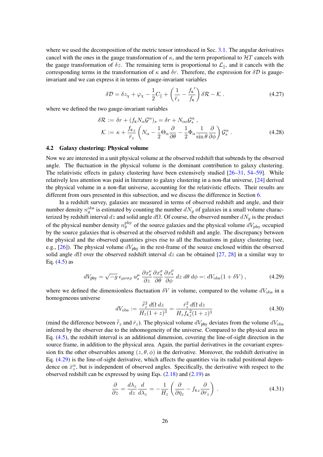where we used the decomposition of the metric tensor introduced in Sec. [3.1.](#page-7-1) The angular derivatives cancel with the ones in the gauge transformation of  $\kappa$ , and the term proportional to  $\mathcal{H}T$  cancels with the gauge transformation of  $\delta z$ . The remaining term is proportional to  $\mathcal{L}_{\parallel}$ , and it cancels with the corresponding terms in the transformation of  $\kappa$  and  $\delta r$ . Therefore, the expression for  $\delta \mathcal{D}$  is gaugeinvariant and we can express it in terms of gauge-invariant variables

$$
\delta \mathcal{D} = \delta z_{\chi} + \varphi_{\chi} - \frac{1}{2} C_{\parallel} + \left( \frac{1}{\bar{r}_z} - \frac{f_{\kappa}'}{f_{\kappa}} \right) \delta \mathcal{R} - \mathcal{K} \,. \tag{4.27}
$$

where we defined the two gauge-invariant variables

<span id="page-26-3"></span>
$$
\delta \mathcal{R} := \delta r + (f_{\kappa} N_{\alpha} \mathcal{G}^{\alpha})_s = \delta r + N_{\alpha \alpha} \mathcal{G}_s^{\alpha} ,
$$
  

$$
\mathcal{K} := \kappa + \frac{f_{\kappa z}}{\bar{r}_z} \left( N_{\alpha} - \frac{1}{2} \Theta_{\alpha} \frac{\partial}{\partial \theta} - \frac{1}{2} \Phi_{\alpha} \frac{1}{\sin \theta} \frac{\partial}{\partial \phi} \right) \mathcal{G}_s^{\alpha} .
$$
 (4.28)

#### <span id="page-26-0"></span>4.2 Galaxy clustering: Physical volume

Now we are interested in a unit physical volume at the observed redshift that subtends by the observed angle. The fluctuation in the physical volume is the dominant contribution to galaxy clustering. The relativistic effects in galaxy clustering have been extensively studied [\[26](#page-51-11)[–31,](#page-51-12) [54](#page-52-8)[–59\]](#page-53-0). While relatively less attention was paid in literature to galaxy clustering in a non-flat universe, [\[24\]](#page-51-9) derived the physical volume in a non-flat universe, accounting for the relativistic effects. Their results are different from ours presented in this subsection, and we discuss the difference in Section [6.](#page-40-0)

In a redshift survey, galaxies are measured in terms of observed redshift and angle, and their number density  $n_g^{\text{obs}}$  is estimated by counting the number  $dN_g$  of galaxies in a small volume characterized by redshift interval dz and solid angle d $\Omega$ . Of course, the observed number  $dN_q$  is the product of the physical number density  $n_g^{\text{phy}}$  of the source galaxies and the physical volume  $dV_{\text{phy}}$  occupied by the source galaxies that is observed at the observed redshift and angle. The discrepancy between the physical and the observed quantities gives rise to all the fluctuations in galaxy clustering (see, e.g., [\[26\]](#page-51-11)). The physical volume  $dV_{\text{phy}}$  in the rest-frame of the source enclosed within the observed solid angle  $d\Omega$  over the observed redshift interval dz can be obtained [\[27,](#page-51-17) [28\]](#page-51-18) in a similar way to Eq.  $(4.5)$  as

<span id="page-26-1"></span>
$$
dV_{\text{phy}} = \sqrt{-g} \epsilon_{\mu\nu\sigma\rho} u_s^{\mu} \frac{\partial x_s^{\nu}}{\partial z} \frac{\partial x_s^{\sigma}}{\partial \theta} \frac{\partial x_s^{\rho}}{\partial \phi} dz d\theta d\phi =: dV_{\text{obs}}(1 + \delta V) , \qquad (4.29)
$$

where we defined the dimensionless fluctuation  $\delta V$  in volume, compared to the volume  $dV_{\text{obs}}$  in a homogeneous universe

<span id="page-26-4"></span>
$$
dV_{\text{obs}} := \frac{\bar{r}_z^2}{H_z(1+z)^3} = \frac{\bar{r}_z^2}{H_z f_{\kappa z}^2 (1+z)^3}
$$
(4.30)

(mind the difference between  $\bar{\tilde{r}}_z$  and  $\bar{r}_z$ ). The physical volume  $dV_{\text{phy}}$  deviates from the volume  $dV_{\text{obs}}$ inferred by the observer due to the inhomogeneity of the universe. Compared to the physical area in Eq. [\(4.5\)](#page-23-0), the redshift interval is an additional dimension, covering the line-of-sight direction in the source frame, in addition to the physical area. Again, the partial derivatives in the covariant expression fix the other observables among  $(z, \theta, \phi)$  in the derivative. Moreover, the redshift derivative in Eq. [\(4.29\)](#page-26-1) is the line-of-sight derivative, which affects the quantities via its radial positional dependence on  $\bar{x}_z^{\alpha}$ , but is independent of observed angles. Specifically, the derivative with respect to the observed redshift can be expressed by using Eqs.  $(2.18)$  and  $(2.19)$  as

<span id="page-26-2"></span>
$$
\frac{\partial}{\partial z} = \frac{d\lambda_z}{dz} \frac{d}{d\lambda_z} = -\frac{1}{H_z} \left( \frac{\partial}{\partial \bar{\eta}_z} - f_{\kappa z} \frac{\partial}{\partial \bar{r}_z} \right) . \tag{4.31}
$$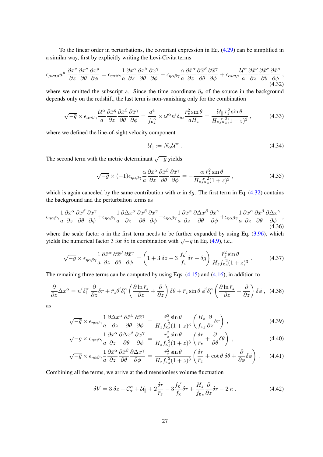To the linear order in perturbations, the covariant expression in Eq. [\(4.29\)](#page-26-1) can be simplified in a similar way, first by explicitly writing the Levi-Civita terms

<span id="page-27-0"></span>
$$
\epsilon_{\mu\nu\sigma\rho}u^{\mu}\frac{\partial x^{\nu}}{\partial z}\frac{\partial x^{\sigma}}{\partial \theta}\frac{\partial x^{\rho}}{\partial \phi} = \epsilon_{\eta\alpha\beta\gamma}\frac{1}{a}\frac{\partial x^{\alpha}}{\partial z}\frac{\partial x^{\beta}}{\partial \theta}\frac{\partial x^{\gamma}}{\partial \phi} - \epsilon_{\eta\alpha\beta\gamma}\frac{\alpha}{a}\frac{\partial \bar{x}^{\alpha}}{\partial z}\frac{\partial \bar{x}^{\beta}}{\partial \theta}\frac{\partial \bar{x}^{\gamma}}{\partial \phi} + \epsilon_{\alpha\nu\sigma\rho}\frac{\mathcal{U}^{\alpha}}{a}\frac{\partial \bar{x}^{\nu}}{\partial z}\frac{\partial \bar{x}^{\sigma}}{\partial \theta}\frac{\partial \bar{x}^{\rho}}{\partial \phi},
$$
\n(4.32)

where we omitted the subscript s. Since the time coordinate  $\bar{\eta}_z$  of the source in the background depends only on the redshift, the last term is non-vanishing only for the combination

$$
\sqrt{-\bar{g}} \times \epsilon_{\alpha\eta\beta\gamma} \frac{\mathcal{U}^{\alpha}}{a} \frac{\partial \bar{x}^{\eta}}{\partial z} \frac{\partial \bar{x}^{\beta}}{\partial \theta} \frac{\partial \bar{x}^{\gamma}}{\partial \phi} = \frac{a^4}{f_{\kappa z}^3} \times \mathcal{U}^{\alpha} n^i \delta_{i\alpha} \frac{\bar{r}_z^2 \sin \theta}{aH_z} = \frac{\mathcal{U}_{\parallel} \,\bar{r}_z^2 \sin \theta}{H_z f_{\kappa z}^2 (1+z)^3} \,, \tag{4.33}
$$

where we defined the line-of-sight velocity component

$$
\mathcal{U}_{\parallel} := N_{\alpha} \mathcal{U}^{\alpha} \,. \tag{4.34}
$$

The second term with the metric determinant  $\sqrt{-g}$  yields

$$
\sqrt{-\bar{g}} \times (-1)\epsilon_{\eta\alpha\beta\gamma} \frac{\alpha}{a} \frac{\partial \bar{x}^{\alpha}}{\partial z} \frac{\partial \bar{x}^{\beta}}{\partial \theta} \frac{\partial \bar{x}^{\gamma}}{\partial \phi} = -\frac{\alpha \bar{r}_{z}^{2} \sin \theta}{H_{z} f_{k}^{2} (1+z)^{3}},
$$
\n(4.35)

which is again canceled by the same contribution with  $\alpha$  in  $\delta g$ . The first term in Eq. [\(4.32\)](#page-27-0) contains the background and the perturbation terms as

$$
\epsilon_{\eta\alpha\beta\gamma}\frac{1}{a}\frac{\partial\bar{x}^{\alpha}}{\partial z}\frac{\partial\bar{x}^{\beta}}{\partial\theta}\frac{\partial\bar{x}^{\gamma}}{\partial\phi} + \epsilon_{\eta\alpha\beta\gamma}\frac{1}{a}\frac{\partial\Delta x^{\alpha}}{\partial z}\frac{\partial\bar{x}^{\beta}}{\partial\theta}\frac{\partial\bar{x}^{\gamma}}{\partial\phi} + \epsilon_{\eta\alpha\beta\gamma}\frac{1}{a}\frac{\partial\bar{x}^{\alpha}}{\partial z}\frac{\partial\Delta x^{\beta}}{\partial\theta}\frac{\partial\bar{x}^{\gamma}}{\partial\phi} + \epsilon_{\eta\alpha\beta\gamma}\frac{1}{a}\frac{\partial\bar{x}^{\alpha}}{\partial z}\frac{\partial\bar{x}^{\beta}}{\partial\theta}\frac{\partial\Delta x^{\gamma}}{\partial\phi},
$$
\n(4.36)

where the scale factor  $a$  in the first term needs to be further expanded by using Eq.  $(3.96)$ , which where the seate ractor a in the first term necess to be rurtled expanded by using yields the numerical factor 3 for  $\delta z$  in combination with  $\sqrt{-g}$  in Eq. [\(4.9\)](#page-23-1), i.e.,

$$
\sqrt{-g} \times \epsilon_{\eta\alpha\beta\gamma} \frac{1}{a} \frac{\partial \bar{x}^{\alpha}}{\partial z} \frac{\partial \bar{x}^{\beta}}{\partial \theta} \frac{\partial \bar{x}^{\gamma}}{\partial \phi} = \left(1 + 3\,\delta z - 3\,\frac{f_{\kappa}'}{f_{\kappa}} \delta r + \delta g\right) \frac{\bar{r}_z^2 \sin\theta}{H_z f_{\kappa}^2 (1+z)^3} \,. \tag{4.37}
$$

The remaining three terms can be computed by using Eqs. [\(4.15\)](#page-24-3) and [\(4.16\)](#page-24-3), in addition to

$$
\frac{\partial}{\partial z}\Delta x^{\alpha} = n^{i}\delta_{i}^{\alpha}\frac{\partial}{\partial z}\delta r + \bar{r}_{z}\theta^{i}\delta_{i}^{\alpha}\left(\frac{\partial \ln \bar{r}_{z}}{\partial z} + \frac{\partial}{\partial z}\right)\delta\theta + \bar{r}_{z}\sin\theta\,\phi^{i}\delta_{i}^{\alpha}\left(\frac{\partial \ln \bar{r}_{z}}{\partial z} + \frac{\partial}{\partial z}\right)\delta\phi\,,\tag{4.38}
$$

as

$$
\sqrt{-\bar{g}} \times \epsilon_{\eta\alpha\beta\gamma} \frac{1}{a} \frac{\partial \Delta x^{\alpha}}{\partial z} \frac{\partial \bar{x}^{\beta}}{\partial \theta} \frac{\partial \bar{x}^{\gamma}}{\partial \phi} = \frac{\bar{r}_z^2 \sin \theta}{H_z f_{\kappa z}^2 (1+z)^3} \left( \frac{H_z}{f_{\kappa z}} \frac{\partial}{\partial z} \delta r \right) , \qquad (4.39)
$$

$$
\sqrt{-\bar{g}} \times \epsilon_{\eta\alpha\beta\gamma} \frac{1}{a} \frac{\partial \bar{x}^{\alpha}}{\partial z} \frac{\partial \Delta x^{\beta}}{\partial \theta} \frac{\partial \bar{x}^{\gamma}}{\partial \phi} = \frac{\bar{r}_z^2 \sin \theta}{H_z f_{\kappa}^2 (1+z)^3} \left( \frac{\delta r}{\bar{r}_z} + \frac{\partial}{\partial \theta} \delta \theta \right) , \qquad (4.40)
$$

$$
\sqrt{-\bar{g}} \times \epsilon_{\eta\alpha\beta\gamma} \frac{1}{a} \frac{\partial \bar{x}^{\alpha}}{\partial z} \frac{\partial \bar{x}^{\beta}}{\partial \theta} \frac{\partial \Delta x^{\gamma}}{\partial \phi} = \frac{\bar{r}_z^2 \sin \theta}{H_z f_{\kappa}^2 (1+z)^3} \left( \frac{\delta r}{\bar{r}_z} + \cot \theta \ \delta \theta + \frac{\partial}{\partial \phi} \delta \phi \right) . \tag{4.41}
$$

Combining all the terms, we arrive at the dimensionless volume fluctuation

<span id="page-27-1"></span>
$$
\delta V = 3 \delta z + C_{\alpha}^{\alpha} + \mathcal{U}_{\parallel} + 2 \frac{\delta r}{\bar{r}_z} - 3 \frac{f_{\kappa}'}{f_{\kappa}} \delta r + \frac{H_z}{f_{\kappa} z} \frac{\partial}{\partial z} \delta r - 2 \kappa \,. \tag{4.42}
$$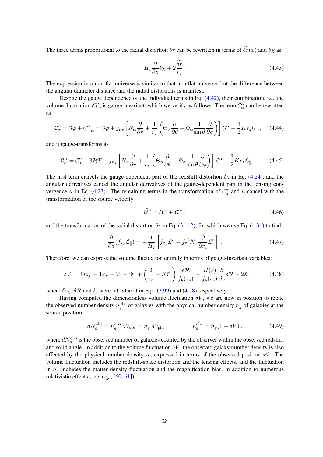The three terms proportional to the radial distortion  $\delta r$  can be rewritten in terms of  $\tilde{\delta r}(\tilde{x})$  and  $\delta \chi$  as

$$
H_z \frac{\partial}{\partial z} \delta \chi + 2 \frac{\tilde{\delta r}}{\overline{\tilde{r}}_z} \,. \tag{4.43}
$$

The expression in a non-flat universe is similar to that in a flat universe, but the difference between the angular diameter distance and the radial distortions is manifest.

Despite the gauge dependence of the individual terms in Eq. [\(4.42\)](#page-27-1), their combination, i.e. the volume fluctuation  $\delta V$ , is gauge-invariant, which we verify as follows. The term  $\mathcal{C}^{\alpha}_{\alpha}$  can be rewritten as

$$
\mathcal{C}_{\alpha}^{\alpha} = 3\varphi + \mathcal{G}_{|\alpha}^{\alpha} = 3\varphi + f_{\kappa z} \left[ N_{\alpha} \frac{\partial}{\partial \bar{r}} + \frac{1}{\bar{r}_z} \left( \Theta_{\alpha} \frac{\partial}{\partial \theta} + \Phi_{\alpha} \frac{1}{\sin \theta} \frac{\partial}{\partial \phi} \right) \right] \mathcal{G}^{\alpha} - \frac{3}{2} K \bar{r}_z \mathcal{G}_{\parallel} , \quad (4.44)
$$

and it gauge-transforms as

$$
\widetilde{\mathcal{C}}_{\alpha}^{\alpha} = \mathcal{C}_{\alpha}^{\alpha} - 3\mathcal{H}T - f_{\kappa z} \left[ N_{\alpha} \frac{\partial}{\partial \bar{r}} + \frac{1}{\bar{r}_z} \left( \Theta_{\alpha} \frac{\partial}{\partial \theta} + \Phi_{\alpha} \frac{1}{\sin \theta} \frac{\partial}{\partial \phi} \right) \right] \mathcal{L}^{\alpha} + \frac{3}{2} K \bar{r}_z \mathcal{L}_{\parallel} . \tag{4.45}
$$

The first term cancels the gauge-dependent part of the redshift distortion  $\delta z$  in Eq. [\(4.24\)](#page-25-2), and the angular derivatives cancel the angular derivatives of the gauge-dependent part in the lensing convergence  $\kappa$  in Eq. [\(4.23\)](#page-25-3). The remaining terms in the transformation of  $\mathcal{C}_{\alpha}^{\alpha}$  and  $\kappa$  cancel with the transformation of the source velocity

$$
\tilde{\mathcal{U}}^{\alpha} = \mathcal{U}^{\alpha} + \mathcal{L}^{\alpha\prime} \,, \tag{4.46}
$$

and the transformation of the radial distortion  $\delta r$  in Eq. [\(3.112\)](#page-21-3), for which we use Eq. [\(4.31\)](#page-26-2) to find

$$
\frac{\partial}{\partial z}(f_{\kappa z}\mathcal{L}_{\parallel}) = -\frac{1}{H_z} \left[ f_{\kappa z}\mathcal{L}_{\parallel}' - f_{\kappa z}^2 N_{\alpha} \frac{\partial}{\partial \bar{r}_z} \mathcal{L}^{\alpha} \right] . \tag{4.47}
$$

Therefore, we can express the volume fluctuation entirely in terms of gauge-invariant variables:

$$
\delta V = 3\delta z_{\chi} + 3\varphi_{\chi} + V_{\parallel} + \Psi_{\parallel} + \left(\frac{2}{\bar{r}_z} - K\bar{r}_z\right) \frac{\delta \mathcal{R}}{f_{\kappa}(\bar{r}_z)} + \frac{H(z)}{f_{\kappa}(\bar{r}_z)} \frac{\partial}{\partial z} \delta \mathcal{R} - 2\mathcal{K} \,, \tag{4.48}
$$

where  $\delta z_{\chi}$ ,  $\delta \mathcal{R}$  and  $\mathcal{K}$  were introduced in Eqs. [\(3.99\)](#page-19-3) and [\(4.28\)](#page-26-3) respectively.

Having computed the dimensionless volume fluctuation  $\delta V$ , we are now in position to relate the observed number density  $n_g^{\text{obs}}$  of galaxies with the physical number density  $n_g$  of galaxies at the source position:

$$
dN_g^{\text{obs}} = n_g^{\text{obs}} dV_{\text{obs}} = n_g dV_{\text{phy}} , \qquad n_g^{\text{obs}} = n_g (1 + \delta V) , \qquad (4.49)
$$

where  $dN_g^{\text{obs}}$  is the observed number of galaxies counted by the observer within the observed redshift and solid angle. In addition to the volume fluctuation  $\delta V$ , the observed galaxy number density is also affected by the physical number density  $n_g$  expressed in terms of the observed position  $\bar{x}_z^{\mu}$ . The volume fluctuation includes the redshift-space distortion and the lensing effects, and the fluctuation in  $n_q$  includes the matter density fluctuation and the magnification bias, in addition to numerous relativistic effects (see, e.g., [\[60,](#page-53-1) [61\]](#page-53-2)).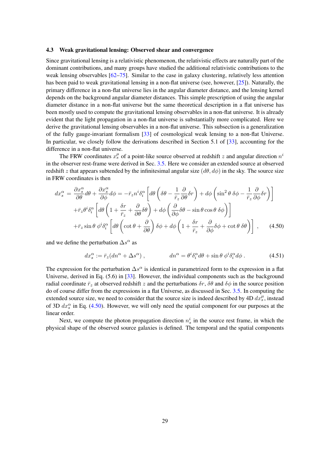#### <span id="page-29-0"></span>4.3 Weak gravitational lensing: Observed shear and convergence

Since gravitational lensing is a relativistic phenomenon, the relativistic effects are naturally part of the dominant contributions, and many groups have studied the additional relativistic contributions to the weak lensing observables  $[62–75]$  $[62–75]$ . Similar to the case in galaxy clustering, relatively less attention has been paid to weak gravitational lensing in a non-flat universe (see, however, [\[25\]](#page-51-10)). Naturally, the primary difference in a non-flat universe lies in the angular diameter distance, and the lensing kernel depends on the background angular diameter distances. This simple prescription of using the angular diameter distance in a non-flat universe but the same theoretical description in a flat universe has been mostly used to compute the gravitational lensing observables in a non-flat universe. It is already evident that the light propagation in a non-flat universe is substantially more complicated. Here we derive the gravitational lensing observables in a non-flat universe. This subsection is a generalization of the fully gauge-invariant formalism [\[33\]](#page-51-14) of cosmological weak lensing to a non-flat Universe. In particular, we closely follow the derivations described in Section 5.1 of [\[33\]](#page-51-14), accounting for the difference in a non-flat universe.

The FRW coordinates  $x_s^{\mu}$  of a point-like source observed at redshift z and angular direction  $n^i$ in the observer rest-frame were derived in Sec. [3.5.](#page-18-0) Here we consider an extended source at observed redshift z that appears subtended by the infinitesimal angular size  $(d\theta, d\phi)$  in the sky. The source size in FRW coordinates is then

<span id="page-29-1"></span>
$$
dx_s^{\alpha} = \frac{\partial x_s^{\alpha}}{\partial \theta} d\theta + \frac{\partial x_s^{\alpha}}{\partial \phi} d\phi = -\bar{r}_z n^i \delta_i^{\alpha} \left[ d\theta \left( \delta\theta - \frac{1}{\bar{r}_z} \frac{\partial}{\partial \theta} \delta r \right) + d\phi \left( \sin^2 \theta \delta\phi - \frac{1}{\bar{r}_z} \frac{\partial}{\partial \phi} \delta r \right) \right]
$$

$$
+ \bar{r}_z \theta^i \delta_i^{\alpha} \left[ d\theta \left( 1 + \frac{\delta r}{\bar{r}_z} + \frac{\partial}{\partial \theta} \delta\theta \right) + d\phi \left( \frac{\partial}{\partial \phi} \delta\theta - \sin \theta \cos \theta \delta\phi \right) \right]
$$

$$
+ \bar{r}_z \sin \theta \phi^i \delta_i^{\alpha} \left[ d\theta \left( \cot \theta + \frac{\partial}{\partial \theta} \right) \delta\phi + d\phi \left( 1 + \frac{\delta r}{\bar{r}_z} + \frac{\partial}{\partial \phi} \delta\phi + \cot \theta \delta\theta \right) \right], \qquad (4.50)
$$

and we define the perturbation  $\Delta s^{\alpha}$  as

$$
dx_s^{\alpha} := \bar{r}_z (dn^{\alpha} + \Delta s^{\alpha}), \qquad dn^{\alpha} = \theta^i \delta_i^{\alpha} d\theta + \sin \theta \, \phi^i \delta_i^{\alpha} d\phi. \tag{4.51}
$$

The expression for the perturbation  $\Delta s^{\alpha}$  is identical in parametrized form to the expression in a flat Universe, derived in Eq. (5.6) in [\[33\]](#page-51-14). However, the individual components such as the background radial coordinate  $\bar{r}_z$  at observed redshift z and the perturbations  $\delta r$ ,  $\delta \theta$  and  $\delta \phi$  in the source position do of course differ from the expressions in a flat Universe, as discussed in Sec. [3.5.](#page-18-0) In computing the extended source size, we need to consider that the source size is indeed described by 4D  $dx_s^{\mu}$ , instead of 3D  $dx_s^{\alpha}$  in Eq. [\(4.50\)](#page-29-1). However, we will only need the spatial component for our purposes at the linear order.

Next, we compute the photon propagation direction  $n_s^i$  in the source rest frame, in which the physical shape of the observed source galaxies is defined. The temporal and the spatial components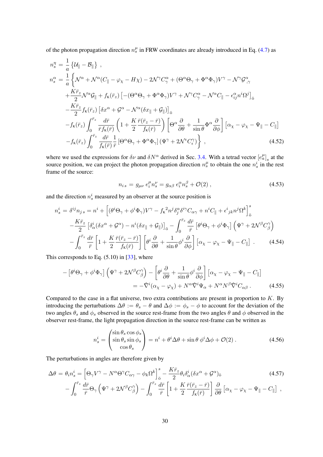of the photon propagation direction  $n_s^{\mu}$  in FRW coordinates are already introduced in Eq. [\(4.7\)](#page-23-2) as

$$
n_s^{\eta} = \frac{1}{a} \left\{ \mathcal{U}_{\parallel} - \mathcal{B}_{\parallel} \right\},
$$
  
\n
$$
n_s^{\alpha} = \frac{1}{a} \left\{ \mathcal{N}^{\alpha} + \mathcal{N}^{\alpha} (C_{\parallel} - \varphi_{\chi} - H \chi) - 2 \mathcal{N}^{\gamma} C_{\gamma}^{\alpha} + (\Theta^{\alpha} \Theta_{\gamma} + \Phi^{\alpha} \Phi_{\gamma}) V^{\gamma} - \mathcal{N}^{\gamma} \mathcal{G}_{\gamma}^{\alpha} + \frac{K \bar{r}_z}{2} \mathcal{N}^{\alpha} \mathcal{G}_{\parallel} + f_{\kappa} (\bar{r}_z) \left[ -(\Theta^{\alpha} \Theta_{\gamma} + \Phi^{\alpha} \Phi_{\gamma}) V^{\gamma} + \mathcal{N}^{\gamma} C_{\gamma}^{\alpha} - \mathcal{N}^{\alpha} C_{\parallel} - \epsilon_{ij}^{\alpha} n^{i} \Omega^{j} \right]_{\bar{o}} - \frac{K \bar{r}_z}{2} f_{\kappa} (\bar{r}_z) \left[ \delta x^{\alpha} + \mathcal{G}^{\alpha} - \mathcal{N}^{\alpha} (\delta x_{\parallel} + \mathcal{G}_{\parallel}) \right]_{\bar{o}} - f_{\kappa} (\bar{r}_z) \int_{0}^{\bar{r}_z} \frac{d \bar{r}}{\bar{r} f_{\kappa} (\bar{r})} \left( 1 + \frac{K}{2} \frac{\bar{r} (\bar{r}_z - \bar{r})}{f_{\kappa} (\bar{r})} \right) \left[ \Theta^{\alpha} \frac{\partial}{\partial \theta} + \frac{1}{\sin \theta} \Phi^{\alpha} \frac{\partial}{\partial \phi} \right] \left[ \alpha_x - \varphi_x - \Psi_{\parallel} - C_{\parallel} \right] - f_{\kappa} (\bar{r}_z) \int_{0}^{\bar{r}_z} \frac{d \bar{r}}{f_{\kappa} (\bar{r})} \frac{1}{\bar{r}} \left[ \Theta^{\alpha} \Theta_{\gamma} + \Phi^{\alpha} \Phi_{\gamma} \right] (\Psi^{\gamma} + 2 \mathcal{N}^{\epsilon} C_{\epsilon}^{\gamma}) \right\} , \tag{4.52}
$$

where we used the expressions for  $\delta \nu$  and  $\delta N^{\alpha}$  derived in Sec. [3.4.](#page-13-0) With a tetrad vector  $[e^{\mu}_{a}]_{s}$  at the source position, we can project the photon propagation direction  $n_s^{\mu}$  to obtain the one  $n_s^i$  in the rest frame of the source:

$$
n_{i\,s} = g_{\mu\nu} \, e_i^{\mu} n_s^{\nu} = g_{\alpha\beta} \, e_i^{\alpha} n_s^{\beta} + \mathcal{O}(2) \,, \tag{4.53}
$$

and the direction  $n_s^i$  measured by an observer at the source position is

$$
n_s^i = \delta^{ij} n_{js} = n^i + \left[ (\theta^i \Theta_\gamma + \phi^i \Phi_\gamma) V^\gamma - f_{\kappa}^2 n^j \delta_j^\alpha \delta^{i\gamma} C_{\alpha\gamma} + n^i C_{\parallel} + \epsilon^i{}_{jk} n^j \Omega^k \right]_{\bar{\mathfrak{o}}}^s
$$

$$
- \frac{K\bar{r}_z}{2} \left[ \delta_\alpha^i (\delta x^\alpha + \mathcal{G}^\alpha) - n^i (\delta x_{\parallel} + \mathcal{G}_{\parallel}) \right]_{\bar{\mathfrak{o}}} - \int_0^{\bar{r}_z} \frac{d\bar{r}}{\bar{r}} \left[ \theta^i \Theta_\gamma + \phi^i \Phi_\gamma \right] \left( \Psi^\gamma + 2\mathcal{N}^\beta C_\beta^\gamma \right)
$$

$$
- \int_0^{\bar{r}_z} \frac{d\bar{r}}{\bar{r}} \left[ 1 + \frac{K}{2} \frac{\bar{r}(\bar{r}_z - \bar{r})}{f_{\kappa}(\bar{r})} \right] \left[ \theta^i \frac{\partial}{\partial \theta} + \frac{1}{\sin \theta} \phi^i \frac{\partial}{\partial \phi} \right] \left[ \alpha_\chi - \varphi_\chi - \Psi_{\parallel} - C_{\parallel} \right] . \tag{4.54}
$$

This corresponds to Eq. (5.10) in [\[33\]](#page-51-14), where

$$
- \left[ \theta^i \Theta_\gamma + \phi^i \Phi_\gamma \right] \left( \Psi^\gamma + 2 \mathcal{N}^\beta C_\beta^\gamma \right) - \left[ \theta^i \frac{\partial}{\partial \theta} + \frac{1}{\sin \theta} \phi^i \frac{\partial}{\partial \phi} \right] \left[ \alpha_\chi - \varphi_\chi - \Psi_\parallel - C_\parallel \right]
$$
  

$$
= -\hat{\nabla}^i (\alpha_\chi - \varphi_\chi) + N^\alpha \hat{\nabla}^i \Psi_\alpha + N^\alpha N^\beta \hat{\nabla}^i C_{\alpha \beta} . \tag{4.55}
$$

Compared to the case in a flat universe, two extra contributions are present in proportion to  $K$ . By introducing the perturbations  $\Delta \theta := \theta_s - \theta$  and  $\Delta \phi := \phi_s - \phi$  to account for the deviation of the two angles  $\theta_s$  and  $\phi_s$  observed in the source rest-frame from the two angles  $\theta$  and  $\phi$  observed in the observer rest-frame, the light propagation direction in the source rest-frame can be written as

$$
n_s^i = \begin{pmatrix} \sin \theta_s \cos \phi_s \\ \sin \theta_s \sin \phi_s \\ \cos \theta_s \end{pmatrix} = n^i + \theta^i \Delta \theta + \sin \theta \, \phi^i \Delta \phi + \mathcal{O}(2) \,. \tag{4.56}
$$

The perturbations in angles are therefore given by

$$
\Delta \theta = \theta_i n_s^i = \left[ \Theta_\gamma V^\gamma - N^\alpha \Theta^\gamma C_{\alpha\gamma} - \phi_k \Omega^k \right]_\delta^s - \frac{K \bar{r}_z}{2} \theta_i \delta_\alpha^i (\delta x^\alpha + \mathcal{G}^\alpha)_\delta
$$
\n
$$
- \int_0^{\bar{r}_z} \frac{d\bar{r}}{\bar{r}} \Theta_\gamma \left( \Psi^\gamma + 2N^\beta C_\beta^\gamma \right) - \int_0^{\bar{r}_z} \frac{d\bar{r}}{\bar{r}} \left[ 1 + \frac{K}{2} \frac{\bar{r}(\bar{r}_z - \bar{r})}{f_\kappa(\bar{r})} \right] \frac{\partial}{\partial \theta} \left[ \alpha_\chi - \varphi_\chi - \Psi_\parallel - C_\parallel \right] \,,
$$
\n(4.57)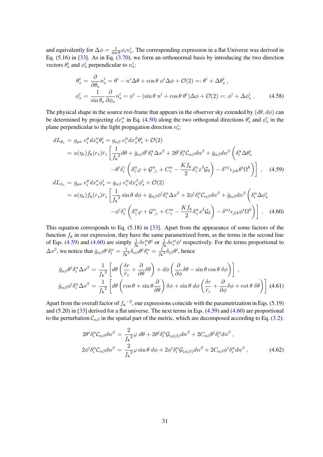and equivalently for  $\Delta \phi = \frac{1}{\sin \theta}$  $\frac{1}{\sin \theta} \phi_i n_s^i$ . The corresponding expression in a flat Universe was derived in Eq.  $(5.16)$  in [\[33\]](#page-51-14). As in Eq.  $(3.70)$ , we form an orthonormal basis by introducing the two direction vectors  $\theta_s^i$  and  $\phi_s^i$  perpendicular to  $n_s^i$ :

$$
\theta_s^i = \frac{\partial}{\partial \theta_s} n_s^i = \theta^i - n^i \Delta \theta + \cos \theta \, \phi^i \Delta \phi + \mathcal{O}(2) =: \theta^i + \Delta \theta_s^i ,
$$
  

$$
\phi_s^i = \frac{1}{\sin \theta_s} \frac{\partial}{\partial \phi_s} n_s^i = \phi^i - (\sin \theta \, n^i + \cos \theta \, \theta^i) \Delta \phi + \mathcal{O}(2) =: \phi^i + \Delta \phi_s^i .
$$
 (4.58)

The physical shape in the source rest-frame that appears in the observer sky extended by  $(d\theta, d\phi)$  can be determined by projecting  $dx_s^{\alpha}$  in Eq. [\(4.50\)](#page-29-1) along the two orthogonal directions  $\theta_s^i$  and  $\phi_s^i$  in the plane perpendicular to the light propagation direction  $n_s^i$ :

<span id="page-31-0"></span>
$$
dL_{\theta_{s}} = g_{\mu\nu} e_{i}^{\mu} dx_{s}^{\nu} \theta_{s}^{i} = g_{\alpha\beta} e_{i}^{\alpha} dx_{s}^{\beta} \theta_{s}^{i} + \mathcal{O}(2)
$$
  
\n
$$
= a(\eta_{s}) f_{\kappa}(r_{s}) \bar{r}_{z} \left[ \frac{1}{f_{\kappa}^{2}} d\theta + \bar{g}_{\alpha\beta} \theta^{i} \delta_{i}^{\alpha} \Delta s^{\beta} + 2\theta^{i} \delta_{i}^{\alpha} C_{\alpha\beta} dn^{\beta} + \bar{g}_{\alpha\beta} dn^{\beta} \left( \delta_{i}^{\alpha} \Delta \theta_{s}^{i} - \theta^{i} \delta_{i}^{\gamma} \left( \delta_{\gamma}^{\alpha} \varphi + \mathcal{G}_{\gamma}^{\alpha} + C_{\gamma}^{\alpha} - \frac{K f_{\kappa}}{2} \delta_{\gamma}^{\alpha} x^{\delta} \mathcal{G}_{\delta} \right) - \delta^{\alpha j} \epsilon_{jik} \theta^{i} \Omega^{k} \right) \right], \quad (4.59)
$$
  
\n
$$
dL_{\phi_{s}} = g_{\mu\nu} e_{i}^{\mu} dx_{s}^{\nu} \phi_{s}^{i} = g_{\alpha\beta} e_{i}^{\alpha} dx_{s}^{\beta} \phi_{s}^{i} + \mathcal{O}(2)
$$

$$
\begin{split} \n\Delta \phi_{s} &= g_{\mu\nu} \, e_{i} \, dx_{s} \, \phi_{s} = g_{\alpha\beta} \, e_{i} \, dx_{s} \, \phi_{s} + \mathcal{O}(2) \\ \n&= a(\eta_{s}) f_{\kappa}(r_{s}) \bar{r}_{z} \left[ \frac{1}{f_{\kappa}^{2}} \sin \theta \, d\phi + \bar{g}_{\alpha\beta} \phi^{i} \delta_{i}^{\alpha} \Delta s^{\beta} + 2 \phi^{i} \delta_{i}^{\alpha} \mathcal{C}_{\alpha\beta} dn^{\beta} + \bar{g}_{\alpha\beta} dn^{\beta} \left( \delta_{i}^{\alpha} \Delta \phi_{s}^{i} - \phi^{i} \delta_{i}^{\gamma} \left( \delta_{\gamma}^{\alpha} \varphi + \mathcal{G}_{\gamma}^{\alpha} + C_{\gamma}^{\alpha} - \frac{K f_{\kappa}}{2} \delta_{\gamma}^{\alpha} x^{\delta} \mathcal{G}_{\delta} \right) - \delta^{\alpha j} \epsilon_{jik} \phi^{i} \Omega^{k} \right) \right] \,. \tag{4.60} \end{split}
$$

This equation corresponds to Eq. (5.18) in [\[33\]](#page-51-14). Apart from the appearance of some factors of the function  $f_K$  in our expression, they have the same parametrized form, as the terms in the second line of Eqs. [\(4.59\)](#page-31-0) and [\(4.60\)](#page-31-0) are simply  $\frac{1}{f_K} \delta e_i^{\alpha} \theta^i$  or  $\frac{1}{f_K} \delta e_i^{\alpha} \phi^i$  respectively. For the terms proportional to  $\Delta s^{\beta}$ , we notice that  $\bar{g}_{\alpha\beta}\theta^{i}\delta_{i}^{\alpha}=\frac{1}{f_{\kappa}}$  $\frac{1}{f_{\rm K}{}^2}\delta_{\alpha\beta}\theta^i\delta_i^\alpha=\frac{\rm i}{f_{\rm K}}$  $\frac{1}{f_{\rm K}^2} \delta_{i\beta} \theta^i$ , hence

$$
\bar{g}_{\alpha\beta}\theta^{i}\delta_{i}^{\alpha}\Delta s^{\beta} = \frac{1}{f_{\kappa}^{2}} \left[ d\theta \left( \frac{\delta r}{\bar{r}_{z}} + \frac{\partial}{\partial \theta} \delta \theta \right) + d\phi \left( \frac{\partial}{\partial \phi} \delta \theta - \sin \theta \cos \theta \delta \phi \right) \right],
$$
\n
$$
\bar{g}_{\alpha\beta}\phi^{i}\delta_{i}^{\alpha}\Delta s^{\beta} = \frac{1}{f_{\kappa}^{2}} \left[ d\theta \left( \cos \theta + \sin \theta \frac{\partial}{\partial \theta} \right) \delta \phi + \sin \theta \, d\phi \left( \frac{\delta r}{\bar{r}_{z}} + \frac{\partial}{\partial \phi} \delta \phi + \cot \theta \, \delta \theta \right) \right] (4.61)
$$

Apart from the overall factor of  $f_K^{-2}$ , our expressions coincide with the parametrization in Eqs. (5.19) and (5.20) in [\[33\]](#page-51-14) derived for a flat universe. The next terms in Eqs. [\(4.59\)](#page-31-0) and [\(4.60\)](#page-31-0) are proportional to the perturbation  $C_{\alpha\beta}$  in the spatial part of the metric, which are decomposed according to Eq. [\(3.2\)](#page-7-2):

$$
2\theta^{i}\delta_{i}^{\alpha}C_{\alpha\beta}dn^{\beta} = \frac{2}{f_{\kappa}^{2}}\varphi d\theta + 2\theta^{i}\delta_{i}^{\alpha}\mathcal{G}_{(\alpha|\beta)}dn^{\beta} + 2C_{\alpha\beta}\theta^{i}\delta_{i}^{\alpha}dn^{\beta} ,
$$
  
\n
$$
2\phi^{i}\delta_{i}^{\alpha}C_{\alpha\beta}dn^{\beta} = \frac{2}{f_{\kappa}^{2}}\varphi\sin\theta d\phi + 2\phi^{i}\delta_{i}^{\alpha}\mathcal{G}_{(\alpha|\beta)}dn^{\beta} + 2C_{\alpha\beta}\phi^{i}\delta_{i}^{\alpha}dn^{\beta} ,
$$
\n(4.62)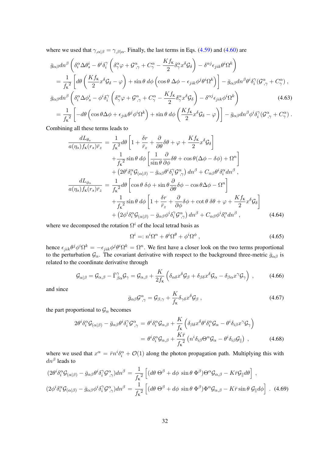where we used that  $\gamma_{,\alpha|\beta} = \gamma_{,\beta|\alpha}$ . Finally, the last terms in Eqs. [\(4.59\)](#page-31-0) and [\(4.60\)](#page-31-0) are

$$
\bar{g}_{\alpha\beta}dn^{\beta}\left(\delta_{i}^{\alpha}\Delta\theta_{s}^{i}-\theta^{i}\delta_{i}^{\gamma}\left(\delta_{\gamma}^{\alpha}\varphi+\mathcal{G}_{,\gamma}^{\alpha}+\mathcal{C}_{\gamma}^{\alpha}-\frac{Kf_{\kappa}}{2}\delta_{\gamma}^{\alpha}x^{\delta}\mathcal{G}_{\delta}\right)-\delta^{\alpha j}\epsilon_{jik}\theta^{i}\Omega^{k}\right) \n= \frac{1}{f_{\kappa}^{2}}\left[d\theta\left(\frac{Kf_{\kappa}}{2}x^{\delta}\mathcal{G}_{\delta}-\varphi\right)+\sin\theta\,d\phi\left(\cos\theta\,\Delta\phi-\epsilon_{jik}\phi^{j}\theta^{i}\Omega^{k}\right)\right]-\bar{g}_{\alpha\beta}dn^{\beta}\theta^{i}\delta_{i}^{\gamma}(\mathcal{G}_{,\gamma}^{\alpha}+\mathcal{C}_{\gamma}^{\alpha}), \bar{g}_{\alpha\beta}dn^{\beta}\left(\delta_{i}^{\alpha}\Delta\phi_{s}^{i}-\phi^{i}\delta_{i}^{\gamma}\left(\delta_{\gamma}^{\alpha}\varphi+\mathcal{G}_{,\gamma}^{\alpha}+\mathcal{C}_{\gamma}^{\alpha}-\frac{Kf_{\kappa}}{2}\delta_{\gamma}^{\alpha}x^{\delta}\mathcal{G}_{\delta}\right)-\delta^{\alpha j}\epsilon_{jik}\phi^{i}\Omega^{k}\right) \tag{4.63}
$$
\n
$$
=\frac{1}{f_{\kappa}^{2}}\left[-d\theta\left(\cos\theta\Delta\phi+\epsilon_{jik}\theta^{j}\phi^{i}\Omega^{k}\right)+\sin\theta\,d\phi\left(\frac{Kf_{\kappa}}{2}x^{\delta}\mathcal{G}_{\delta}-\varphi\right)\right]-\bar{g}_{\alpha\beta}dn^{\beta}\phi^{i}\delta_{i}^{\gamma}(\mathcal{G}_{,\gamma}^{\alpha}+\mathcal{C}_{\gamma}^{\alpha}).
$$

Combining all these terms leads to

<span id="page-32-0"></span>
$$
\frac{dL_{\theta_{s}}}{a(\eta_{s})f_{\kappa}(r_{s})\bar{r}_{z}} = \frac{1}{f_{\kappa}^{2}}d\theta \left[1 + \frac{\delta r}{\bar{r}_{z}} + \frac{\partial}{\partial \theta}\delta\theta + \varphi + \frac{Kf_{\kappa}}{2}x^{\delta}\mathcal{G}_{\delta}\right] \n+ \frac{1}{f_{\kappa}^{2}}\sin\theta \,d\phi \left[\frac{1}{\sin\theta}\frac{\partial}{\partial \phi}\delta\theta + \cos\theta(\Delta\phi - \delta\phi) + \Omega^{n}\right] \n+ (2\theta^{i}\delta_{i}^{\alpha}\mathcal{G}_{(\alpha|\beta)} - \bar{g}_{\alpha\beta}\theta^{i}\delta_{i}^{\gamma}\mathcal{G}_{,\gamma}^{\alpha}) \,dn^{\beta} + C_{\alpha\beta}\theta^{i}\delta_{i}^{\alpha}dn^{\beta} ,\n\frac{dL_{\phi_{s}}}{a(\eta_{s})f_{\kappa}(r_{s})\bar{r}_{z}} = \frac{1}{f_{\kappa}^{2}}d\theta \left[\cos\theta \,\delta\phi + \sin\theta\frac{\partial}{\partial \theta}\delta\phi - \cos\theta\Delta\phi - \Omega^{n}\right] \n+ \frac{1}{f_{\kappa}^{2}}\sin\theta \,d\phi \left[1 + \frac{\delta r}{\bar{r}_{z}} + \frac{\partial}{\partial \phi}\delta\phi + \cot\theta \,\delta\theta + \varphi + \frac{Kf_{\kappa}}{2}x^{\delta}\mathcal{G}_{\delta}\right] \n+ (2\phi^{i}\delta_{i}^{\alpha}\mathcal{G}_{(\alpha|\beta)} - \bar{g}_{\alpha\beta}\phi^{i}\delta_{i}^{\gamma}\mathcal{G}_{,\gamma}^{\alpha}) \,dn^{\beta} + C_{\alpha\beta}\phi^{i}\delta_{i}^{\alpha}dn^{\beta} , \tag{4.64}
$$

where we decomposed the rotation  $\Omega^i$  of the local tetrad basis as

$$
\Omega^i =: n^i \Omega^n + \theta^i \Omega^\theta + \phi^i \Omega^\phi \,, \tag{4.65}
$$

hence  $\epsilon_{jik}\theta^j\phi^i\Omega^k=-\epsilon_{jik}\phi^j\theta^i\Omega^k=\Omega^n$ . We first have a closer look on the two terms proportional to the perturbation  $\mathcal{G}_\alpha$ . The covariant derivative with respect to the background three-metric  $\bar{g}_{\alpha\beta}$  is related to the coordinate derivative through

$$
\mathcal{G}_{\alpha|\beta} = \mathcal{G}_{\alpha,\beta} - \bar{\Gamma}^{\gamma}_{\beta\alpha}\mathcal{G}_{\gamma} = \mathcal{G}_{\alpha,\beta} + \frac{K}{2f_{\kappa}} \left( \delta_{\alpha\delta} x^{\delta} \mathcal{G}_{\beta} + \delta_{\beta\delta} x^{\delta} \mathcal{G}_{\alpha} - \delta_{\beta\alpha} x^{\gamma} \mathcal{G}_{\gamma} \right) , \tag{4.66}
$$

and since

$$
\bar{g}_{\alpha\beta}\mathcal{G}^{\alpha}_{,\gamma} = \mathcal{G}_{\beta,\gamma} + \frac{K}{f_{\kappa}} \delta_{\gamma\delta} x^{\delta} \mathcal{G}_{\beta} , \qquad (4.67)
$$

the part proportional to  $\mathcal{G}_{\alpha}$  becomes

$$
2\theta^{i}\delta_{i}^{\alpha}\mathcal{G}_{(\alpha|\beta)} - \bar{g}_{\alpha\beta}\theta^{i}\delta_{i}^{\gamma}\mathcal{G}_{,\gamma}^{\alpha} = \theta^{i}\delta_{i}^{\alpha}\mathcal{G}_{\alpha,\beta} + \frac{K}{f_{\kappa}}\left(\delta_{\beta\delta}x^{\delta}\theta^{i}\delta_{i}^{\alpha}\mathcal{G}_{\alpha} - \theta^{i}\delta_{i\beta}x^{\gamma}\mathcal{G}_{\gamma}\right)
$$

$$
= \theta^{i}\delta_{i}^{\alpha}\mathcal{G}_{\alpha,\beta} + \frac{K\bar{r}}{f_{\kappa}^{2}}\left(n^{i}\delta_{i\beta}\Theta^{\alpha}\mathcal{G}_{\alpha} - \theta^{i}\delta_{i\beta}\mathcal{G}_{\parallel}\right) , \qquad (4.68)
$$

where we used that  $x^{\alpha} = \bar{r} n^{i} \delta_{i}^{\alpha} + \mathcal{O}(1)$  along the photon propagation path. Multiplying this with  $dn^{\beta}$  leads to

$$
(2\theta^{i}\delta_{i}^{\alpha}\mathcal{G}_{(\alpha|\beta)} - \bar{g}_{\alpha\beta}\theta^{i}\delta_{i}^{\gamma}\mathcal{G}_{,\gamma}^{\alpha})dn^{\beta} = \frac{1}{f_{\kappa}^{2}} \left[ (d\theta \Theta^{\beta} + d\phi \sin \theta \Phi^{\beta})\Theta^{\alpha}\mathcal{G}_{\alpha,\beta} - K\bar{r}\mathcal{G}_{\parallel}d\theta \right],
$$
  

$$
(2\phi^{i}\delta_{i}^{\alpha}\mathcal{G}_{(\alpha|\beta)} - \bar{g}_{\alpha\beta}\phi^{i}\delta_{i}^{\gamma}\mathcal{G}_{,\gamma}^{\alpha})dn^{\beta} = \frac{1}{f_{\kappa}^{2}} \left[ (d\theta \Theta^{\beta} + d\phi \sin \theta \Phi^{\beta})\Phi^{\alpha}\mathcal{G}_{\alpha,\beta} - K\bar{r}\sin \theta \mathcal{G}_{\parallel}d\phi \right].
$$
 (4.69)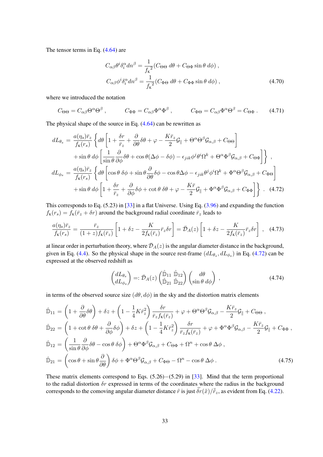The tensor terms in Eq. [\(4.64\)](#page-32-0) are

$$
C_{\alpha\beta}\theta^i \delta_i^{\alpha} dn^{\beta} = \frac{1}{f_{\kappa}^2} (C_{\Theta\Theta} d\theta + C_{\Theta\Phi} \sin \theta d\phi),
$$
  

$$
C_{\alpha\beta}\phi^i \delta_i^{\alpha} dn^{\beta} = \frac{1}{f_{\kappa}^2} (C_{\Phi\Theta} d\theta + C_{\Phi\Phi} \sin \theta d\phi),
$$
 (4.70)

where we introduced the notation

$$
C_{\Theta\Theta} = C_{\alpha\beta} \Theta^{\alpha} \Theta^{\beta} , \qquad C_{\Phi\Phi} = C_{\alpha\beta} \Phi^{\alpha} \Phi^{\beta} , \qquad C_{\Phi\Theta} = C_{\alpha\beta} \Phi^{\alpha} \Theta^{\beta} = C_{\Theta\Phi} . \qquad (4.71)
$$

The physical shape of the source in Eq. [\(4.64\)](#page-32-0) can be rewritten as

<span id="page-33-0"></span>
$$
dL_{\theta_{s}} = \frac{a(\eta_{s})\bar{r}_{z}}{f_{\kappa}(r_{s})} \left\{ d\theta \left[ 1 + \frac{\delta r}{\bar{r}_{z}} + \frac{\partial}{\partial \theta} \delta \theta + \varphi - \frac{K\bar{r}_{z}}{2} \mathcal{G}_{\parallel} + \Theta^{\alpha} \Theta^{\beta} \mathcal{G}_{\alpha,\beta} + C_{\Theta \Theta} \right] \right. \n+ \sin \theta \, d\phi \left[ \frac{1}{\sin \theta} \frac{\partial}{\partial \phi} \delta \theta + \cos \theta (\Delta \phi - \delta \phi) - \epsilon_{jik} \phi^{j} \theta^{i} \Omega^{k} + \Theta^{\alpha} \Phi^{\beta} \mathcal{G}_{\alpha,\beta} + C_{\Theta \Phi} \right] \right\} ,
$$
\n
$$
dL_{\phi_{s}} = \frac{a(\eta_{s})\bar{r}_{z}}{f_{\kappa}(r_{s})} \left\{ d\theta \left[ \cos \theta \delta \phi + \sin \theta \frac{\partial}{\partial \theta} \delta \phi - \cos \theta \Delta \phi - \epsilon_{jik} \theta^{j} \phi^{i} \Omega^{k} + \Phi^{\alpha} \Theta^{\beta} \mathcal{G}_{\alpha,\beta} + C_{\Phi \Theta} \right] \right. \n+ \sin \theta \, d\phi \left[ 1 + \frac{\delta r}{\bar{r}_{z}} + \frac{\partial}{\partial \phi} \delta \phi + \cot \theta \delta \theta + \varphi - \frac{K\bar{r}}{2} \mathcal{G}_{\parallel} + \Phi^{\alpha} \Phi^{\beta} \mathcal{G}_{\alpha,\beta} + C_{\Phi \Phi} \right] \right\} .
$$
\n(4.72)

This corresponds to Eq. (5.23) in [\[33\]](#page-51-14) in a flat Universe. Using Eq. [\(3.96\)](#page-18-2) and expanding the function  $f_K(r_s) = \overline{f_K}(\overline{r}_z + \delta r)$  around the background radial coordinate  $\overline{r}_z$  leads to

$$
\frac{a(\eta_s)\bar{r}_z}{f_{\kappa}(r_s)} = \frac{\bar{r}_z}{(1+z)f_{\kappa}(\bar{r}_z)} \left[1 + \delta z - \frac{K}{2f_{\kappa}(\bar{r}_z)}\bar{r}_z \delta r\right] = \bar{\mathcal{D}}_A(z) \left[1 + \delta z - \frac{K}{2f_{\kappa}(\bar{r}_z)}\bar{r}_z \delta r\right], \quad (4.73)
$$

at linear order in perturbation theory, where  $\bar{\mathcal{D}}_A(z)$  is the angular diameter distance in the background, given in Eq. [\(4.4\)](#page-23-3). So the physical shape in the source rest-frame  $(dL_{\theta_s}, dL_{\phi_s})$  in Eq. [\(4.72\)](#page-33-0) can be expressed at the observed redshift as

$$
\begin{pmatrix} dL_{\theta_s} \\ dL_{\phi_s} \end{pmatrix} =: \bar{\mathcal{D}}_A(z) \begin{pmatrix} \hat{\mathbb{D}}_{11} & \hat{\mathbb{D}}_{12} \\ \hat{\mathbb{D}}_{21} & \hat{\mathbb{D}}_{22} \end{pmatrix} \begin{pmatrix} d\theta \\ \sin \theta & d\phi \end{pmatrix} , \qquad (4.74)
$$

in terms of the observed source size  $(d\theta, d\phi)$  in the sky and the distortion matrix elements

$$
\hat{\mathbb{D}}_{11} = \left(1 + \frac{\partial}{\partial \theta}\delta\theta\right) + \delta z + \left(1 - \frac{1}{4}K\bar{r}_z^2\right)\frac{\delta r}{\bar{r}_z f_{\mathbf{k}}(\bar{r}_z)} + \varphi + \Theta^{\alpha}\Theta^{\beta}\mathcal{G}_{\alpha,\beta} - \frac{K\bar{r}_z}{2}\mathcal{G}_{\parallel} + C_{\Theta\Theta},
$$
\n
$$
\hat{\mathbb{D}}_{22} = \left(1 + \cot\theta\,\delta\theta + \frac{\partial}{\partial \phi}\delta\phi\right) + \delta z + \left(1 - \frac{1}{4}K\bar{r}_z^2\right)\frac{\delta r}{\bar{r}_z f_{\mathbf{k}}(\bar{r}_z)} + \varphi + \Phi^{\alpha}\Phi^{\beta}\mathcal{G}_{\alpha,\beta} - \frac{K\bar{r}_z}{2}\mathcal{G}_{\parallel} + C_{\Phi\Phi},
$$
\n
$$
\hat{\mathbb{D}}_{12} = \left(\frac{1}{\sin\theta}\frac{\partial}{\partial \phi}\delta\theta - \cos\theta\,\delta\phi\right) + \Theta^{\alpha}\Phi^{\beta}\mathcal{G}_{\alpha,\beta} + C_{\Theta\Phi} + \Omega^{n} + \cos\theta\,\Delta\phi,
$$
\n
$$
\hat{\mathbb{D}}_{21} = \left(\cos\theta + \sin\theta\frac{\partial}{\partial \theta}\right)\delta\phi + \Phi^{\alpha}\Theta^{\beta}\mathcal{G}_{\alpha,\beta} + C_{\Phi\Theta} - \Omega^{n} - \cos\theta\,\Delta\phi.
$$
\n(4.75)

These matrix elements correspond to Eqs. (5.26)−(5.29) in [\[33\]](#page-51-14). Mind that the term proportional to the radial distortion  $\delta r$  expressed in terms of the coordinates where the radius in the background corresponds to the comoving angular diameter distance  $\tilde{r}$  is just  $\tilde{\delta r}(\tilde{x})/\tilde{r}_z$ , as evident from Eq. [\(4.22\)](#page-25-1).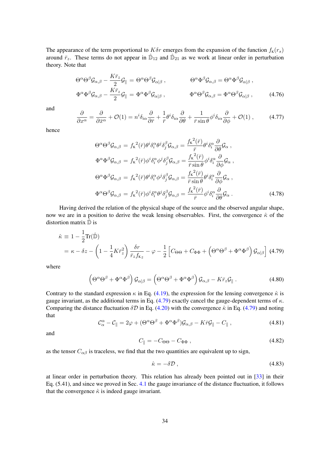The appearance of the term proportional to  $K\delta r$  emerges from the expansion of the function  $f_K(r_s)$ around  $\bar{r}_z$ . These terms do not appear in  $\hat{D}_{12}$  and  $\hat{D}_{21}$  as we work at linear order in perturbation theory. Note that

$$
\Theta^{\alpha}\Theta^{\beta}\mathcal{G}_{\alpha,\beta} - \frac{K\bar{r}_{z}}{2}\mathcal{G}_{\parallel} = \Theta^{\alpha}\Theta^{\beta}\mathcal{G}_{\alpha|\beta} ,\n\Theta^{\alpha}\Phi^{\beta}\mathcal{G}_{\alpha,\beta} = \Theta^{\alpha}\Phi^{\beta}\mathcal{G}_{\alpha|\beta} ,
$$
\n
$$
\Phi^{\alpha}\Phi^{\beta}\mathcal{G}_{\alpha,\beta} - \frac{K\bar{r}_{z}}{2}\mathcal{G}_{\parallel} = \Phi^{\alpha}\Phi^{\beta}\mathcal{G}_{\alpha|\beta} ,\n\Phi^{\alpha}\Theta^{\beta}\mathcal{G}_{\alpha,\beta} = \Phi^{\alpha}\Theta^{\beta}\mathcal{G}_{\alpha|\beta} ,\n\tag{4.76}
$$

and

$$
\frac{\partial}{\partial x^{\alpha}} = \frac{\partial}{\partial \bar{x}^{\alpha}} + \mathcal{O}(1) = n^{i} \delta_{i\alpha} \frac{\partial}{\partial \bar{r}} + \frac{1}{\bar{r}} \theta^{i} \delta_{i\alpha} \frac{\partial}{\partial \theta} + \frac{1}{\bar{r} \sin \theta} \phi^{i} \delta_{i\alpha} \frac{\partial}{\partial \phi} + \mathcal{O}(1) ,\qquad(4.77)
$$

hence

<span id="page-34-1"></span>
$$
\Theta^{\alpha}\Theta^{\beta}\mathcal{G}_{\alpha,\beta} = f_{\kappa}^{2}(\bar{r})\theta^{i}\delta_{i}^{\alpha}\theta^{j}\delta_{j}^{\beta}\mathcal{G}_{\alpha,\beta} = \frac{f_{\kappa}^{2}(\bar{r})}{\bar{r}}\theta^{i}\delta_{i}^{\alpha}\frac{\partial}{\partial\theta}\mathcal{G}_{\alpha},
$$
  
\n
$$
\Phi^{\alpha}\Phi^{\beta}\mathcal{G}_{\alpha,\beta} = f_{\kappa}^{2}(\bar{r})\phi^{i}\delta_{i}^{\alpha}\phi^{j}\delta_{j}^{\beta}\mathcal{G}_{\alpha,\beta} = \frac{f_{\kappa}^{2}(\bar{r})}{\bar{r}\sin\theta}\phi^{i}\delta_{i}^{\alpha}\frac{\partial}{\partial\phi}\mathcal{G}_{\alpha},
$$
  
\n
$$
\Theta^{\alpha}\Phi^{\beta}\mathcal{G}_{\alpha,\beta} = f_{\kappa}^{2}(\bar{r})\theta^{i}\delta_{i}^{\alpha}\phi^{j}\delta_{j}^{\beta}\mathcal{G}_{\alpha,\beta} = \frac{f_{\kappa}^{2}(\bar{r})}{\bar{r}\sin\theta}\theta^{i}\delta_{i}^{\alpha}\frac{\partial}{\partial\phi}\mathcal{G}_{\alpha},
$$
  
\n
$$
\Phi^{\alpha}\Theta^{\beta}\mathcal{G}_{\alpha,\beta} = f_{\kappa}^{2}(\bar{r})\phi^{i}\delta_{i}^{\alpha}\theta^{j}\delta_{j}^{\beta}\mathcal{G}_{\alpha,\beta} = \frac{f_{\kappa}^{2}(\bar{r})}{\bar{r}}\phi^{i}\delta_{i}^{\alpha}\frac{\partial}{\partial\theta}\mathcal{G}_{\alpha}. \tag{4.78}
$$

Having derived the relation of the physical shape of the source and the observed angular shape, now we are in a position to derive the weak lensing observables. First, the convergence  $\hat{\kappa}$  of the distortion matrix  $\hat{\mathbb{D}}$  is

<span id="page-34-0"></span>
$$
\hat{\kappa} \equiv 1 - \frac{1}{2} \text{Tr}(\hat{\mathbb{D}})
$$
  
=  $\kappa - \delta z - \left(1 - \frac{1}{4} K \bar{r}_z^2\right) \frac{\delta r}{\bar{r}_z f_{\kappa z}} - \varphi - \frac{1}{2} \left[ C_{\Theta \Theta} + C_{\Phi \Phi} + \left(\Theta^{\alpha} \Theta^{\beta} + \Phi^{\alpha} \Phi^{\beta}\right) \mathcal{G}_{\alpha|\beta} \right]$ (4.79)

where

$$
\left(\Theta^{\alpha}\Theta^{\beta} + \Phi^{\alpha}\Phi^{\beta}\right)\mathcal{G}_{\alpha|\beta} = \left(\Theta^{\alpha}\Theta^{\beta} + \Phi^{\alpha}\Phi^{\beta}\right)\mathcal{G}_{\alpha,\beta} - K\bar{r}_z\mathcal{G}_{\parallel}.
$$
 (4.80)

Contrary to the standard expression  $\kappa$  in Eq. [\(4.19\)](#page-24-2), the expression for the lensing convergence  $\hat{\kappa}$  is gauge invariant, as the additional terms in Eq. [\(4.79\)](#page-34-0) exactly cancel the gauge-dependent terms of  $\kappa$ . Comparing the distance fluctuation  $\delta \mathcal{D}$  in Eq. [\(4.20\)](#page-25-0) with the convergence  $\hat{\kappa}$  in Eq. [\(4.79\)](#page-34-0) and noting that

$$
\mathcal{C}_{\alpha}^{\alpha} - \mathcal{C}_{\parallel} = 2\varphi + (\Theta^{\alpha}\Theta^{\beta} + \Phi^{\alpha}\Phi^{\beta})\mathcal{G}_{\alpha,\beta} - K\bar{r}\mathcal{G}_{\parallel} - C_{\parallel} , \qquad (4.81)
$$

and

$$
C_{\parallel} = -C_{\Theta\Theta} - C_{\Phi\Phi} , \qquad (4.82)
$$

as the tensor  $C_{\alpha\beta}$  is traceless, we find that the two quantities are equivalent up to sign,

$$
\hat{\kappa} = -\delta \mathcal{D} \,,\tag{4.83}
$$

at linear order in perturbation theory. This relation has already been pointed out in [\[33\]](#page-51-14) in their Eq. (5.41), and since we proved in Sec. [4.1](#page-22-1) the gauge invariance of the distance fluctuation, it follows that the convergence  $\hat{\kappa}$  is indeed gauge invariant.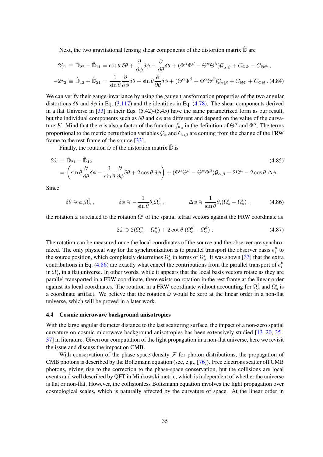Next, the two gravitational lensing shear components of the distortion matrix  $\hat{\mathbb{D}}$  are

$$
2\hat{\gamma}_1 \equiv \hat{\mathbb{D}}_{22} - \hat{\mathbb{D}}_{11} = \cot \theta \ \delta \theta + \frac{\partial}{\partial \phi} \delta \phi - \frac{\partial}{\partial \theta} \delta \theta + (\Phi^{\alpha} \Phi^{\beta} - \Theta^{\alpha} \Theta^{\beta}) \mathcal{G}_{\alpha|\beta} + C_{\Phi \Phi} - C_{\Theta \Theta} ,
$$
  

$$
-2\hat{\gamma}_2 \equiv \hat{\mathbb{D}}_{12} + \hat{\mathbb{D}}_{21} = \frac{1}{\sin \theta} \frac{\partial}{\partial \phi} \delta \theta + \sin \theta \frac{\partial}{\partial \theta} \delta \phi + (\Theta^{\alpha} \Phi^{\beta} + \Phi^{\alpha} \Theta^{\beta}) \mathcal{G}_{\alpha|\beta} + C_{\Theta \Phi} + C_{\Phi \Theta} .
$$
(4.84)

We can verify their gauge-invariance by using the gauge transformation properties of the two angular distortions  $\delta\theta$  and  $\delta\phi$  in Eq. [\(3.117\)](#page-21-2) and the identities in Eq. [\(4.78\)](#page-34-1). The shear components derived in a flat Universe in [\[33\]](#page-51-14) in their Eqs. (5.42)-(5.45) have the same parametrized form as our result, but the individual components such as  $\delta\theta$  and  $\delta\phi$  are different and depend on the value of the curvature K. Mind that there is also a factor of the function  $f_{Kz}$  in the definition of  $\Theta^{\alpha}$  and  $\Phi^{\alpha}$ . The terms proportional to the metric perturbation variables  $\mathcal{G}_\alpha$  and  $C_{\alpha\beta}$  are coming from the change of the FRW frame to the rest-frame of the source [\[33\]](#page-51-14).

Finally, the rotation  $\hat{\omega}$  of the distortion matrix  $\hat{\mathbb{D}}$  is

<span id="page-35-1"></span>
$$
2\hat{\omega} \equiv \hat{\mathbb{D}}_{21} - \hat{\mathbb{D}}_{12}
$$
\n
$$
= \left(\sin\theta \frac{\partial}{\partial \theta} \delta\phi - \frac{1}{\sin\theta} \frac{\partial}{\partial \phi} \delta\theta + 2\cos\theta \delta\phi\right) + \left(\Phi^{\alpha}\Theta^{\beta} - \Theta^{\alpha}\Phi^{\beta}\right) \mathcal{G}_{\alpha,\beta} - 2\Omega^{n} - 2\cos\theta \Delta\phi.
$$
\n(4.85)

Since

$$
\delta\theta \ni \phi_i \Omega_o^i \,, \qquad \qquad \delta\phi \ni -\frac{1}{\sin \theta} \theta_i \Omega_o^i \,, \qquad \qquad \Delta\phi \ni \frac{1}{\sin \theta} \theta_i (\Omega_s^i - \Omega_o^i) \,, \qquad (4.86)
$$

the rotation  $\hat{\omega}$  is related to the rotation  $\Omega^i$  of the spatial tetrad vectors against the FRW coordinate as

$$
2\hat{\omega} \ni 2(\Omega_o^n - \Omega_s^n) + 2 \cot \theta \left( \Omega_o^\theta - \Omega_s^\theta \right). \tag{4.87}
$$

The rotation can be measured once the local coordinates of the source and the observer are synchronized. The only physical way for the synchronization is to parallel transport the observer basis  $e_i^{\mu}$  $\frac{\mu}{i}$  to the source position, which completely determines  $\Omega_s^i$  in terms of  $\Omega_o^i$ . It was shown [\[33\]](#page-51-14) that the extra contributions in Eq. [\(4.86\)](#page-35-1) are exactly what cancel the contributions from the parallel transport of  $e_i^{\mu}$ i in  $\Omega_s^i$ , in a flat universe. In other words, while it appears that the local basis vectors rotate as they are parallel transported in a FRW coordinate, there exists no rotation in the rest frame at the linear order against its local coordinates. The rotation in a FRW coordinate without accounting for  $\Omega_o^i$  and  $\Omega_s^i$  is a coordinate artifact. We believe that the rotation  $\hat{\omega}$  would be zero at the linear order in a non-flat universe, which will be proved in a later work.

#### <span id="page-35-0"></span>4.4 Cosmic microwave background anisotropies

With the large angular diameter distance to the last scattering surface, the impact of a non-zero spatial curvature on cosmic microwave background anisotropies has been extensively studied [\[13](#page-50-9)[–20,](#page-51-0) [35–](#page-51-16) [37\]](#page-52-0) in literature. Given our computation of the light propagation in a non-flat universe, here we revisit the issue and discuss the impact on CMB.

With conservation of the phase space density  $\mathcal F$  for photon distributions, the propagation of CMB photons is described by the Boltzmann equation (see, e.g., [\[76\]](#page-53-5)). Free electrons scatter off CMB photons, giving rise to the correction to the phase-space conservation, but the collisions are local events and well described by QFT in Minkowski metric, which is independent of whether the universe is flat or non-flat. However, the collisionless Boltzmann equation involves the light propagation over cosmological scales, which is naturally affected by the curvature of space. At the linear order in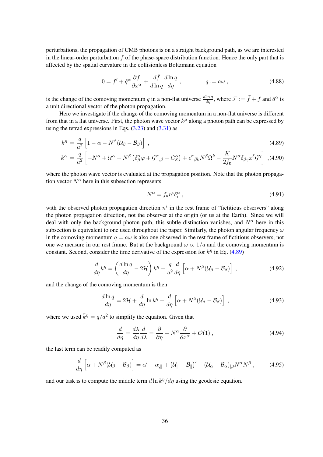perturbations, the propagation of CMB photons is on a straight background path, as we are interested in the linear-order perturbation f of the phase-space distribution function. Hence the only part that is affected by the spatial curvature in the collisionless Boltzmann equation

<span id="page-36-1"></span>
$$
0 = f' + \hat{q}^{\alpha} \frac{\partial f}{\partial x^{\alpha}} + \frac{d\bar{f}}{d\ln q} \frac{d\ln q}{d\eta} , \qquad q := a\omega , \qquad (4.88)
$$

is the change of the comoving momentum q in a non-flat universe  $\frac{d \ln q}{d\eta}$ , where  $\mathcal{F} := \bar{f} + f$  and  $\hat{q}^{\alpha}$  is a unit directional vector of the photon propagation.

Here we investigate if the change of the comoving momentum in a non-flat universe is different from that in a flat universe. First, the photon wave vector  $k^{\mu}$  along a photon path can be expressed by using the tetrad expressions in Eqs.  $(3.23)$  and  $(3.31)$  as

<span id="page-36-0"></span>
$$
k^{\eta} = \frac{q}{a^2} \left[ 1 - \alpha - N^{\beta} (\mathcal{U}_{\beta} - \mathcal{B}_{\beta}) \right], \tag{4.89}
$$

$$
k^{\alpha} = \frac{q}{a^2} \left[ -N^{\alpha} + \mathcal{U}^{\alpha} + N^{\beta} \left( \delta^{\alpha}_{\beta} \varphi + \mathcal{G}^{\alpha}_{,\beta} + C^{\alpha}_{\beta} \right) + \epsilon^{\alpha}{}_{\beta k} N^{\beta} \Omega^{k} - \frac{K}{2 f_{k}} N^{\alpha} \delta_{\beta \gamma} x^{\delta} \mathcal{G}^{\gamma} \right],
$$
(4.90)

where the photon wave vector is evaluated at the propagation position. Note that the photon propagation vector  $N^{\alpha}$  here in this subsection represents

$$
N^{\alpha} = f_{\mathbf{K}} n^i \delta_i^{\alpha} , \qquad (4.91)
$$

with the observed photon propagation direction  $n<sup>i</sup>$  in the rest frame of "fictitious observers" along the photon propagation direction, not the observer at the origin (or us at the Earth). Since we will deal with only the background photon path, this subtle distinction vanishes, and  $N^{\alpha}$  here in this subsection is equivalent to one used throughout the paper. Similarly, the photon angular frequency  $\omega$ in the comoving momentum  $q = a\omega$  is also one observed in the rest frame of fictitious observers, not one we measure in our rest frame. But at the background  $\omega \propto 1/a$  and the comoving momentum is constant. Second, consider the time derivative of the expression for  $k^{\eta}$  in Eq. [\(4.89\)](#page-36-0)

$$
\frac{d}{d\eta}k^{\eta} = \left(\frac{d\ln q}{d\eta} - 2\mathcal{H}\right)k^{\eta} - \frac{q}{a^2}\frac{d}{d\eta}\left[\alpha + N^{\beta}(\mathcal{U}_{\beta} - \mathcal{B}_{\beta})\right],\tag{4.92}
$$

and the change of the comoving momentum is then

$$
\frac{d\ln q}{d\eta} = 2\mathcal{H} + \frac{d}{d\eta}\ln k^{\eta} + \frac{d}{d\eta}\left[\alpha + N^{\beta}(\mathcal{U}_{\beta} - \mathcal{B}_{\beta})\right],\tag{4.93}
$$

where we used  $\bar{k}^{\eta} = q/a^2$  to simplify the equation. Given that

$$
\frac{d}{d\eta} = \frac{d\lambda}{d\eta}\frac{d}{d\lambda} = \frac{\partial}{\partial\eta} - N^{\alpha}\frac{\partial}{\partial x^{\alpha}} + \mathcal{O}(1) ,
$$
\n(4.94)

the last term can be readily computed as

$$
\frac{d}{d\eta}\left[\alpha + N^{\beta}(\mathcal{U}_{\beta} - \mathcal{B}_{\beta})\right] = \alpha' - \alpha_{,\parallel} + (\mathcal{U}_{\parallel} - \mathcal{B}_{\parallel})' - (\mathcal{U}_{\alpha} - \mathcal{B}_{\alpha})_{|\beta}N^{\alpha}N^{\beta},\tag{4.95}
$$

and our task is to compute the middle term  $d\ln k^{\eta}/d\eta$  using the geodesic equation.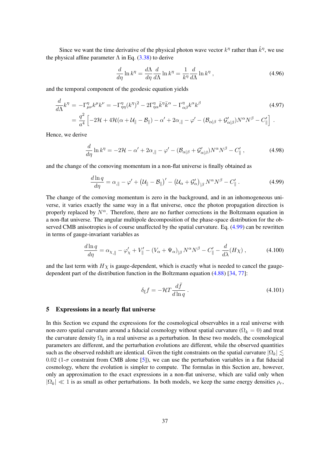Since we want the time derivative of the physical photon wave vector  $k^{\eta}$  rather than  $\hat{k}^{\eta}$ , we use the physical affine parameter  $\Lambda$  in Eq. [\(3.38\)](#page-11-2) to derive

$$
\frac{d}{d\eta}\ln k^{\eta} = \frac{d\Lambda}{d\eta}\frac{d}{d\Lambda}\ln k^{\eta} = \frac{1}{k^{\eta}}\frac{d}{d\Lambda}\ln k^{\eta} ,\qquad (4.96)
$$

and the temporal component of the geodesic equation yields

$$
\frac{d}{d\Lambda}k^{\eta} = -\Gamma^{\eta}_{\mu\nu}k^{\mu}k^{\nu} = -\Gamma^{\eta}_{\eta\eta}(k^{\eta})^2 - 2\Gamma^{\eta}_{\eta\alpha}\bar{k}^{\eta}\bar{k}^{\alpha} - \Gamma^{\eta}_{\alpha\beta}k^{\alpha}k^{\beta}
$$
\n
$$
= \frac{q^2}{a^4} \left[ -2\mathcal{H} + 4\mathcal{H}(\alpha + \mathcal{U}_{\parallel} - \mathcal{B}_{\parallel}) - \alpha' + 2\alpha_{,\parallel} - \varphi' - (\mathcal{B}_{\alpha|\beta} + \mathcal{G}'_{\alpha|\beta})N^{\alpha}N^{\beta} - C'_{\parallel} \right].
$$
\n(4.97)

Hence, we derive

$$
\frac{d}{d\eta}\ln k^{\eta} = -2\mathcal{H} - \alpha' + 2\alpha_{,\parallel} - \varphi' - (\mathcal{B}_{\alpha|\beta} + \mathcal{G}'_{\alpha|\beta})N^{\alpha}N^{\beta} - C_{\parallel}',\tag{4.98}
$$

and the change of the comoving momentum in a non-flat universe is finally obtained as

<span id="page-37-1"></span>
$$
\frac{d\ln q}{d\eta} = \alpha_{,\parallel} - \varphi' + \left(\mathcal{U}_{\parallel} - \mathcal{B}_{\parallel}\right)' - \left(\mathcal{U}_{\alpha} + \mathcal{G}_{\alpha}'\right)_{|\beta} N^{\alpha} N^{\beta} - C_{\parallel}'\,. \tag{4.99}
$$

The change of the comoving momentum is zero in the background, and in an inhomogeneous universe, it varies exactly the same way in a flat universe, once the photon propagation direction is properly replaced by  $N^{\alpha}$ . Therefore, there are no further corrections in the Boltzmann equation in a non-flat universe. The angular multipole decomposition of the phase-space distribution for the observed CMB anisotropies is of course unaffected by the spatial curvature. Eq. [\(4.99\)](#page-37-1) can be rewritten in terms of gauge-invariant variables as

$$
\frac{d\ln q}{d\eta} = \alpha_{\chi,\parallel} - \varphi_{\chi}' + V_{\parallel}' - (V_{\alpha} + \Psi_{\alpha})_{\parallel\beta} N^{\alpha} N^{\beta} - C_{\parallel}' - \frac{d}{d\lambda} (H\chi) ,\qquad (4.100)
$$

and the last term with  $H<sub>X</sub>$  is gauge-dependent, which is exactly what is needed to cancel the gaugedependent part of the distribution function in the Boltzmann equation [\(4.88\)](#page-36-1) [\[34,](#page-51-15) [77\]](#page-53-6):

$$
\delta_{\xi} f = -\mathcal{H} T \frac{d\bar{f}}{d\ln q} \,. \tag{4.101}
$$

#### <span id="page-37-0"></span>5 Expressions in a nearly flat universe

In this Section we expand the expressions for the cosmological observables in a real universe with non-zero spatial curvature around a fiducial cosmology without spatial curvature ( $\Omega_k = 0$ ) and treat the curvature density  $\Omega_k$  in a real universe as a perturbation. In these two models, the cosmological parameters are different, and the perturbation evolutions are different, while the observed quantities such as the observed redshift are identical. Given the tight constraints on the spatial curvature  $|\Omega_k| \lesssim$ 0.02 (1- $\sigma$  constraint from CMB alone [\[5\]](#page-50-2)), we can use the perturbation variables in a flat fiducial cosmology, where the evolution is simpler to compute. The formulas in this Section are, however, only an approximation to the exact expressions in a non-flat universe, which are valid only when  $|\Omega_k| \ll 1$  is as small as other perturbations. In both models, we keep the same energy densities  $\rho_r$ ,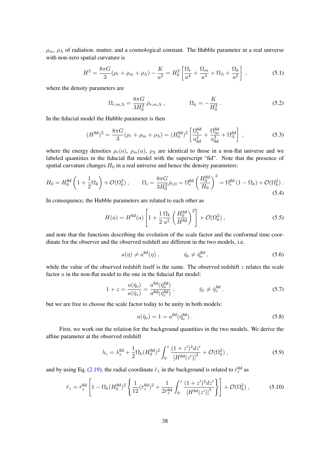$\rho_m$ ,  $\rho_{\Lambda}$  of radiation, matter, and a cosmological constant. The Hubble parameter in a real universe with non-zero spatial curvature is

$$
H^{2} = \frac{8\pi G}{3}(\rho_{r} + \rho_{m} + \rho_{\Lambda}) - \frac{K}{a^{2}} = H_{0}^{2} \left[ \frac{\Omega_{r}}{a^{4}} + \frac{\Omega_{m}}{a^{3}} + \Omega_{\Lambda} + \frac{\Omega_{k}}{a^{2}} \right],
$$
 (5.1)

where the density parameters are

$$
\Omega_{r,m,\Lambda} = \frac{8\pi G}{3H_0^2} \bar{\rho}_{r,m,\Lambda} , \qquad \Omega_k = -\frac{K}{H_0^2} .
$$
 (5.2)

In the fiducial model the Hubble parameter is then

$$
(H^{\text{fid}})^2 = \frac{8\pi G}{3}(\rho_r + \rho_m + \rho_\Lambda) = (H_0^{\text{fid}})^2 \left[ \frac{\Omega_r^{\text{fid}}}{a_{\text{fid}}^4} + \frac{\Omega_m^{\text{fid}}}{a_{\text{fid}}^3} + \Omega_\Lambda^{\text{fid}} \right] ,\tag{5.3}
$$

where the energy densities  $\rho_r(a)$ ,  $\rho_m(a)$ ,  $\rho_{\Lambda}$  are identical to those in a non-flat universe and we labeled quantities in the fiducial flat model with the superscript "fid". Note that the presence of spatial curvature changes  $H_0$  in a real universe and hence the density parameters:

$$
H_0 = H_0^{\text{fid}}\left(1 + \frac{1}{2}\Omega_k\right) + \mathcal{O}(\Omega_k^2) , \qquad \Omega_i = \frac{8\pi G}{3H_0^2}\bar{\rho}_{i,0} = \Omega_i^{\text{fid}}\left(\frac{H_0^{\text{fid}}}{H_0}\right)^2 = \Omega_i^{\text{fid}}\left(1 - \Omega_k\right) + \mathcal{O}(\Omega_k^2) .
$$
\n
$$
(5.4)
$$

In consequence, the Hubble parameters are related to each other as

$$
H(a) = H^{\text{fid}}(a) \left[ 1 + \frac{1}{2} \frac{\Omega_k}{a^2} \left( \frac{H_0^{\text{fid}}}{H^{\text{fid}}} \right)^2 \right] + \mathcal{O}(\Omega_k^2) , \qquad (5.5)
$$

and note that the functions describing the evolution of the scale factor and the conformal time coordinate for the observer and the observed redshift are different in the two models, i.e.

$$
a(\eta) \neq a^{\text{fid}}(\eta) , \qquad \qquad \bar{\eta}_o \neq \bar{\eta}_o^{\text{fid}} , \qquad (5.6)
$$

while the value of the observed redshift itself is the same. The observed redshift  $z$  relates the scale factor a in the non-flat model to the one in the fiducial flat model:

$$
1 + z = \frac{a(\bar{\eta}_o)}{a(\bar{\eta}_z)} = \frac{a^{\text{fid}}(\bar{\eta}_o^{\text{fid}})}{a^{\text{fid}}(\bar{\eta}_z^{\text{fid}})}, \qquad \bar{\eta}_z \neq \bar{\eta}_z^{\text{fid}}.
$$
 (5.7)

but we are free to choose the scale factor today to be unity in both models:

$$
a(\bar{\eta}_o) = 1 = a^{\text{fid}}(\bar{\eta}_o^{\text{fid}}) \,. \tag{5.8}
$$

First, we work out the relation for the background quantities in the two models. We derive the affine parameter at the observed redshift

$$
\lambda_z = \lambda_z^{\text{fid}} + \frac{1}{2} \Omega_k (H_0^{\text{fid}})^2 \int_0^z \frac{(1+z')^2 dz'}{\left[H^{\text{fid}}(z')\right]^3} + \mathcal{O}(\Omega_k^2) ,\qquad (5.9)
$$

and by using Eq. [\(2.19\)](#page-6-2), the radial coordinate  $\bar{r}_z$  in the background is related to  $\bar{r}_z^{\text{fid}}$  as

$$
\bar{r}_z = \bar{r}_z^{\text{fid}} \left[ 1 - \Omega_k (H_0^{\text{fid}})^2 \left\{ \frac{1}{12} (\bar{r}_z^{\text{fid}})^2 + \frac{1}{2 \bar{r}_z^{\text{fid}}} \int_0^z \frac{(1+z')^2 dz'}{\left[ H^{\text{fid}}(z') \right]^3} \right\} \right] + \mathcal{O}(\Omega_k^2) ,\tag{5.10}
$$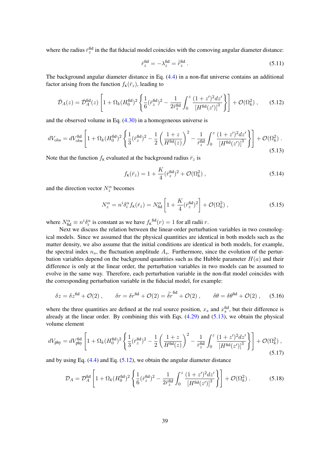where the radius  $\bar{r}_z^{\text{fid}}$  in the flat fiducial model coincides with the comoving angular diameter distance:

$$
\bar{r}_z^{\text{fid}} = -\lambda_z^{\text{fid}} = \bar{\tilde{r}}_z^{\text{fid}} \,. \tag{5.11}
$$

The background angular diameter distance in Eq. [\(4.4\)](#page-23-3) in a non-flat universe contains an additional factor arising from the function  $f_K(\bar{r}_z)$ , leading to

<span id="page-39-1"></span>
$$
\bar{\mathcal{D}}_A(z) = \bar{\mathcal{D}}_A^{\text{fid}}(z) \left[ 1 + \Omega_k (H_0^{\text{fid}})^2 \left\{ \frac{1}{6} (\bar{r}_z^{\text{fid}})^2 - \frac{1}{2 \bar{r}_z^{\text{fid}}} \int_0^z \frac{(1+z')^2 dz'}{\left[ H^{\text{fid}}(z') \right]^3} \right\} \right] + \mathcal{O}(\Omega_k^2) ,\qquad (5.12)
$$

and the observed volume in Eq. [\(4.30\)](#page-26-4) in a homogeneous universe is

<span id="page-39-0"></span>
$$
dV_{\rm obs} = dV_{\rm obs}^{\rm fid} \left[ 1 + \Omega_k (H_0^{\rm fid})^2 \left\{ \frac{1}{3} (\bar{r}_z^{\rm fid})^2 - \frac{1}{2} \left( \frac{1+z}{H^{\rm fid}(z)} \right)^2 - \frac{1}{\bar{r}_z^{\rm fid}} \int_0^z \frac{(1+z')^2 dz'}{\left[ H^{\rm fid}(z') \right]^3} \right\} \right] + \mathcal{O}(\Omega_k^2) \,. \tag{5.13}
$$

Note that the function  $f<sub>K</sub>$  evaluated at the background radius  $\bar{r}_z$  is

$$
f_{\kappa}(\bar{r}_z) = 1 + \frac{K}{4} (\bar{r}_z^{\text{fid}})^2 + \mathcal{O}(\Omega_k^2) , \qquad (5.14)
$$

and the direction vector  $N_z^{\alpha}$  becomes

$$
N_z^{\alpha} = n^i \delta_i^{\alpha} f_{\kappa}(\bar{r}_z) = N_{\text{fid}}^{\alpha} \left[ 1 + \frac{K}{4} (\bar{r}_z^{\text{fid}})^2 \right] + \mathcal{O}(\Omega_k^2) , \qquad (5.15)
$$

where  $N_{\text{fid}}^{\alpha} \equiv n^{i} \delta_{i}^{\alpha}$  is constant as we have  $f_{\kappa}^{\text{fid}}(r) = 1$  for all radii r.

Next we discuss the relation between the linear-order perturbation variables in two cosmological models. Since we assumed that the physical quantities are identical in both models such as the matter density, we also assume that the initial conditions are identical in both models, for example, the spectral index  $n_s$ , the fluctuation amplitude  $A_s$ . Furthermore, since the evolution of the perturbation variables depend on the background quantities such as the Hubble parameter  $H(a)$  and their difference is only at the linear order, the perturbation variables in two models can be assumed to evolve in the same way. Therefore, each perturbation variable in the non-flat model coincides with the corresponding perturbation variable in the fiducial model, for example:

$$
\delta z = \delta z^{\text{fid}} + \mathcal{O}(2) , \qquad \delta r = \delta r^{\text{fid}} + \mathcal{O}(2) = \tilde{\delta r}^{\text{fid}} + \mathcal{O}(2) , \qquad \delta \theta = \delta \theta^{\text{fid}} + \mathcal{O}(2) , \qquad (5.16)
$$

where the three quantities are defined at the real source position,  $x_s$  and  $x_s^{\text{fid}}$ , but their difference is already at the linear order. By combining this with Eqs. [\(4.29\)](#page-26-1) and [\(5.13\)](#page-39-0), we obtain the physical volume element

$$
dV_{\rm phy} = dV_{\rm phy}^{\rm fid} \left[ 1 + \Omega_k (H_0^{\rm fid})^2 \left\{ \frac{1}{3} (\bar{r}_z^{\rm fid})^2 - \frac{1}{2} \left( \frac{1+z}{H^{\rm fid}(z)} \right)^2 - \frac{1}{\bar{r}_z^{\rm fid}} \int_0^z \frac{(1+z')^2 dz'}{\left[ H^{\rm fid}(z') \right]^3} \right\} \right] + \mathcal{O}(\Omega_k^2) ,\tag{5.17}
$$

and by using Eq.  $(4.4)$  and Eq.  $(5.12)$ , we obtain the angular diameter distance

$$
\mathcal{D}_A = \mathcal{D}_A^{\text{fid}} \left[ 1 + \Omega_k (H_0^{\text{fid}})^2 \left\{ \frac{1}{6} (\bar{r}_z^{\text{fid}})^2 - \frac{1}{2 \bar{r}_z^{\text{fid}}} \int_0^z \frac{(1+z')^2 dz'}{\left[ H^{\text{fid}}(z') \right]^3} \right\} \right] + \mathcal{O}(\Omega_k^2) \,. \tag{5.18}
$$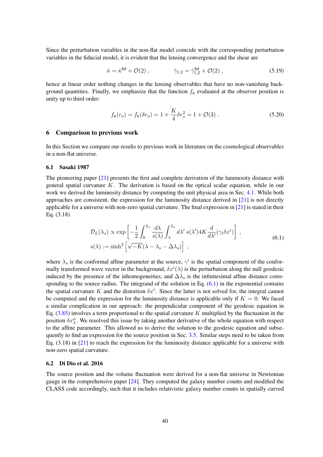Since the perturbation variables in the non-flat model coincide with the corresponding perturbation variables in the fiducial model, it is evident that the lensing convergence and the shear are

$$
\hat{\kappa} = \hat{\kappa}^{\text{fid}} + \mathcal{O}(2) , \qquad \hat{\gamma}_{1,2} = \hat{\gamma}_{1,2}^{\text{fid}} + \mathcal{O}(2) , \qquad (5.19)
$$

hence at linear order nothing changes in the lensing observables that have no non-vanishing background quantities. Finally, we emphasize that the function  $f<sub>K</sub>$  evaluated at the observer position is unity up to third order:

$$
f_{\mathbf{K}}(r_o) = f_{\mathbf{K}}(\delta r_o) = 1 + \frac{K}{4}\delta r_o^2 = 1 + \mathcal{O}(3) \,. \tag{5.20}
$$

## <span id="page-40-0"></span>6 Comparison to previous work

In this Section we compare our results to previous work in literature on the cosmological observables in a non-flat universe.

#### <span id="page-40-1"></span>6.1 Sasaki 1987

The pioneering paper [\[21\]](#page-51-6) presents the first and complete derivation of the luminosity distance with general spatial curvature  $K$ . The derivation is based on the optical scalar equation, while in our work we derived the luminosity distance by computing the unit physical area in Sec. [4.1.](#page-22-1) While both approaches are consistent, the expression for the luminosity distance derived in [\[21\]](#page-51-6) is not directly applicable for a universe with non-zero spatial curvature. The final expression in  $[21]$  is stated in their Eq. (3.18)

$$
\mathcal{D}_L(\lambda_s) \propto \exp\left[-\frac{1}{2} \int_0^{\lambda_s} \frac{d\lambda}{s(\lambda)} \int_\lambda^{\lambda_s} d\lambda' \, s(\lambda') 4K \frac{d}{d\lambda'} (\gamma_i \delta x^i) \right] \,,
$$
\n
$$
s(\lambda) := \sinh^2\left[\sqrt{-K}(\lambda - \lambda_s - \Delta \lambda_s)\right] \,,
$$
\n(6.1)

<span id="page-40-3"></span>where  $\lambda_s$  is the conformal affine parameter at the source,  $\gamma^i$  is the spatial component of the conformally transformed wave vector in the background,  $\delta x^{i}(\lambda)$  is the perturbation along the null geodesic induced by the presence of the inhomogeneities, and  $\Delta\lambda_s$  is the infinitesimal affine distance corresponding to the source radius. The integrand of the solution in Eq.  $(6.1)$  in the exponential contains the spatial curvature K and the distortion  $\delta x^i$ . Since the latter is not solved for, the integral cannot be computed and the expression for the luminosity distance is applicable only if  $K = 0$ . We faced a similar complication in our approach: the perpendicular component of the geodesic equation in Eq.  $(3.85)$  involves a term proportional to the spatial curvature K multiplied by the fluctuation in the position  $\delta x^{\alpha}$ . We resolved this issue by taking another derivative of the whole equation with respect to the affine parameter. This allowed us to derive the solution to the geodesic equation and subsequently to find an expression for the source position in Sec. [3.5.](#page-18-0) Similar steps need to be taken from Eq. (3.18) in [\[21\]](#page-51-6) to reach the expression for the luminosity distance applicable for a universe with non-zero spatial curvature.

#### <span id="page-40-2"></span>6.2 Di Dio et al. 2016

The source position and the volume fluctuation were derived for a non-flat universe in Newtonian gauge in the comprehensive paper [\[24\]](#page-51-9). They computed the galaxy number counts and modified the CLASS code accordingly, such that it includes relativistic galaxy number counts in spatially curved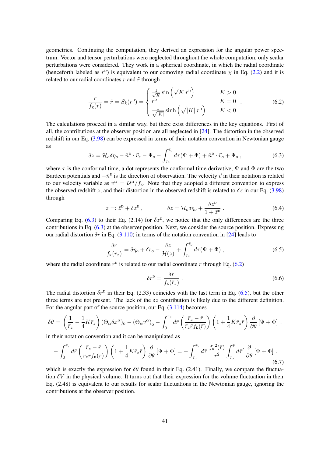geometries. Continuing the computation, they derived an expression for the angular power spectrum. Vector and tensor perturbations were neglected throughout the whole computation, only scalar perturbations were considered. They work in a spherical coordinate, in which the radial coordinate (henceforth labeled as  $r^D$ ) is equivalent to our comoving radial coordinate  $\chi$  in Eq. [\(2.2\)](#page-3-3) and it is related to our radial coordinates  $r$  and  $\tilde{r}$  through

<span id="page-41-1"></span>
$$
\frac{r}{f_{\mathbf{k}}(r)} = \tilde{r} = S_k(r^{\mathbf{D}}) = \begin{cases} \frac{1}{\sqrt{K}} \sin\left(\sqrt{K} r^{\mathbf{D}}\right) & K > 0\\ r^{\mathbf{D}} & K = 0\\ \frac{1}{\sqrt{|K|}} \sinh\left(\sqrt{|K|} r^{\mathbf{D}}\right) & K < 0 \end{cases} \tag{6.2}
$$

The calculations proceed in a similar way, but there exist differences in the key equations. First of all, the contributions at the observer position are all neglected in [\[24\]](#page-51-9). The distortion in the observed redshift in our Eq. [\(3.98\)](#page-19-2) can be expressed in terms of their notation convention in Newtonian gauge as

<span id="page-41-0"></span>
$$
\delta z = \mathcal{H}_o \delta \eta_o - \hat{n}^{\mathrm{D}} \cdot \vec{v}_s - \Psi_s - \int_{\bar{\tau}_s}^{\bar{\tau}_o} d\tau (\dot{\Psi} + \dot{\Phi}) + \hat{n}^{\mathrm{D}} \cdot \vec{v}_o + \Psi_o , \qquad (6.3)
$$

where  $\tau$  is the conformal time, a dot represents the conformal time derivative,  $\Psi$  and  $\Phi$  are the two Bardeen potentials and  $-\hat{n}^{\text{D}}$  is the direction of observation. The velocity  $\vec{v}$  in their notation is related to our velocity variable as  $v^{\alpha} = \mathcal{U}^{\alpha}/f_{K}$ . Note that they adopted a different convention to express the observed redshift z, and their distortion in the observed redshift is related to  $\delta z$  in our Eq. [\(3.98\)](#page-19-2) through

$$
z =: \bar{z}^{\mathsf{D}} + \delta z^{\mathsf{D}}\,, \qquad \qquad \delta z = \mathcal{H}_o \delta \eta_o + \frac{\delta z^{\mathsf{D}}}{1 + \bar{z}^{\mathsf{D}}}\,. \tag{6.4}
$$

Comparing Eq. [\(6.3\)](#page-41-0) to their Eq. (2.14) for  $\delta z^{\text{D}}$ , we notice that the only differences are the three contributions in Eq. [\(6.3\)](#page-41-0) at the observer position. Next, we consider the source position. Expressing our radial distortion  $\delta r$  in Eq. [\(3.110\)](#page-20-2) in terms of the notation convention in [\[24\]](#page-51-9) leads to

<span id="page-41-2"></span>
$$
\frac{\delta r}{f_{\mathbf{K}}(\bar{r}_z)} = \delta \eta_o + \delta r_o - \frac{\delta z}{\mathcal{H}(z)} + \int_{\bar{\tau}_z}^{\bar{\tau}_o} d\tau (\Psi + \Phi) , \qquad (6.5)
$$

where the radial coordinate  $r^D$  is related to our radial coordinate r through Eq. [\(6.2\)](#page-41-1)

$$
\delta r^{\mathsf{D}} = \frac{\delta r}{f_{\mathsf{K}}(\bar{r}_z)}\,. \tag{6.6}
$$

The radial distortion  $\delta r^{\text{D}}$  in their Eq. (2.33) coincides with the last term in Eq. [\(6.5\)](#page-41-2), but the other three terms are not present. The lack of the  $\delta z$  contribution is likely due to the different definition. For the angular part of the source position, our Eq. [\(3.114\)](#page-21-1) becomes

$$
\delta\theta = \left(\frac{1}{\bar{r}_z} - \frac{1}{4}K\bar{r}_z\right)(\Theta_\alpha\delta x^\alpha)_{\bar{0}} - (\Theta_\alpha v^\alpha)_{\bar{0}} - \int_0^{\bar{r}_z} d\bar{r}\left(\frac{\bar{r}_z - \bar{r}}{\bar{r}_z\bar{r}f_{\kappa}(\bar{r})}\right)\left(1 + \frac{1}{4}K\bar{r}_z\bar{r}\right)\frac{\partial}{\partial\theta}\left[\Psi + \Phi\right] ,
$$

in their notation convention and it can be manipulated as

$$
-\int_0^{\bar{r}_z} d\bar{r} \left(\frac{\bar{r}_z - \bar{r}}{\bar{r}_z \bar{r} f_{\kappa}(\bar{r})}\right) \left(1 + \frac{1}{4} K \bar{r}_z \bar{r}\right) \frac{\partial}{\partial \theta} \left[\Psi + \Phi\right] = -\int_{\bar{\tau}_o}^{\bar{\tau}_z} d\bar{r} \frac{f_{\kappa}^2(\bar{r})}{\bar{r}^2} \int_{\bar{\tau}_o}^{\bar{\tau}} d\bar{r}' \frac{\partial}{\partial \theta} \left[\Psi + \Phi\right],\tag{6.7}
$$

which is exactly the expression for  $\delta\theta$  found in their Eq. (2.41). Finally, we compare the fluctuation  $\delta V$  in the physical volume. It turns out that their expression for the volume fluctuation in their Eq. (2.48) is equivalent to our results for scalar fluctuations in the Newtonian gauge, ignoring the contributions at the observer position.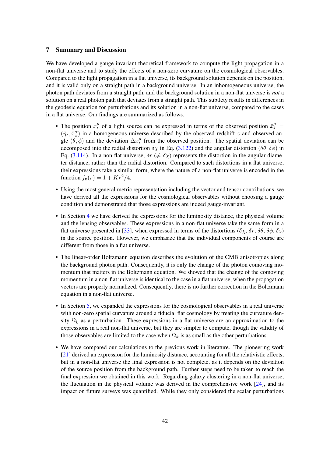## <span id="page-42-0"></span>7 Summary and Discussion

We have developed a gauge-invariant theoretical framework to compute the light propagation in a non-flat universe and to study the effects of a non-zero curvature on the cosmological observables. Compared to the light propagation in a flat universe, its background solution depends on the position, and it is valid only on a straight path in a background universe. In an inhomogeneous universe, the photon path deviates from a straight path, and the background solution in a non-flat universe is *not* a solution on a real photon path that deviates from a straight path. This subtlety results in differences in the geodesic equation for perturbations and its solution in a non-flat universe, compared to the cases in a flat universe. Our findings are summarized as follows.

- The position  $x_s^{\mu}$  of a light source can be expressed in terms of the observed position  $\bar{x}_z^{\mu}$  =  $(\bar{\eta}_z, \bar{x}_z^{\alpha})$  in a homogeneous universe described by the observed redshift z and observed angle  $(\hat{\theta}, \phi)$  and the deviation  $\Delta x_s^{\mu}$  from the observed position. The spatial deviation can be decomposed into the radial distortion  $\delta \chi$  in Eq. [\(3.122\)](#page-22-3) and the angular distortion ( $\delta \theta$ ,  $\delta \phi$ ) in Eq. [\(3.114\)](#page-21-1). In a non-flat universe,  $\delta r$  ( $\neq \delta \chi$ ) represents the distortion in the angular diameter distance, rather than the radial distortion. Compared to such distortions in a flat universe, their expressions take a similar form, where the nature of a non-flat universe is encoded in the function  $f_K(r) = 1 + Kr^2/4$ .
- Using the most general metric representation including the vector and tensor contributions, we have derived all the expressions for the cosmological observables without choosing a gauge condition and demonstrated that those expressions are indeed gauge-invariant.
- In Section [4](#page-22-0) we have derived the expressions for the luminosity distance, the physical volume and the lensing observables. These expressions in a non-flat universe take the same form in a flat universe presented in [\[33\]](#page-51-14), when expressed in terms of the distortions ( $\delta \chi$ ,  $\delta r$ ,  $\delta \theta$ ,  $\delta \phi$ ,  $\delta z$ ) in the source position. However, we emphasize that the individual components of course are different from those in a flat universe.
- The linear-order Boltzmann equation describes the evolution of the CMB anisotropies along the background photon path. Consequently, it is only the change of the photon comoving momentum that matters in the Boltzmann equation. We showed that the change of the comoving momentum in a non-flat universe is identical to the case in a flat universe, when the propagation vectors are properly normalized. Consequently, there is no further correction in the Boltzmann equation in a non-flat universe.
- In Section [5,](#page-37-0) we expanded the expressions for the cosmological observables in a real universe with non-zero spatial curvature around a fiducial flat cosmology by treating the curvature density  $\Omega_k$  as a perturbation. These expressions in a flat universe are an approximation to the expressions in a real non-flat universe, but they are simpler to compute, though the validity of those observables are limited to the case when  $\Omega_k$  is as small as the other perturbations.
- We have compared our calculations to the previous work in literature. The pioneering work [\[21\]](#page-51-6) derived an expression for the luminosity distance, accounting for all the relativistic effects, but in a non-flat universe the final expression is not complete, as it depends on the deviation of the source position from the background path. Further steps need to be taken to reach the final expression we obtained in this work. Regarding galaxy clustering in a non-flat universe, the fluctuation in the physical volume was derived in the comprehensive work [\[24\]](#page-51-9), and its impact on future surveys was quantified. While they only considered the scalar perturbations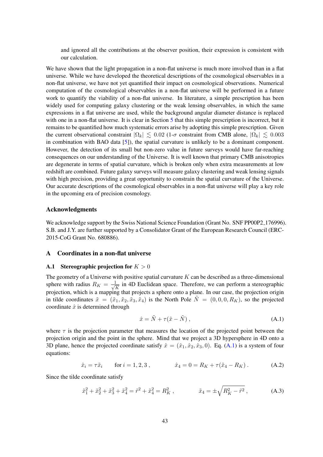and ignored all the contributions at the observer position, their expression is consistent with our calculation.

We have shown that the light propagation in a non-flat universe is much more involved than in a flat universe. While we have developed the theoretical descriptions of the cosmological observables in a non-flat universe, we have not yet quantified their impact on cosmological observations. Numerical computation of the cosmological observables in a non-flat universe will be performed in a future work to quantify the viability of a non-flat universe. In literature, a simple prescription has been widely used for computing galaxy clustering or the weak lensing observables, in which the same expressions in a flat universe are used, while the background angular diameter distance is replaced with one in a non-flat universe. It is clear in Section [5](#page-37-0) that this simple prescription is incorrect, but it remains to be quantified how much systematic errors arise by adopting this simple prescription. Given the current observational constraint  $|\Omega_k| \leq 0.02$  (1- $\sigma$  constraint from CMB alone,  $|\Omega_k| \leq 0.003$ in combination with BAO data [\[5\]](#page-50-2)), the spatial curvature is unlikely to be a dominant component. However, the detection of its small but non-zero value in future surveys would have far-reaching consequences on our understanding of the Universe. It is well known that primary CMB anisotropies are degenerate in terms of spatial curvature, which is broken only when extra measurements at low redshift are combined. Future galaxy surveys will measure galaxy clustering and weak lensing signals with high precision, providing a great opportunity to constrain the spatial curvature of the Universe. Our accurate descriptions of the cosmological observables in a non-flat universe will play a key role in the upcoming era of precision cosmology.

#### Acknowledgments

We acknowledge support by the Swiss National Science Foundation (Grant No. SNF PP00P2\_176996). S.B. and J.Y. are further supported by a Consolidator Grant of the European Research Council (ERC-2015-CoG Grant No. 680886).

### <span id="page-43-0"></span>A Coordinates in a non-flat universe

#### <span id="page-43-1"></span>A.1 Stereographic projection for  $K > 0$

The geometry of a Universe with positive spatial curvature  $K$  can be described as a three-dimensional sphere with radius  $R_K = \frac{1}{\sqrt{2}}$  $\frac{1}{\overline{K}}$  in 4D Euclidean space. Therefore, we can perform a stereographic projection, which is a mapping that projects a sphere onto a plane. In our case, the projection origin in tilde coordinates  $\tilde{x} = (\tilde{x}_1, \tilde{x}_2, \tilde{x}_3, \tilde{x}_4)$  is the North Pole  $\tilde{N} = (0, 0, 0, R_K)$ , so the projected coordinate  $\hat{x}$  is determined through

<span id="page-43-2"></span>
$$
\hat{x} = \tilde{N} + \tau(\tilde{x} - \tilde{N}), \qquad (A.1)
$$

where  $\tau$  is the projection parameter that measures the location of the projected point between the projection origin and the point in the sphere. Mind that we project a 3D hypersphere in 4D onto a 3D plane, hence the projected coordinate satisfy  $\hat{x} = (\hat{x}_1, \hat{x}_2, \hat{x}_3, 0)$ . Eq. [\(A.1\)](#page-43-2) is a system of four equations:

<span id="page-43-3"></span>
$$
\hat{x}_i = \tau \tilde{x}_i
$$
 for  $i = 1, 2, 3$ ,  $\hat{x}_4 = 0 = R_K + \tau (\tilde{x}_4 - R_K)$ . (A.2)

Since the tilde coordinate satisfy

<span id="page-43-4"></span>
$$
\tilde{x}_1^2 + \tilde{x}_2^2 + \tilde{x}_3^2 + \tilde{x}_4^2 = \tilde{r}^2 + \tilde{x}_4^2 = R_K^2 , \qquad \qquad \tilde{x}_4 = \pm \sqrt{R_K^2 - \tilde{r}^2} , \qquad (A.3)
$$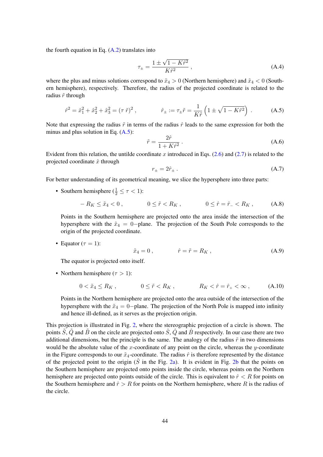the fourth equation in Eq.  $(A.2)$  translates into

$$
\tau_{\pm} = \frac{1 \pm \sqrt{1 - K\tilde{r}^2}}{K\tilde{r}^2} \,, \tag{A.4}
$$

where the plus and minus solutions correspond to  $\tilde{x}_4 > 0$  (Northern hemisphere) and  $\tilde{x}_4 < 0$  (Southern hemisphere), respectively. Therefore, the radius of the projected coordinate is related to the radius  $\tilde{r}$  through

<span id="page-44-0"></span>
$$
\hat{r}^2 = \hat{x}_1^2 + \hat{x}_2^2 + \hat{x}_3^2 = (\tau \,\tilde{r})^2 \,, \qquad \hat{r}_\pm := \tau_\pm \tilde{r} = \frac{1}{K\tilde{r}} \left( 1 \pm \sqrt{1 - K\tilde{r}^2} \right) \,. \tag{A.5}
$$

Note that expressing the radius  $\tilde{r}$  in terms of the radius  $\hat{r}$  leads to the same expression for both the minus and plus solution in Eq.  $(A.5)$ :

$$
\tilde{r} = \frac{2\hat{r}}{1 + K\hat{r}^2} \,. \tag{A.6}
$$

Evident from this relation, the untilde coordinate x introduced in Eqs.  $(2.6)$  and  $(2.7)$  is related to the projected coordinate  $\hat{x}$  through

$$
r_{\pm} = 2\hat{r}_{\pm} \,. \tag{A.7}
$$

For better understanding of its geometrical meaning, we slice the hypersphere into three parts:

• Southern hemisphere ( $\frac{1}{2} \leq \tau < 1$ ):

$$
-R_K \le \tilde{x}_4 < 0 \,, \qquad 0 \le \tilde{r} < R_K \,, \qquad 0 \le \hat{r} = \hat{r}_- < R_K \,, \qquad (A.8)
$$

Points in the Southern hemisphere are projected onto the area inside the intersection of the hypersphere with the  $\tilde{x}_4 = 0$ -plane. The projection of the South Pole corresponds to the origin of the projected coordinate.

• Equator ( $\tau = 1$ ):

$$
\tilde{x}_4 = 0 , \qquad \qquad \hat{r} = \tilde{r} = R_K , \qquad (A.9)
$$

The equator is projected onto itself.

• Northern hemisphere ( $\tau > 1$ ):

$$
0 < \tilde{x}_4 \le R_K \,, \qquad 0 \le \tilde{r} < R_K \,, \qquad R_K < \hat{r} = \hat{r}_+ < \infty \,, \tag{A.10}
$$

Points in the Northern hemisphere are projected onto the area outside of the intersection of the hypersphere with the  $\tilde{x}_4 = 0$ -plane. The projection of the North Pole is mapped into infinity and hence ill-defined, as it serves as the projection origin.

This projection is illustrated in Fig. [2,](#page-45-1) where the stereographic projection of a circle is shown. The points  $\tilde{S}$ ,  $\tilde{Q}$  and  $\tilde{B}$  on the circle are projected onto  $\tilde{S}$ ,  $\tilde{Q}$  and  $\tilde{B}$  respectively. In our case there are two additional dimensions, but the principle is the same. The analogy of the radius  $\tilde{r}$  in two dimensions would be the absolute value of the x-coordinate of any point on the circle, whereas the y-coordinate in the Figure corresponds to our  $\tilde{x}_4$ -coordinate. The radius  $\hat{r}$  is therefore represented by the distance of the projected point to the origin  $(\hat{S}$  in the Fig. [2a\)](#page-45-1). It is evident in Fig. [2b](#page-45-1) that the points on the Southern hemisphere are projected onto points inside the circle, whereas points on the Northern hemisphere are projected onto points outside of the circle. This is equivalent to  $\hat{r} < R$  for points on the Southern hemisphere and  $\hat{r} > R$  for points on the Northern hemisphere, where R is the radius of the circle.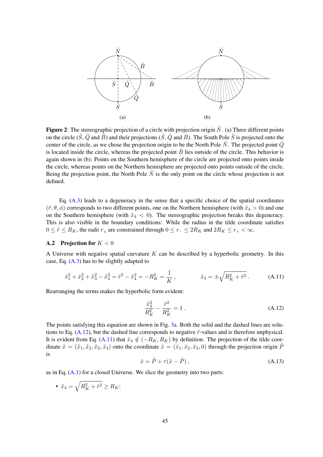<span id="page-45-1"></span>

Figure 2: The stereographic projection of a circle with projection origin  $\tilde{N}$ . (a) Three different points on the circle  $(\tilde{S}, \tilde{Q}$  and  $\tilde{B})$  and their projections  $(\hat{S}, \hat{Q}$  and  $\hat{B})$ . The South Pole  $\tilde{S}$  is projected onto the center of the circle, as we chose the projection origin to be the North Pole  $\tilde{N}$ . The projected point  $\hat{Q}$ is located inside the circle, whereas the projected point  $\hat{B}$  lies outside of the circle. This behavior is again shown in (b): Points on the Southern hemisphere of the circle are projected onto points inside the circle, whereas points on the Northern hemisphere are projected onto points outside of the circle. Being the projection point, the North Pole  $\tilde{N}$  is the only point on the circle whose projection is not defined.

Eq. [\(A.3\)](#page-43-4) leads to a degeneracy in the sense that a specific choice of the spatial coordinates  $(\tilde{r}, \theta, \phi)$  corresponds to two different points, one on the Northern hemisphere (with  $\tilde{x}_4 > 0$ ) and one on the Southern hemisphere (with  $\tilde{x}_4 < 0$ ). The stereographic projection breaks this degeneracy. This is also visible in the boundary conditions: While the radius in the tilde coordinate satisfies  $0 \leq \tilde{r} \leq R_K$ , the radii  $r_{\pm}$  are constrained through  $0 \leq r_{-} \leq 2R_K$  and  $2R_K \leq r_{+} < \infty$ .

## <span id="page-45-0"></span>A.2 Projection for  $K < 0$

A Universe with negative spatial curvature  $K$  can be described by a hyperbolic geometry. In this case, Eq.  $(A.3)$  has to be slightly adapted to

<span id="page-45-3"></span>
$$
\tilde{x}_1^2 + \tilde{x}_2^2 + \tilde{x}_3^2 - \tilde{x}_4^2 = \tilde{r}^2 - \tilde{x}_4^2 = -R_K^2 = \frac{1}{K} ,\n\qquad \tilde{x}_4 = \pm \sqrt{R_K^2 + \tilde{r}^2} .
$$
\n(A.11)

Rearranging the terms makes the hyperbolic form evident:

<span id="page-45-2"></span>
$$
\frac{\tilde{x}_4^2}{R_K^2} - \frac{\tilde{r}^2}{R_K^2} = 1.
$$
\n(A.12)

The points satisfying this equation are shown in Fig. [3a.](#page-47-0) Both the solid and the dashed lines are solutions to Eq.  $(A.12)$ , but the dashed line corresponds to negative  $\tilde{r}$ -values and is therefore unphysical. It is evident from Eq. [\(A.11\)](#page-45-3) that  $\tilde{x}_4 \notin (-R_K, R_K)$  by definition. The projection of the tilde coordinate  $\tilde{x} = (\tilde{x}_1, \tilde{x}_2, \tilde{x}_3, \tilde{x}_4)$  onto the coordinate  $\hat{x} = (\hat{x}_1, \hat{x}_2, \hat{x}_3, 0)$  through the projection origin  $\tilde{P}$ is

<span id="page-45-4"></span>
$$
\hat{x} = \tilde{P} + \tau(\tilde{x} - \tilde{P}), \qquad (A.13)
$$

as in Eq. [\(A.1\)](#page-43-2) for a closed Universe. We slice the geometry into two parts:

• 
$$
\tilde{x}_4 = \sqrt{R_K^2 + \tilde{r}^2} \ge R_K
$$
: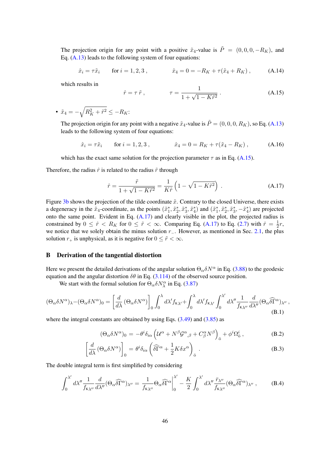The projection origin for any point with a positive  $\tilde{x}_4$ -value is  $\tilde{P} = (0, 0, 0, -R_K)$ , and Eq.  $(A.13)$  leads to the following system of four equations:

$$
\hat{x}_i = \tau \tilde{x}_i
$$
 for  $i = 1, 2, 3$ ,  $\hat{x}_4 = 0 = -R_K + \tau(\tilde{x}_4 + R_K)$ , (A.14)

which results in

<span id="page-46-2"></span>
$$
\hat{r} = \tau \tilde{r}, \qquad \tau = \frac{1}{1 + \sqrt{1 - K\tilde{r}^2}}. \tag{A.15}
$$

• 
$$
\tilde{x}_4 = -\sqrt{R_K^2 + \tilde{r}^2} \le -R_K
$$
:

The projection origin for any point with a negative  $\tilde{x}_4$ -value is  $\tilde{P} = (0, 0, 0, R_K)$ , so Eq. [\(A.13\)](#page-45-4) leads to the following system of four equations:

$$
\hat{x}_i = \tau \tilde{x}_i
$$
 for  $i = 1, 2, 3$ ,  $\hat{x}_4 = 0 = R_K + \tau (\tilde{x}_4 - R_K)$ , (A.16)

which has the exact same solution for the projection parameter  $\tau$  as in Eq. [\(A.15\)](#page-46-2).

Therefore, the radius  $\hat{r}$  is related to the radius  $\tilde{r}$  through

<span id="page-46-3"></span>
$$
\hat{r} = \frac{\tilde{r}}{1 + \sqrt{1 - K\tilde{r}^2}} = \frac{1}{K\tilde{r}} \left( 1 - \sqrt{1 - K\tilde{r}^2} \right) .
$$
 (A.17)

Figure [3b](#page-47-0) shows the projection of the tilde coordinate  $\tilde{x}$ . Contrary to the closed Universe, there exists a degeneracy in the  $\tilde{x}_4$ -coordinate, as the points  $(\tilde{x}_1^*, \tilde{x}_2^*, \tilde{x}_3^*, \tilde{x}_4^*)$  and  $(\tilde{x}_1^*, \tilde{x}_2^*, \tilde{x}_3^*, -\tilde{x}_4^*)$  are projected onto the same point. Evident in Eq. [\(A.17\)](#page-46-3) and clearly visible in the plot, the projected radius is constrained by  $0 \leq \hat{r} < R_K$  for  $0 \leq \tilde{r} < \infty$ . Comparing Eq. [\(A.17\)](#page-46-3) to Eq. [\(2.7\)](#page-4-5) with  $\hat{r} = \frac{1}{2}$  $rac{1}{2}r,$ we notice that we solely obtain the minus solution r\_. However, as mentioned in Sec. [2.1,](#page-3-1) the plus solution  $r_+$  is unphysical, as it is negative for  $0 \leq \tilde{r} < \infty$ .

#### <span id="page-46-0"></span>B Derivation of the tangential distortion

Here we present the detailed derivations of the angular solution  $\Theta_{\alpha} \delta N^{\alpha}$  in Eq. [\(3.88\)](#page-17-0) to the geodesic equation and the angular distortion  $\delta\theta$  in Eq. [\(3.114\)](#page-21-1) of the observed source position.

We start with the formal solution for  $\Theta_{\alpha} \delta N_{\lambda}^{\alpha}$  in Eq. [\(3.87\)](#page-17-3)

$$
(\Theta_{\alpha}\delta N^{\alpha})_{\lambda} - (\Theta_{\alpha}\delta N^{\alpha})_{0} = \left[\frac{d}{d\lambda} \left(\Theta_{\alpha}\delta N^{\alpha}\right)\right]_{0} \int_{0}^{\lambda} d\lambda' f_{K\lambda'} + \int_{0}^{\lambda} d\lambda' f_{K\lambda'} \int_{0}^{\lambda'} d\lambda'' \frac{1}{f_{K\lambda''}} \frac{d}{d\lambda''} (\Theta_{\alpha}\widehat{\delta\Gamma}^{\alpha})_{\lambda''},
$$
\n(B.1)

where the integral constants are obtained by using Eqs.  $(3.49)$  and  $(3.85)$  as

<span id="page-46-1"></span>
$$
(\Theta_{\alpha}\delta N^{\alpha})_{0} = -\theta^{i}\delta_{i\alpha}\left(\mathcal{U}^{\alpha} + N^{\beta}\mathcal{G}^{\alpha}{}_{,\beta} + C^{\alpha}_{\beta}N^{\beta}\right)_{\bar{\sigma}} + \phi^{i}\Omega_{\bar{\sigma}}^{i}\,,\tag{B.2}
$$

$$
\left[\frac{d}{d\lambda} \left(\Theta_{\alpha} \delta N^{\alpha}\right)\right]_{0} = \theta^{i} \delta_{i\alpha} \left(\widehat{\delta \Gamma}^{\alpha} + \frac{1}{2} K \delta x^{\alpha}\right)_{\bar{0}}.
$$
 (B.3)

The double integral term is first simplified by considering

$$
\int_0^{\lambda'} d\lambda'' \frac{1}{f_{\kappa\lambda''}} \frac{d}{d\lambda''} (\Theta_\alpha \widehat{\delta\Gamma}^\alpha)_{\lambda''} = \frac{1}{f_{\kappa\lambda''}} \Theta_\alpha \widehat{\delta\Gamma}^\alpha \bigg|_0^{\lambda'} - \frac{K}{2} \int_0^{\lambda'} d\lambda'' \frac{\bar{r}_{\lambda''}}{f_{\kappa\lambda''}} (\Theta_\alpha \widehat{\delta\Gamma}^\alpha)_{\lambda''}, \tag{B.4}
$$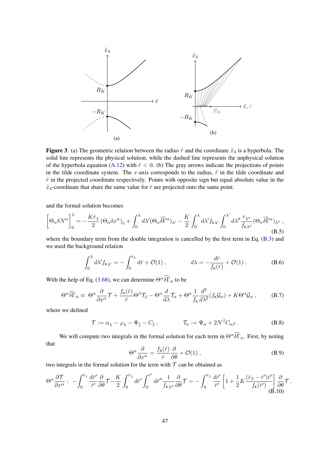<span id="page-47-0"></span>

Figure 3: (a) The geometric relation between the radius  $\tilde{r}$  and the coordinate  $\tilde{x}_4$  is a hyperbola. The solid line represents the physical solution, while the dashed line represents the unphysical solution of the hyperbola equation [\(A.12\)](#page-45-2) with  $\tilde{r}$  < 0. (b) The gray arrows indicate the projections of points in the tilde coordinate system. The x-axis corresponds to the radius,  $\tilde{r}$  in the tilde coordinate and  $\hat{r}$  in the projected coordinate respectively. Points with opposite sign but equal absolute value in the  $\tilde{x}_4$ -coordinate that share the same value for  $\tilde{r}$  are projected onto the same point.

and the formal solution becomes

$$
\left[\Theta_{\alpha}\delta N^{\alpha}\right]_{0}^{\lambda} = -\frac{K\bar{r}_{\lambda}}{2} \left(\Theta_{\alpha}\delta x^{\alpha}\right)_{\bar{0}} + \int_{0}^{\lambda} d\lambda' (\Theta_{\alpha}\widehat{\delta\Gamma}^{\alpha})_{\lambda'} - \frac{K}{2} \int_{0}^{\lambda} d\lambda' f_{K\lambda'} \int_{0}^{\lambda'} d\lambda'' \frac{\bar{r}_{\lambda''}}{f_{K\lambda''}} (\Theta_{\alpha}\widehat{\delta\Gamma}^{\alpha})_{\lambda''},\tag{B.5}
$$

where the boundary term from the double integration is cancelled by the first term in Eq. [\(B.3\)](#page-46-1) and we used the background relation

$$
\int_0^\lambda d\lambda' f_{\kappa \lambda'} = -\int_0^{\bar{r}_{\lambda}} d\bar{r} + \mathcal{O}(1) , \qquad d\lambda = -\frac{d\bar{r}}{f_{\kappa}(\bar{r})} + \mathcal{O}(1) . \qquad (B.6)
$$

With the help of Eq. [\(3.68\)](#page-15-0), we can determine  $\Theta^{\alpha} \widehat{\delta \Gamma}_{\alpha}$  to be

$$
\Theta^{\alpha}\widehat{\delta\Gamma}_{\alpha} \equiv \Theta^{\alpha}\frac{\partial}{\partial x^{\alpha}}\mathcal{T} + \frac{f_{\kappa}(\bar{r})}{\bar{r}}\Theta^{\beta}\mathcal{T}_{\beta} - \Theta^{\alpha}\frac{d}{d\lambda}\mathcal{T}_{\alpha} + \Theta^{\alpha}\frac{1}{f_{\kappa}}\frac{d^{2}}{d\lambda^{2}}(f_{\kappa}\mathcal{G}_{\alpha}) + K\Theta^{\alpha}\mathcal{G}_{\alpha}, \tag{B.7}
$$

where we defined

$$
\mathcal{T} := \alpha_{\chi} - \varphi_{\chi} - \Psi_{\parallel} - C_{\parallel} , \qquad \qquad \mathcal{T}_{\alpha} := \Psi_{\alpha} + 2N^{\beta} C_{\alpha\beta} . \tag{B.8}
$$

We will compute two integrals in the formal solution for each term in  $\Theta^{\alpha}\widehat{\delta\Gamma}_{\alpha}$ . First, by noting that

$$
\Theta^{\alpha} \frac{\partial}{\partial x^{\alpha}} = \frac{f_{\kappa}(\bar{r})}{\bar{r}} \frac{\partial}{\partial \theta} + \mathcal{O}(1) , \qquad (B.9)
$$

two integrals in the formal solution for the term with  $T$  can be obtained as

$$
\Theta^{\alpha} \frac{\partial \mathcal{T}}{\partial x^{\alpha}} : -\int_{0}^{\bar{r}_{\lambda}} \frac{d\bar{r}'}{\bar{r}'} \frac{\partial}{\partial \theta} \mathcal{T} - \frac{K}{2} \int_{0}^{\bar{r}_{\lambda}} d\bar{r}' \int_{0}^{\bar{r}'} d\bar{r}'' \frac{1}{f_{K\lambda''}} \frac{\partial}{\partial \theta} \mathcal{T} = -\int_{0}^{\bar{r}_{\lambda}} \frac{d\bar{r}'}{\bar{r}'} \left[ 1 + \frac{1}{2} K \frac{(\bar{r}_{\lambda} - \bar{r}') \bar{r}'}{f_{K}(\bar{r}')} \right] \frac{\partial}{\partial \theta} \mathcal{T}.
$$
\n(B.10)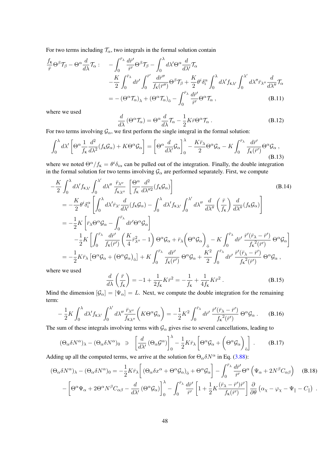For two terms including  $\mathcal{T}_{\alpha}$ , two integrals in the formal solution contain

$$
\frac{f_{\kappa}}{\bar{r}}\Theta^{\beta}\mathcal{T}_{\beta}-\Theta^{\alpha}\frac{d}{d\lambda}\mathcal{T}_{\alpha}:\n\quad -\int_{0}^{\bar{r}_{\lambda}}\frac{d\bar{r}'}{\bar{r}'}\Theta^{\beta}\mathcal{T}_{\beta}-\int_{0}^{\lambda}d\lambda'\Theta^{\alpha}\frac{d}{d\lambda'}\mathcal{T}_{\alpha}\n\quad\n-\frac{K}{2}\int_{0}^{\bar{r}_{\lambda}}d\bar{r}'\int_{0}^{\bar{r}'}\frac{d\bar{r}''}{f_{\kappa}(\bar{r}'')}\Theta^{\beta}\mathcal{T}_{\beta}+\frac{K}{2}\theta^{i}\delta_{i}^{\alpha}\int_{0}^{\lambda}d\lambda'f_{\kappa\lambda'}\int_{0}^{\lambda'}d\lambda''\bar{r}_{\lambda''}\frac{d}{d\lambda''}\mathcal{T}_{\alpha}\n=-(\Theta^{\alpha}\mathcal{T}_{\alpha})_{\lambda}+(\Theta^{\alpha}\mathcal{T}_{\alpha})_{\bar{0}}-\int_{0}^{\bar{r}_{\lambda}}\frac{d\bar{r}'}{\bar{r}'}\Theta^{\alpha}\mathcal{T}_{\alpha},
$$
\n(B.11)

where we used

$$
\frac{d}{d\lambda} \left( \Theta^{\alpha} \mathcal{T}_{\alpha} \right) = \Theta^{\alpha} \frac{d}{d\lambda} \mathcal{T}_{\alpha} - \frac{1}{2} K \bar{r} \Theta^{\alpha} \mathcal{T}_{\alpha} . \tag{B.12}
$$

For two terms involving  $\mathcal{G}_{\alpha}$ , we first perform the single integral in the formal solution:

$$
\int_0^\lambda d\lambda' \left[ \Theta^\alpha \frac{1}{f_{\kappa}} \frac{d^2}{d\lambda^2} (f_{\kappa} \mathcal{G}_\alpha) + K \Theta^\alpha \mathcal{G}_\alpha \right] = \left[ \Theta^\alpha \frac{d}{d\lambda'} \mathcal{G}_\alpha \right]_0^\lambda - \frac{K \bar{r}_\lambda}{2} \Theta^\alpha \mathcal{G}_\alpha - K \int_0^{\bar{r}_\lambda} \frac{d\bar{r}'}{f_{\kappa}(\bar{r}')} \Theta^\alpha \mathcal{G}_\alpha ,
$$
\n(B.13)

where we noted  $\Theta^{\alpha}/f_{\rm K} = \theta^i \delta_{i\alpha}$  can be pulled out of the integration. Finally, the double integration in the formal solution for two terms involving  $\mathcal{G}_{\alpha}$  are performed separately. First, we compute

$$
-\frac{K}{2} \int_0^{\lambda} d\lambda' f_{K\lambda'} \int_0^{\lambda'} d\lambda'' \frac{\bar{r}_{\lambda''}}{f_{K\lambda''}} \left[ \frac{\Theta^{\alpha}}{f_K} \frac{d^2}{d\lambda''^2} (f_K \mathcal{G}_{\alpha}) \right]
$$
\n
$$
= -\frac{K}{2} \theta^i \delta_i^{\alpha} \left[ \int_0^{\lambda} d\lambda' \bar{r}_{\lambda'} \frac{d}{d\lambda'} (f_K \mathcal{G}_{\alpha}) - \int_0^{\lambda} d\lambda' f_{K\lambda'} \int_0^{\lambda'} d\lambda'' \frac{d}{d\lambda''} \left( \frac{\bar{r}}{f_K} \right) \frac{d}{d\lambda''} (f_K \mathcal{G}_{\alpha}) \right]
$$
\n
$$
= -\frac{1}{2} K \left[ \bar{r}_{\lambda} \Theta^{\alpha} \mathcal{G}_{\alpha} - \int_0^{\bar{r}_{\lambda}} d\bar{r}' \Theta^{\alpha} \mathcal{G}_{\alpha} \right]
$$
\n
$$
- \frac{1}{2} K \left[ \int_0^{\bar{r}_{\lambda}} \frac{d\bar{r}'}{f_K(\bar{r}')} \left( \frac{K}{4} \bar{r}_{\lambda''}^2 - 1 \right) \Theta^{\alpha} \mathcal{G}_{\alpha} + \bar{r}_{\lambda} \left( \Theta^{\alpha} \mathcal{G}_{\alpha} \right)_{\bar{0}} - K \int_0^{\bar{r}_{\lambda}} d\bar{r}' \frac{\bar{r}'(\bar{r}_{\lambda} - \bar{r}')}{f_K^2(\bar{r}')} \Theta^{\alpha} \mathcal{G}_{\alpha} \right]
$$
\n
$$
= -\frac{1}{2} K \bar{r}_{\lambda} \left[ \Theta^{\alpha} \mathcal{G}_{\alpha} + (\Theta^{\alpha} \mathcal{G}_{\alpha})_{\bar{0}} \right] + K \int_0^{\bar{r}_{\lambda}} \frac{d\bar{r}'}{f_K(\bar{r}')} \Theta^{\alpha} \mathcal{G}_{\alpha} + \frac{K^2}{2} \int_0^{\bar{r}_{\lambda}} d\bar{r}' \frac{\bar{r}'(\bar{r}_{\lambda} - \bar{r}')}{f_K^2(\bar{r}')} \Theta^{\alpha} \mathcal{G}_{\alpha} ,
$$
\n(B.14)

where we used

$$
\frac{d}{d\lambda} \left( \frac{\bar{r}}{f_{\kappa}} \right) = -1 + \frac{1}{2f_{\kappa}} K \bar{r}^2 = -\frac{1}{f_{\kappa}} + \frac{1}{4f_{\kappa}} K \bar{r}^2 . \tag{B.15}
$$

Mind the dimension  $[\mathcal{G}_{\alpha}] = [\Psi_{\alpha}] = L$ . Next, we compute the double integration for the remaining term:

$$
-\frac{1}{2}K\int_0^{\lambda}d\lambda' f_{\kappa\lambda'}\int_0^{\lambda'}d\lambda''\frac{\bar{r}_{\lambda''}}{f_{\kappa\lambda''}}\left(K\Theta^{\alpha}\mathcal{G}_{\alpha}\right) = -\frac{1}{2}K^2\int_0^{\bar{r}_{\lambda}}d\bar{r}'\frac{\bar{r}'(\bar{r}_{\lambda}-\bar{r}')}{f_{\kappa}^2(\bar{r}')}\Theta^{\alpha}\mathcal{G}_{\alpha}.
$$
 (B.16)

The sum of these integrals involving terms with  $\mathcal{G}_{\alpha}$  gives rise to several cancellations, leading to

$$
(\Theta_{\alpha}\delta N^{\alpha})_{\lambda} - (\Theta_{\alpha}\delta N^{\alpha})_{0} \ni \left[\frac{d}{d\lambda'}(\Theta_{\alpha}\mathcal{G}^{\alpha})\right]_{0}^{\lambda} - \frac{1}{2}K\bar{r}_{\lambda}\left[\Theta^{\alpha}\mathcal{G}_{\alpha} + \left(\Theta^{\alpha}\mathcal{G}_{\alpha}\right)_{\bar{0}}\right].
$$
 (B.17)

Adding up all the computed terms, we arrive at the solution for  $\Theta_{\alpha} \delta N^{\alpha}$  in Eq. [\(3.88\)](#page-17-0):

<span id="page-48-0"></span>
$$
(\Theta_{\alpha}\delta N^{\alpha})_{\lambda} - (\Theta_{\alpha}\delta N^{\alpha})_{0} = -\frac{1}{2}K\bar{r}_{\lambda}\left[ (\Theta_{\alpha}\delta x^{\alpha} + \Theta^{\alpha}\mathcal{G}_{\alpha})_{\bar{0}} + \Theta^{\alpha}\mathcal{G}_{\alpha}\right] - \int_{0}^{\bar{r}_{\lambda}}\frac{d\bar{r}'}{\bar{r}'}\Theta^{\alpha}\left(\Psi_{\alpha} + 2N^{\beta}C_{\alpha\beta}\right) \quad (B.18)
$$

$$
-\left[\Theta^{\alpha}\Psi_{\alpha} + 2\Theta^{\alpha}N^{\beta}C_{\alpha\beta} - \frac{d}{d\lambda'}(\Theta^{\alpha}\mathcal{G}_{\alpha})\right]_{0}^{\lambda} - \int_{0}^{\bar{r}_{\lambda}}\frac{d\bar{r}'}{\bar{r}'}\left[1 + \frac{1}{2}K\frac{(\bar{r}_{\lambda} - \bar{r}')\bar{r}'}{f_{\kappa}(\bar{r}')}\right]\frac{\partial}{\partial\theta}\left(\alpha_{\chi} - \varphi_{\chi} - \Psi_{\parallel} - C_{\parallel}\right) .
$$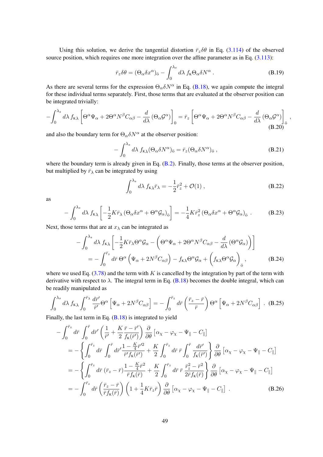Using this solution, we derive the tangential distortion  $\bar{r}_z \delta \theta$  in Eq. [\(3.114\)](#page-21-1) of the observed source position, which requires one more integration over the affine parameter as in Eq. [\(3.113\)](#page-21-0):

$$
\bar{r}_z \delta \theta = (\Theta_\alpha \delta x^\alpha)_{\bar{0}} - \int_0^{\lambda_s} d\lambda \, f_{\kappa} \Theta_\alpha \delta N^\alpha \,. \tag{B.19}
$$

As there are several terms for the expression  $\Theta_{\alpha} \delta N^{\alpha}$  in Eq. [\(B.18\)](#page-48-0), we again compute the integral for these individual terms separately. First, those terms that are evaluated at the observer position can be integrated trivially:

$$
-\int_0^{\lambda_s} d\lambda f_{\kappa\lambda} \left[ \Theta^\alpha \Psi_\alpha + 2\Theta^\alpha N^\beta C_{\alpha\beta} - \frac{d}{d\lambda} \left( \Theta_\alpha \mathcal{G}^\alpha \right) \right]_0 = \bar{r}_z \left[ \Theta^\alpha \Psi_\alpha + 2\Theta^\alpha N^\beta C_{\alpha\beta} - \frac{d}{d\lambda} \left( \Theta_\alpha \mathcal{G}^\alpha \right) \right]_0
$$
\n(B.20)

and also the boundary term for  $\Theta_{\alpha} \delta N^{\alpha}$  at the observer position:

$$
-\int_0^{\lambda_s} d\lambda \, f_{\kappa\lambda} (\Theta_\alpha \delta N^\alpha)_{\bar{0}} = \bar{r}_z (\Theta_\alpha \delta N^\alpha)_{\bar{0}} ,\qquad (B.21)
$$

,

where the boundary term is already given in Eq. [\(B.2\)](#page-46-1). Finally, those terms at the observer position, but multiplied by  $\bar{r}_{\lambda}$  can be integrated by using

$$
\int_0^{\lambda_s} d\lambda \, f_{\kappa\lambda} \bar{r}_{\lambda} = -\frac{1}{2} \bar{r}_z^2 + \mathcal{O}(1) \,, \tag{B.22}
$$

as

$$
-\int_0^{\lambda_s} d\lambda \, f_{\kappa\lambda} \left[ -\frac{1}{2} K \bar{r}_{\lambda} \left( \Theta_{\alpha} \delta x^{\alpha} + \Theta^{\alpha} \mathcal{G}_{\alpha} \right)_{\bar{0}} \right] = -\frac{1}{4} K \bar{r}_z^2 \left( \Theta_{\alpha} \delta x^{\alpha} + \Theta^{\alpha} \mathcal{G}_{\alpha} \right)_{\bar{0}} . \tag{B.23}
$$

Next, those terms that are at  $x_{\lambda}$  can be integrated as

$$
-\int_0^{\lambda_s} d\lambda \, f_{\kappa\lambda} \left[ -\frac{1}{2} K \bar{r}_{\lambda} \Theta^{\alpha} \mathcal{G}_{\alpha} - \left( \Theta^{\alpha} \Psi_{\alpha} + 2 \Theta^{\alpha} N^{\beta} C_{\alpha\beta} - \frac{d}{d\lambda} \left( \Theta^{\alpha} \mathcal{G}_{\alpha} \right) \right) \right]
$$
  
= 
$$
-\int_0^{\bar{r}_z} d\bar{r} \, \Theta^{\alpha} \left( \Psi_{\alpha} + 2 N^{\beta} C_{\alpha\beta} \right) - f_{\kappa\lambda} \Theta^{\alpha} \mathcal{G}_{\alpha} + \left( f_{\kappa\lambda} \Theta^{\alpha} \mathcal{G}_{\alpha} \right)_{\bar{0}},
$$
(B.24)

where we used Eq.  $(3.78)$  and the term with K is cancelled by the integration by part of the term with derivative with respect to  $\lambda$ . The integral term in Eq. [\(B.18\)](#page-48-0) becomes the double integral, which can be readily manipulated as

$$
\int_0^{\lambda_s} d\lambda \, f_{\kappa\lambda} \int_0^{\bar{r}_{\lambda}} \frac{d\bar{r}'}{\bar{r}'} \Theta^{\alpha} \left[ \Psi_{\alpha} + 2N^{\beta} C_{\alpha\beta} \right] = -\int_0^{\bar{r}_z} d\bar{r} \left( \frac{\bar{r}_z - \bar{r}}{\bar{r}} \right) \Theta^{\alpha} \left[ \Psi_{\alpha} + 2N^{\beta} C_{\alpha\beta} \right] . \tag{B.25}
$$

Finally, the last term in Eq. [\(B.18\)](#page-48-0) is integrated to yield

$$
-\int_{0}^{\bar{r}_{z}} d\bar{r} \int_{0}^{\bar{r}} d\bar{r}' \left(\frac{1}{\bar{r}'} + \frac{K}{2} \frac{\bar{r} - \bar{r}'}{f_{\kappa}(\bar{r}')}\right) \frac{\partial}{\partial \theta} \left[\alpha_{\chi} - \varphi_{\chi} - \Psi_{\parallel} - C_{\parallel}\right]
$$
  
\n
$$
= -\left\{\int_{0}^{\bar{r}_{z}} d\bar{r} \int_{0}^{\bar{r}} d\bar{r}' \frac{1 - \frac{K}{4} \bar{r}'^{2}}{\bar{r}' f_{\kappa}(\bar{r}') } + \frac{K}{2} \int_{0}^{\bar{r}_{z}} d\bar{r} \bar{r} \int_{0}^{\bar{r}} \frac{d\bar{r}'}{f_{\kappa}(\bar{r}') }\right\} \frac{\partial}{\partial \theta} \left[\alpha_{\chi} - \varphi_{\chi} - \Psi_{\parallel} - C_{\parallel}\right]
$$
  
\n
$$
= -\left\{\int_{0}^{\bar{r}_{z}} d\bar{r} \left(\bar{r}_{z} - \bar{r}\right) \frac{1 - \frac{K}{4} \bar{r}^{2}}{\bar{r} f_{\kappa}(\bar{r}) } + \frac{K}{2} \int_{0}^{\bar{r}_{z}} d\bar{r} \bar{r} \frac{\bar{r}_{z}^{2} - \bar{r}^{2}}{2\bar{r} f_{\kappa}(\bar{r}) }\right\} \frac{\partial}{\partial \theta} \left[\alpha_{\chi} - \varphi_{\chi} - \Psi_{\parallel} - C_{\parallel}\right]
$$
  
\n
$$
= -\int_{0}^{\bar{r}_{z}} d\bar{r} \left(\frac{\bar{r}_{z} - \bar{r}}{\bar{r} f_{\kappa}(\bar{r})}\right) \left(1 + \frac{1}{4} K \bar{r}_{z} \bar{r}\right) \frac{\partial}{\partial \theta} \left[\alpha_{\chi} - \varphi_{\chi} - \Psi_{\parallel} - C_{\parallel}\right] .
$$
 (B.26)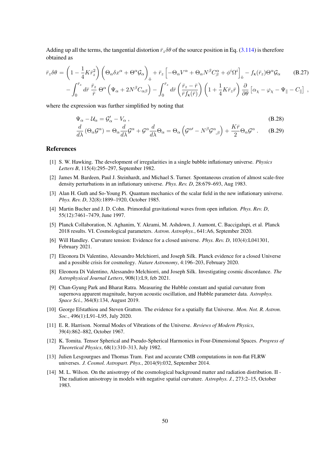Adding up all the terms, the tangential distortion  $\bar{r}_z \delta\theta$  of the source position in Eq. [\(3.114\)](#page-21-1) is therefore obtained as

0

$$
\bar{r}_z \delta \theta = \left(1 - \frac{1}{4} K \bar{r}_z^2\right) \left(\Theta_\alpha \delta x^\alpha + \Theta^\alpha \mathcal{G}_\alpha\right)_\bar{\sigma} + \bar{r}_z \left[-\Theta_\alpha V^\alpha + \Theta_\alpha N^\beta C^\alpha_\beta + \phi^i \Omega^i\right]_\bar{\sigma} - f_{\kappa}(\bar{r}_z) \Theta^\alpha \mathcal{G}_\alpha \tag{B.27}
$$
\n
$$
- \int_0^{\bar{r}_z} d\bar{r} \, \frac{\bar{r}_z}{\bar{r}} \, \Theta^\alpha \left(\Psi_\alpha + 2N^\beta C_{\alpha\beta}\right) - \int_0^{\bar{r}_z} d\bar{r} \left(\frac{\bar{r}_z - \bar{r}}{\bar{r}_f(\bar{r})}\right) \left(1 + \frac{1}{4} K \bar{r}_z \bar{r}\right) \frac{\partial}{\partial \theta} \left[\alpha_\chi - \varphi_\chi - \Psi_{\parallel} - C_{\parallel}\right] \,,
$$

where the expression was further simplified by noting that

$$
\Psi_{\alpha} - \mathcal{U}_{\alpha} = \mathcal{G}'_{\alpha} - V_{\alpha} \,, \tag{B.28}
$$

$$
\frac{d}{d\lambda} \left( \Theta_{\alpha} \mathcal{G}^{\alpha} \right) = \Theta_{\alpha} \frac{d}{d\lambda} \mathcal{G}^{\alpha} + \mathcal{G}^{\alpha} \frac{d}{d\lambda} \Theta_{\alpha} = \Theta_{\alpha} \left( \mathcal{G}^{\alpha\prime} - N^{\beta} \mathcal{G}^{\alpha}_{,\beta} \right) + \frac{K\bar{r}}{2} \Theta_{\alpha} \mathcal{G}^{\alpha} . \tag{B.29}
$$

#### References

0

- <span id="page-50-0"></span>[1] S. W. Hawking. The development of irregularities in a single bubble inflationary universe. *Physics Letters B*, 115(4):295–297, September 1982.
- [2] James M. Bardeen, Paul J. Steinhardt, and Michael S. Turner. Spontaneous creation of almost scale-free density perturbations in an inflationary universe. *Phys. Rev. D*, 28:679–693, Aug 1983.
- <span id="page-50-8"></span>[3] Alan H. Guth and So-Young Pi. Quantum mechanics of the scalar field in the new inflationary universe. *Phys. Rev. D*, 32(8):1899–1920, October 1985.
- <span id="page-50-1"></span>[4] Martin Bucher and J. D. Cohn. Primordial gravitational waves from open inflation. *Phys. Rev. D*, 55(12):7461–7479, June 1997.
- <span id="page-50-2"></span>[5] Planck Collaboration, N. Aghanim, Y. Akrami, M. Ashdown, J. Aumont, C. Baccigalupi, et al. Planck 2018 results. VI. Cosmological parameters. *Astron. Astrophys.*, 641:A6, September 2020.
- <span id="page-50-3"></span>[6] Will Handley. Curvature tension: Evidence for a closed universe. *Phys. Rev. D*, 103(4):L041301, February 2021.
- [7] Eleonora Di Valentino, Alessandro Melchiorri, and Joseph Silk. Planck evidence for a closed Universe and a possible crisis for cosmology. *Nature Astronomy*, 4:196–203, February 2020.
- [8] Eleonora Di Valentino, Alessandro Melchiorri, and Joseph Silk. Investigating cosmic discordance. *The Astrophysical Journal Letters*, 908(1):L9, feb 2021.
- <span id="page-50-4"></span>[9] Chan-Gyung Park and Bharat Ratra. Measuring the Hubble constant and spatial curvature from supernova apparent magnitude, baryon acoustic oscillation, and Hubble parameter data. *Astrophys. Space Sci.*, 364(8):134, August 2019.
- <span id="page-50-5"></span>[10] George Efstathiou and Steven Gratton. The evidence for a spatially flat Universe. *Mon. Not. R. Astron. Soc.*, 496(1):L91–L95, July 2020.
- <span id="page-50-6"></span>[11] E. R. Harrison. Normal Modes of Vibrations of the Universe. *Reviews of Modern Physics*, 39(4):862–882, October 1967.
- <span id="page-50-7"></span>[12] K. Tomita. Tensor Spherical and Pseudo-Spherical Harmonics in Four-Dimensional Spaces. *Progress of Theoretical Physics*, 68(1):310–313, July 1982.
- <span id="page-50-9"></span>[13] Julien Lesgourgues and Thomas Tram. Fast and accurate CMB computations in non-flat FLRW universes. *J. Cosmol. Astropart. Phys.*, 2014(9):032, September 2014.
- <span id="page-50-10"></span>[14] M. L. Wilson. On the anisotropy of the cosmological background matter and radiation distribution. II - The radiation anisotropy in models with negative spatial curvature. *Astrophys. J.*, 273:2–15, October 1983.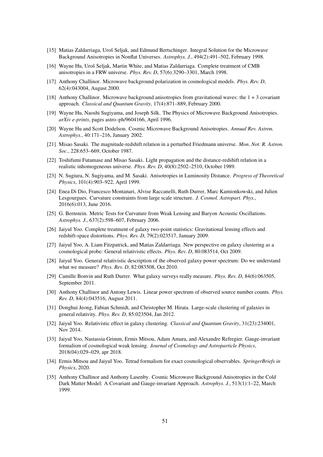- <span id="page-51-2"></span>[15] Matias Zaldarriaga, Uroš Seljak, and Edmund Bertschinger. Integral Solution for the Microwave Background Anisotropies in Nonflat Universes. *Astrophys. J.*, 494(2):491–502, February 1998.
- <span id="page-51-3"></span>[16] Wayne Hu, Uroš Seljak, Martin White, and Matias Zaldarriaga. Complete treatment of CMB anisotropies in a FRW universe. *Phys. Rev. D*, 57(6):3290–3301, March 1998.
- <span id="page-51-4"></span>[17] Anthony Challinor. Microwave background polarization in cosmological models. *Phys. Rev. D*, 62(4):043004, August 2000.
- <span id="page-51-5"></span>[18] Anthony Challinor. Microwave background anisotropies from gravitational waves: the 1 + 3 covariant approach. *Classical and Quantum Gravity*, 17(4):871–889, February 2000.
- <span id="page-51-1"></span>[19] Wayne Hu, Naoshi Sugiyama, and Joseph Silk. The Physics of Microwave Background Anisotropies. *arXiv e-prints*, pages astro–ph/9604166, April 1996.
- <span id="page-51-0"></span>[20] Wayne Hu and Scott Dodelson. Cosmic Microwave Background Anisotropies. *Annual Rev. Astron. Astrophys.*, 40:171–216, January 2002.
- <span id="page-51-6"></span>[21] Misao Sasaki. The magnitude-redshift relation in a perturbed Friedmann universe. *Mon. Not. R. Astron. Soc.*, 228:653–669, October 1987.
- <span id="page-51-7"></span>[22] Toshifumi Futamase and Misao Sasaki. Light propagation and the distance-redshift relation in a realistic inhomogeneous universe. *Phys. Rev. D*, 40(8):2502–2510, October 1989.
- <span id="page-51-8"></span>[23] N. Sugiura, N. Sugiyama, and M. Sasaki. Anisotropies in Luminosity Distance. *Progress of Theoretical Physics*, 101(4):903–922, April 1999.
- <span id="page-51-9"></span>[24] Enea Di Dio, Francesco Montanari, Alvise Raccanelli, Ruth Durrer, Marc Kamionkowski, and Julien Lesgourgues. Curvature constraints from large scale structure. *J. Cosmol. Astropart. Phys.*, 2016(6):013, June 2016.
- <span id="page-51-10"></span>[25] G. Bernstein. Metric Tests for Curvature from Weak Lensing and Baryon Acoustic Oscillations. *Astrophys. J.*, 637(2):598–607, February 2006.
- <span id="page-51-11"></span>[26] Jaiyul Yoo. Complete treatment of galaxy two-point statistics: Gravitational lensing effects and redshift-space distortions. *Phys. Rev. D*, 79(2):023517, January 2009.
- <span id="page-51-17"></span>[27] Jaiyul Yoo, A. Liam Fitzpatrick, and Matias Zaldarriaga. New perspective on galaxy clustering as a cosmological probe: General relativistic effects. *Phys. Rev. D*, 80:083514, Oct 2009.
- <span id="page-51-18"></span>[28] Jaiyul Yoo. General relativistic description of the observed galaxy power spectrum: Do we understand what we measure? *Phys. Rev. D*, 82:083508, Oct 2010.
- [29] Camille Bonvin and Ruth Durrer. What galaxy surveys really measure. *Phys. Rev. D*, 84(6):063505, September 2011.
- [30] Anthony Challinor and Antony Lewis. Linear power spectrum of observed source number counts. *Phys. Rev. D*, 84(4):043516, August 2011.
- <span id="page-51-12"></span>[31] Donghui Jeong, Fabian Schmidt, and Christopher M. Hirata. Large-scale clustering of galaxies in general relativity. *Phys. Rev. D*, 85:023504, Jan 2012.
- <span id="page-51-13"></span>[32] Jaiyul Yoo. Relativistic effect in galaxy clustering. *Classical and Quantum Gravity*, 31(23):234001, Nov 2014.
- <span id="page-51-14"></span>[33] Jaiyul Yoo, Nastassia Grimm, Ermis Mitsou, Adam Amara, and Alexandre Refregier. Gauge-invariant formalism of cosmological weak lensing. *Journal of Cosmology and Astroparticle Physics*, 2018(04):029–029, apr 2018.
- <span id="page-51-15"></span>[34] Ermis Mitsou and Jaiyul Yoo. Tetrad formalism for exact cosmological observables. *SpringerBriefs in Physics*, 2020.
- <span id="page-51-16"></span>[35] Anthony Challinor and Anthony Lasenby. Cosmic Microwave Background Anisotropies in the Cold Dark Matter Model: A Covariant and Gauge-invariant Approach. *Astrophys. J.*, 513(1):1–22, March 1999.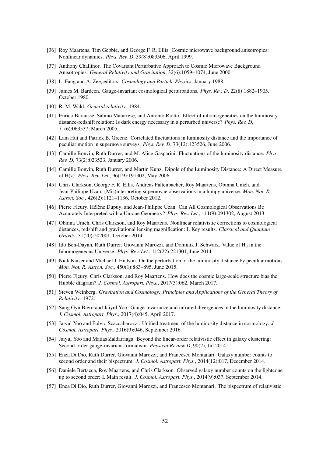- [36] Roy Maartens, Tim Gebbie, and George F. R. Ellis. Cosmic microwave background anisotropies: Nonlinear dynamics. *Phys. Rev. D*, 59(8):083506, April 1999.
- <span id="page-52-0"></span>[37] Anthony Challinor. The Covariant Perturbative Approach to Cosmic Microwave Background Anisotropies. *General Relativity and Gravitation*, 32(6):1059–1074, June 2000.
- <span id="page-52-1"></span>[38] L. Fang and A. Zee, editors. *Cosmology and Particle Physics*, January 1988.
- <span id="page-52-2"></span>[39] James M. Bardeen. Gauge-invariant cosmological perturbations. *Phys. Rev. D*, 22(8):1882–1905, October 1980.
- <span id="page-52-3"></span>[40] R. M. Wald. *General relativity*. 1984.
- <span id="page-52-4"></span>[41] Enrico Barausse, Sabino Matarrese, and Antonio Riotto. Effect of inhomogeneities on the luminosity distance-redshift relation: Is dark energy necessary in a perturbed universe? *Phys. Rev. D*, 71(6):063537, March 2005.
- [42] Lam Hui and Patrick B. Greene. Correlated fluctuations in luminosity distance and the importance of peculiar motion in supernova surveys. *Phys. Rev. D*, 73(12):123526, June 2006.
- [43] Camille Bonvin, Ruth Durrer, and M. Alice Gasparini. Fluctuations of the luminosity distance. *Phys. Rev. D*, 73(2):023523, January 2006.
- [44] Camille Bonvin, Ruth Durrer, and Martin Kunz. Dipole of the Luminosity Distance: A Direct Measure of H(z). *Phys. Rev. Let.*, 96(19):191302, May 2006.
- [45] Chris Clarkson, George F. R. Ellis, Andreas Faltenbacher, Roy Maartens, Obinna Umeh, and Jean-Philippe Uzan. (Mis)interpreting supernovae observations in a lumpy universe. *Mon. Not. R. Astron. Soc.*, 426(2):1121–1136, October 2012.
- [46] Pierre Fleury, Hélène Dupuy, and Jean-Philippe Uzan. Can All Cosmological Observations Be Accurately Interpreted with a Unique Geometry? *Phys. Rev. Let.*, 111(9):091302, August 2013.
- [47] Obinna Umeh, Chris Clarkson, and Roy Maartens. Nonlinear relativistic corrections to cosmological distances, redshift and gravitational lensing magnification: I. Key results. *Classical and Quantum Gravity*, 31(20):202001, October 2014.
- [48] Ido Ben-Dayan, Ruth Durrer, Giovanni Marozzi, and Dominik J. Schwarz. Value of  $H_0$  in the Inhomogeneous Universe. *Phys. Rev. Let.*, 112(22):221301, June 2014.
- [49] Nick Kaiser and Michael J. Hudson. On the perturbation of the luminosity distance by peculiar motions. *Mon. Not. R. Astron. Soc.*, 450(1):883–895, June 2015.
- <span id="page-52-5"></span>[50] Pierre Fleury, Chris Clarkson, and Roy Maartens. How does the cosmic large-scale structure bias the Hubble diagram? *J. Cosmol. Astropart. Phys.*, 2017(3):062, March 2017.
- <span id="page-52-6"></span>[51] Steven Weinberg. *Gravitation and Cosmology: Principles and Applications of the General Theory of Relativity*. 1972.
- [52] Sang Gyu Biern and Jaiyul Yoo. Gauge-invariance and infrared divergences in the luminosity distance. *J. Cosmol. Astropart. Phys.*, 2017(4):045, April 2017.
- <span id="page-52-7"></span>[53] Jaiyul Yoo and Fulvio Scaccabarozzi. Unified treatment of the luminosity distance in cosmology. *J. Cosmol. Astropart. Phys.*, 2016(9):046, September 2016.
- <span id="page-52-8"></span>[54] Jaiyul Yoo and Matias Zaldarriaga. Beyond the linear-order relativistic effect in galaxy clustering: Second-order gauge-invariant formalism. *Physical Review D*, 90(2), Jul 2014.
- [55] Enea Di Dio, Ruth Durrer, Giovanni Marozzi, and Francesco Montanari. Galaxy number counts to second order and their bispectrum. *J. Cosmol. Astropart. Phys.*, 2014(12):017, December 2014.
- [56] Daniele Bertacca, Roy Maartens, and Chris Clarkson. Observed galaxy number counts on the lightcone up to second order: I. Main result. *J. Cosmol. Astropart. Phys.*, 2014(9):037, September 2014.
- [57] Enea Di Dio, Ruth Durrer, Giovanni Marozzi, and Francesco Montanari. The bispectrum of relativistic